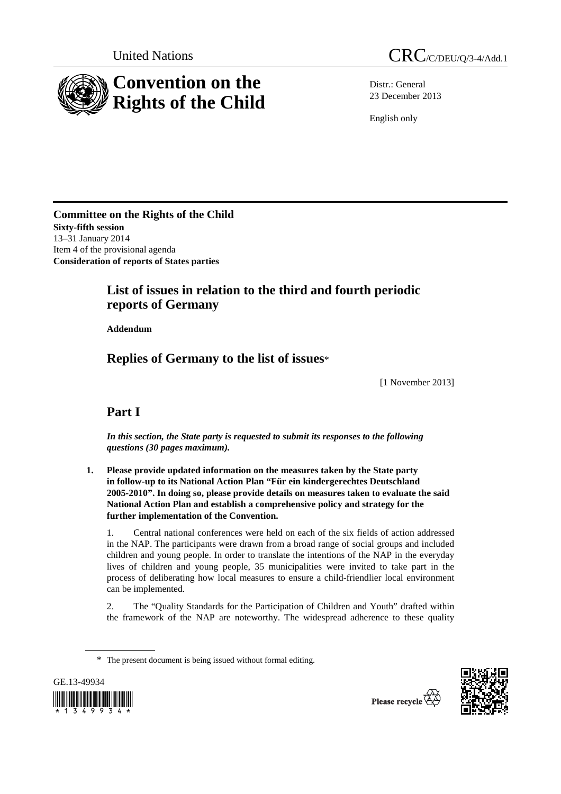

Distr.: General 23 December 2013

English only

**Committee on the Rights of the Child Sixty-fifth session**  13–31 January 2014 Item 4 of the provisional agenda **Consideration of reports of States parties** 

# **List of issues in relation to the third and fourth periodic reports of Germany**

 **Addendum** 

 **Replies of Germany to the list of issues**\*

[1 November 2013]

# **Part I**

 *In this section, the State party is requested to submit its responses to the following questions (30 pages maximum).* 

 **1. Please provide updated information on the measures taken by the State party in follow-up to its National Action Plan "Für ein kindergerechtes Deutschland 2005-2010". In doing so, please provide details on measures taken to evaluate the said National Action Plan and establish a comprehensive policy and strategy for the further implementation of the Convention.** 

1. Central national conferences were held on each of the six fields of action addressed in the NAP. The participants were drawn from a broad range of social groups and included children and young people. In order to translate the intentions of the NAP in the everyday lives of children and young people, 35 municipalities were invited to take part in the process of deliberating how local measures to ensure a child-friendlier local environment can be implemented.

2. The "Quality Standards for the Participation of Children and Youth" drafted within the framework of the NAP are noteworthy. The widespread adherence to these quality

<sup>\*</sup> The present document is being issued without formal editing.



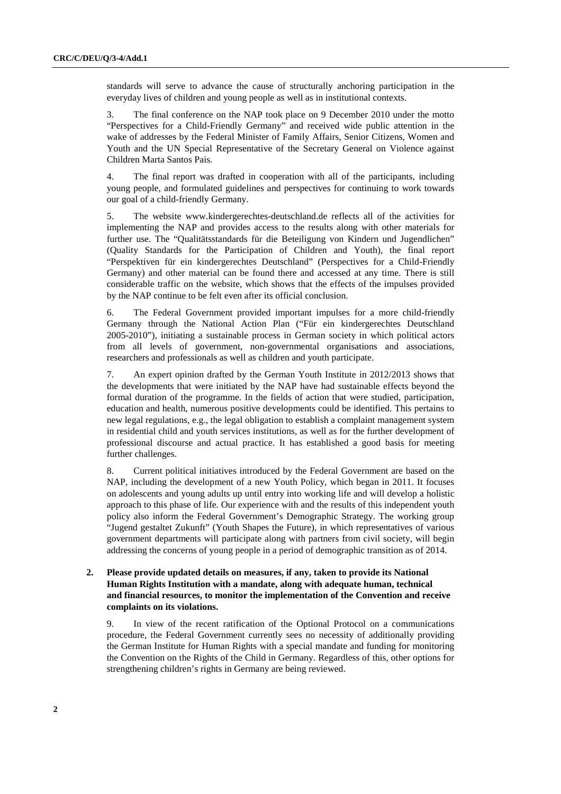standards will serve to advance the cause of structurally anchoring participation in the everyday lives of children and young people as well as in institutional contexts.

3. The final conference on the NAP took place on 9 December 2010 under the motto "Perspectives for a Child-Friendly Germany" and received wide public attention in the wake of addresses by the Federal Minister of Family Affairs, Senior Citizens, Women and Youth and the UN Special Representative of the Secretary General on Violence against Children Marta Santos Pais.

4. The final report was drafted in cooperation with all of the participants, including young people, and formulated guidelines and perspectives for continuing to work towards our goal of a child-friendly Germany.

5. The website www.kindergerechtes-deutschland.de reflects all of the activities for implementing the NAP and provides access to the results along with other materials for further use. The "Qualitätsstandards für die Beteiligung von Kindern und Jugendlichen" (Quality Standards for the Participation of Children and Youth), the final report "Perspektiven für ein kindergerechtes Deutschland" (Perspectives for a Child-Friendly Germany) and other material can be found there and accessed at any time. There is still considerable traffic on the website, which shows that the effects of the impulses provided by the NAP continue to be felt even after its official conclusion.

6. The Federal Government provided important impulses for a more child-friendly Germany through the National Action Plan ("Für ein kindergerechtes Deutschland 2005-2010"), initiating a sustainable process in German society in which political actors from all levels of government, non-governmental organisations and associations, researchers and professionals as well as children and youth participate.

7. An expert opinion drafted by the German Youth Institute in 2012/2013 shows that the developments that were initiated by the NAP have had sustainable effects beyond the formal duration of the programme. In the fields of action that were studied, participation, education and health, numerous positive developments could be identified. This pertains to new legal regulations, e.g., the legal obligation to establish a complaint management system in residential child and youth services institutions, as well as for the further development of professional discourse and actual practice. It has established a good basis for meeting further challenges.

8. Current political initiatives introduced by the Federal Government are based on the NAP, including the development of a new Youth Policy, which began in 2011. It focuses on adolescents and young adults up until entry into working life and will develop a holistic approach to this phase of life. Our experience with and the results of this independent youth policy also inform the Federal Government's Demographic Strategy. The working group "Jugend gestaltet Zukunft" (Youth Shapes the Future), in which representatives of various government departments will participate along with partners from civil society, will begin addressing the concerns of young people in a period of demographic transition as of 2014.

## **2. Please provide updated details on measures, if any, taken to provide its National Human Rights Institution with a mandate, along with adequate human, technical and financial resources, to monitor the implementation of the Convention and receive complaints on its violations.**

9. In view of the recent ratification of the Optional Protocol on a communications procedure, the Federal Government currently sees no necessity of additionally providing the German Institute for Human Rights with a special mandate and funding for monitoring the Convention on the Rights of the Child in Germany. Regardless of this, other options for strengthening children's rights in Germany are being reviewed.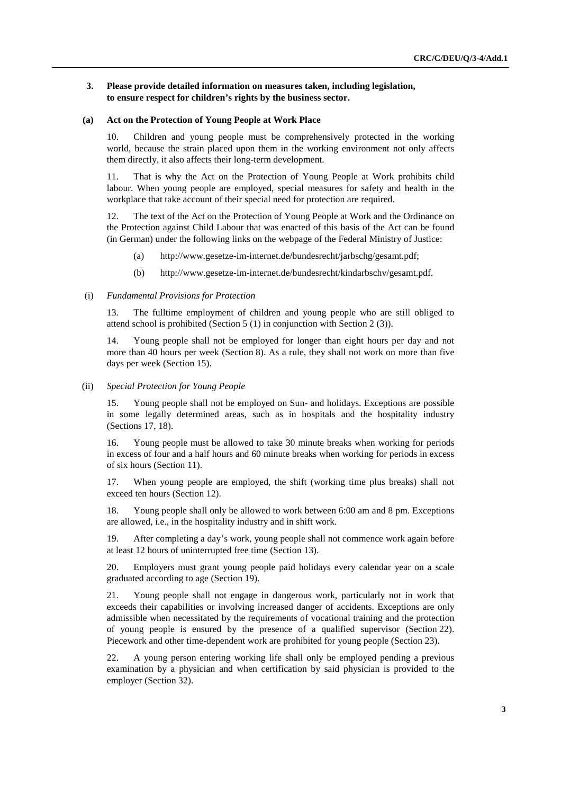## **3. Please provide detailed information on measures taken, including legislation, to ensure respect for children's rights by the business sector.**

#### **(a) Act on the Protection of Young People at Work Place**

10. Children and young people must be comprehensively protected in the working world, because the strain placed upon them in the working environment not only affects them directly, it also affects their long-term development.

11. That is why the Act on the Protection of Young People at Work prohibits child labour. When young people are employed, special measures for safety and health in the workplace that take account of their special need for protection are required.

12. The text of the Act on the Protection of Young People at Work and the Ordinance on the Protection against Child Labour that was enacted of this basis of the Act can be found (in German) under the following links on the webpage of the Federal Ministry of Justice:

- (a) http://www.gesetze-im-internet.de/bundesrecht/jarbschg/gesamt.pdf;
- (b) http://www.gesetze-im-internet.de/bundesrecht/kindarbschv/gesamt.pdf.

#### (i) *Fundamental Provisions for Protection*

13. The fulltime employment of children and young people who are still obliged to attend school is prohibited (Section 5 (1) in conjunction with Section 2 (3)).

14. Young people shall not be employed for longer than eight hours per day and not more than 40 hours per week (Section 8). As a rule, they shall not work on more than five days per week (Section 15).

(ii) *Special Protection for Young People* 

15. Young people shall not be employed on Sun- and holidays. Exceptions are possible in some legally determined areas, such as in hospitals and the hospitality industry (Sections 17, 18).

16. Young people must be allowed to take 30 minute breaks when working for periods in excess of four and a half hours and 60 minute breaks when working for periods in excess of six hours (Section 11).

17. When young people are employed, the shift (working time plus breaks) shall not exceed ten hours (Section 12).

18. Young people shall only be allowed to work between 6:00 am and 8 pm. Exceptions are allowed, i.e., in the hospitality industry and in shift work.

19. After completing a day's work, young people shall not commence work again before at least 12 hours of uninterrupted free time (Section 13).

20. Employers must grant young people paid holidays every calendar year on a scale graduated according to age (Section 19).

21. Young people shall not engage in dangerous work, particularly not in work that exceeds their capabilities or involving increased danger of accidents. Exceptions are only admissible when necessitated by the requirements of vocational training and the protection of young people is ensured by the presence of a qualified supervisor (Section 22). Piecework and other time-dependent work are prohibited for young people (Section 23).

22. A young person entering working life shall only be employed pending a previous examination by a physician and when certification by said physician is provided to the employer (Section 32).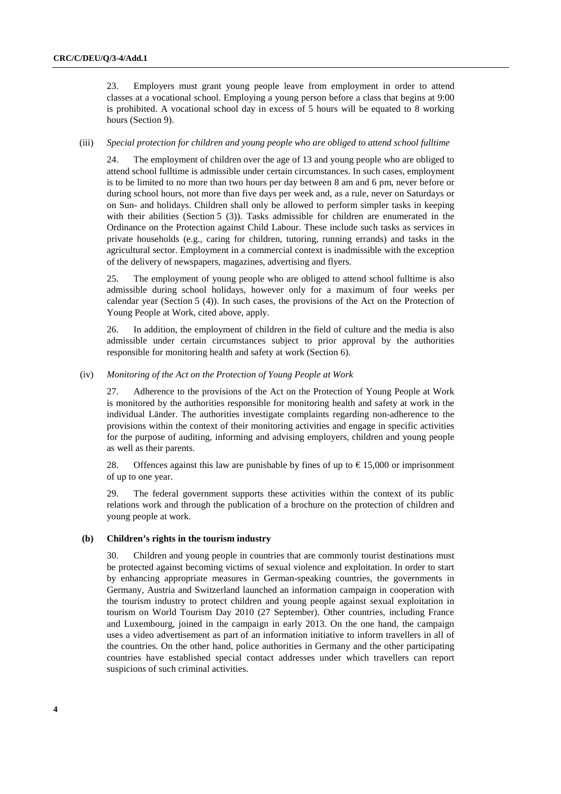23. Employers must grant young people leave from employment in order to attend classes at a vocational school. Employing a young person before a class that begins at 9:00 is prohibited. A vocational school day in excess of 5 hours will be equated to 8 working hours (Section 9).

#### (iii) *Special protection for children and young people who are obliged to attend school fulltime*

24. The employment of children over the age of 13 and young people who are obliged to attend school fulltime is admissible under certain circumstances. In such cases, employment is to be limited to no more than two hours per day between 8 am and 6 pm, never before or during school hours, not more than five days per week and, as a rule, never on Saturdays or on Sun- and holidays. Children shall only be allowed to perform simpler tasks in keeping with their abilities (Section 5 (3)). Tasks admissible for children are enumerated in the Ordinance on the Protection against Child Labour. These include such tasks as services in private households (e.g., caring for children, tutoring, running errands) and tasks in the agricultural sector. Employment in a commercial context is inadmissible with the exception of the delivery of newspapers, magazines, advertising and flyers.

25. The employment of young people who are obliged to attend school fulltime is also admissible during school holidays, however only for a maximum of four weeks per calendar year (Section 5 (4)). In such cases, the provisions of the Act on the Protection of Young People at Work, cited above, apply.

26. In addition, the employment of children in the field of culture and the media is also admissible under certain circumstances subject to prior approval by the authorities responsible for monitoring health and safety at work (Section 6).

#### (iv) *Monitoring of the Act on the Protection of Young People at Work*

27. Adherence to the provisions of the Act on the Protection of Young People at Work is monitored by the authorities responsible for monitoring health and safety at work in the individual Länder. The authorities investigate complaints regarding non-adherence to the provisions within the context of their monitoring activities and engage in specific activities for the purpose of auditing, informing and advising employers, children and young people as well as their parents.

28. Offences against this law are punishable by fines of up to  $\epsilon$  15,000 or imprisonment of up to one year.

29. The federal government supports these activities within the context of its public relations work and through the publication of a brochure on the protection of children and young people at work.

#### **(b) Children's rights in the tourism industry**

30. Children and young people in countries that are commonly tourist destinations must be protected against becoming victims of sexual violence and exploitation. In order to start by enhancing appropriate measures in German-speaking countries, the governments in Germany, Austria and Switzerland launched an information campaign in cooperation with the tourism industry to protect children and young people against sexual exploitation in tourism on World Tourism Day 2010 (27 September). Other countries, including France and Luxembourg, joined in the campaign in early 2013. On the one hand, the campaign uses a video advertisement as part of an information initiative to inform travellers in all of the countries. On the other hand, police authorities in Germany and the other participating countries have established special contact addresses under which travellers can report suspicions of such criminal activities.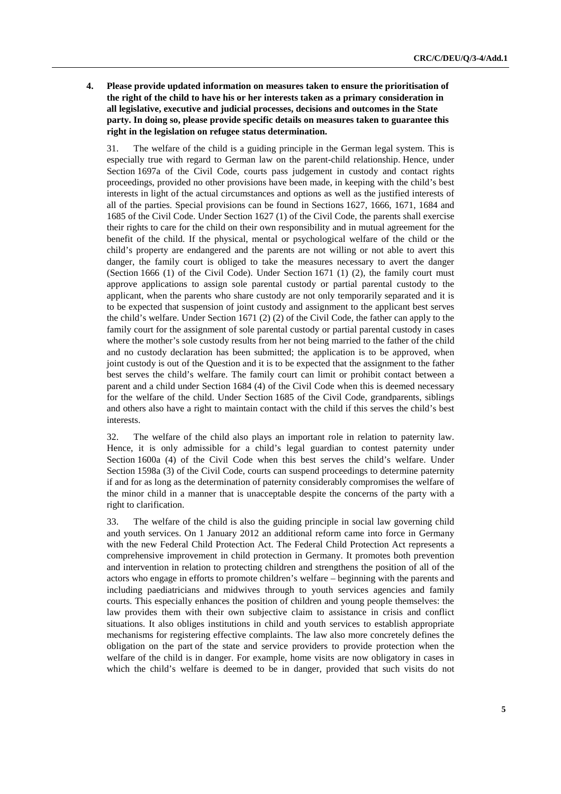**4. Please provide updated information on measures taken to ensure the prioritisation of the right of the child to have his or her interests taken as a primary consideration in all legislative, executive and judicial processes, decisions and outcomes in the State party. In doing so, please provide specific details on measures taken to guarantee this right in the legislation on refugee status determination.** 

31. The welfare of the child is a guiding principle in the German legal system. This is especially true with regard to German law on the parent-child relationship. Hence, under Section 1697a of the Civil Code, courts pass judgement in custody and contact rights proceedings, provided no other provisions have been made, in keeping with the child's best interests in light of the actual circumstances and options as well as the justified interests of all of the parties. Special provisions can be found in Sections 1627, 1666, 1671, 1684 and 1685 of the Civil Code. Under Section 1627 (1) of the Civil Code, the parents shall exercise their rights to care for the child on their own responsibility and in mutual agreement for the benefit of the child. If the physical, mental or psychological welfare of the child or the child's property are endangered and the parents are not willing or not able to avert this danger, the family court is obliged to take the measures necessary to avert the danger (Section 1666 (1) of the Civil Code). Under Section 1671 (1) (2), the family court must approve applications to assign sole parental custody or partial parental custody to the applicant, when the parents who share custody are not only temporarily separated and it is to be expected that suspension of joint custody and assignment to the applicant best serves the child's welfare. Under Section 1671 (2) (2) of the Civil Code, the father can apply to the family court for the assignment of sole parental custody or partial parental custody in cases where the mother's sole custody results from her not being married to the father of the child and no custody declaration has been submitted; the application is to be approved, when joint custody is out of the Question and it is to be expected that the assignment to the father best serves the child's welfare. The family court can limit or prohibit contact between a parent and a child under Section 1684 (4) of the Civil Code when this is deemed necessary for the welfare of the child. Under Section 1685 of the Civil Code, grandparents, siblings and others also have a right to maintain contact with the child if this serves the child's best interests.

32. The welfare of the child also plays an important role in relation to paternity law. Hence, it is only admissible for a child's legal guardian to contest paternity under Section 1600a (4) of the Civil Code when this best serves the child's welfare. Under Section 1598a (3) of the Civil Code, courts can suspend proceedings to determine paternity if and for as long as the determination of paternity considerably compromises the welfare of the minor child in a manner that is unacceptable despite the concerns of the party with a right to clarification.

33. The welfare of the child is also the guiding principle in social law governing child and youth services. On 1 January 2012 an additional reform came into force in Germany with the new Federal Child Protection Act. The Federal Child Protection Act represents a comprehensive improvement in child protection in Germany. It promotes both prevention and intervention in relation to protecting children and strengthens the position of all of the actors who engage in efforts to promote children's welfare – beginning with the parents and including paediatricians and midwives through to youth services agencies and family courts. This especially enhances the position of children and young people themselves: the law provides them with their own subjective claim to assistance in crisis and conflict situations. It also obliges institutions in child and youth services to establish appropriate mechanisms for registering effective complaints. The law also more concretely defines the obligation on the part of the state and service providers to provide protection when the welfare of the child is in danger. For example, home visits are now obligatory in cases in which the child's welfare is deemed to be in danger, provided that such visits do not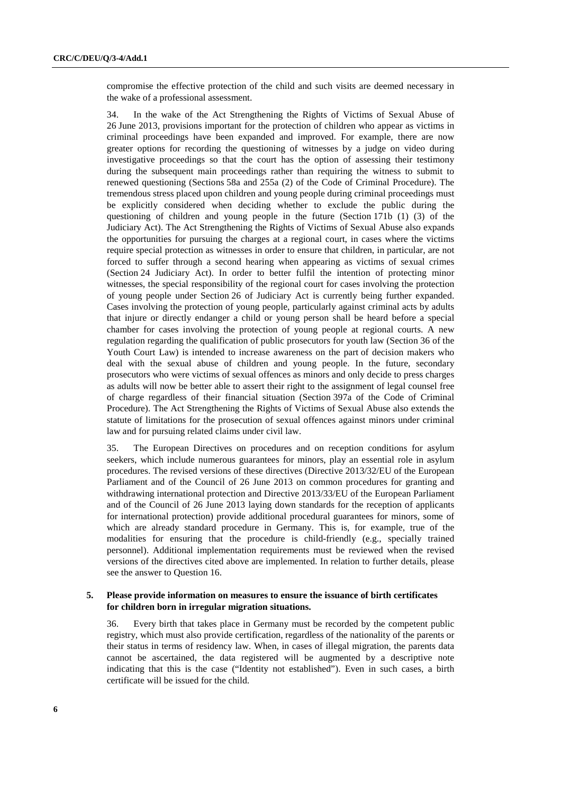compromise the effective protection of the child and such visits are deemed necessary in the wake of a professional assessment.

34. In the wake of the Act Strengthening the Rights of Victims of Sexual Abuse of 26 June 2013, provisions important for the protection of children who appear as victims in criminal proceedings have been expanded and improved. For example, there are now greater options for recording the questioning of witnesses by a judge on video during investigative proceedings so that the court has the option of assessing their testimony during the subsequent main proceedings rather than requiring the witness to submit to renewed questioning (Sections 58a and 255a (2) of the Code of Criminal Procedure). The tremendous stress placed upon children and young people during criminal proceedings must be explicitly considered when deciding whether to exclude the public during the questioning of children and young people in the future (Section 171b (1) (3) of the Judiciary Act). The Act Strengthening the Rights of Victims of Sexual Abuse also expands the opportunities for pursuing the charges at a regional court, in cases where the victims require special protection as witnesses in order to ensure that children, in particular, are not forced to suffer through a second hearing when appearing as victims of sexual crimes (Section 24 Judiciary Act). In order to better fulfil the intention of protecting minor witnesses, the special responsibility of the regional court for cases involving the protection of young people under Section 26 of Judiciary Act is currently being further expanded. Cases involving the protection of young people, particularly against criminal acts by adults that injure or directly endanger a child or young person shall be heard before a special chamber for cases involving the protection of young people at regional courts. A new regulation regarding the qualification of public prosecutors for youth law (Section 36 of the Youth Court Law) is intended to increase awareness on the part of decision makers who deal with the sexual abuse of children and young people. In the future, secondary prosecutors who were victims of sexual offences as minors and only decide to press charges as adults will now be better able to assert their right to the assignment of legal counsel free of charge regardless of their financial situation (Section 397a of the Code of Criminal Procedure). The Act Strengthening the Rights of Victims of Sexual Abuse also extends the statute of limitations for the prosecution of sexual offences against minors under criminal law and for pursuing related claims under civil law.

35. The European Directives on procedures and on reception conditions for asylum seekers, which include numerous guarantees for minors, play an essential role in asylum procedures. The revised versions of these directives (Directive 2013/32/EU of the European Parliament and of the Council of 26 June 2013 on common procedures for granting and withdrawing international protection and Directive 2013/33/EU of the European Parliament and of the Council of 26 June 2013 laying down standards for the reception of applicants for international protection) provide additional procedural guarantees for minors, some of which are already standard procedure in Germany. This is, for example, true of the modalities for ensuring that the procedure is child-friendly (e.g., specially trained personnel). Additional implementation requirements must be reviewed when the revised versions of the directives cited above are implemented. In relation to further details, please see the answer to Question 16.

#### **5. Please provide information on measures to ensure the issuance of birth certificates for children born in irregular migration situations.**

36. Every birth that takes place in Germany must be recorded by the competent public registry, which must also provide certification, regardless of the nationality of the parents or their status in terms of residency law. When, in cases of illegal migration, the parents data cannot be ascertained, the data registered will be augmented by a descriptive note indicating that this is the case ("Identity not established"). Even in such cases, a birth certificate will be issued for the child.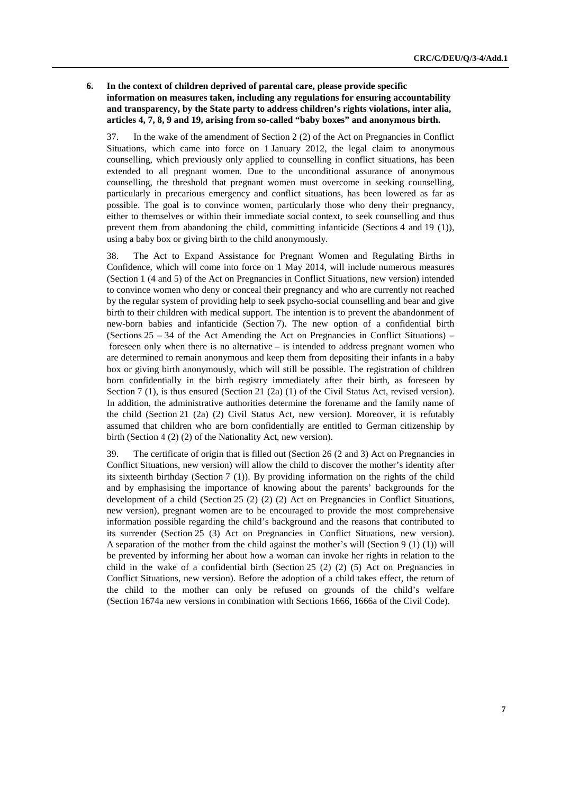## **6. In the context of children deprived of parental care, please provide specific information on measures taken, including any regulations for ensuring accountability and transparency, by the State party to address children's rights violations, inter alia, articles 4, 7, 8, 9 and 19, arising from so-called "baby boxes" and anonymous birth.**

37. In the wake of the amendment of Section 2 (2) of the Act on Pregnancies in Conflict Situations, which came into force on 1 January 2012, the legal claim to anonymous counselling, which previously only applied to counselling in conflict situations, has been extended to all pregnant women. Due to the unconditional assurance of anonymous counselling, the threshold that pregnant women must overcome in seeking counselling, particularly in precarious emergency and conflict situations, has been lowered as far as possible. The goal is to convince women, particularly those who deny their pregnancy, either to themselves or within their immediate social context, to seek counselling and thus prevent them from abandoning the child, committing infanticide (Sections 4 and 19 (1)), using a baby box or giving birth to the child anonymously.

38. The Act to Expand Assistance for Pregnant Women and Regulating Births in Confidence, which will come into force on 1 May 2014, will include numerous measures (Section 1 (4 and 5) of the Act on Pregnancies in Conflict Situations, new version) intended to convince women who deny or conceal their pregnancy and who are currently not reached by the regular system of providing help to seek psycho-social counselling and bear and give birth to their children with medical support. The intention is to prevent the abandonment of new-born babies and infanticide (Section 7). The new option of a confidential birth (Sections  $25 - 34$  of the Act Amending the Act on Pregnancies in Conflict Situations) – foreseen only when there is no alternative – is intended to address pregnant women who are determined to remain anonymous and keep them from depositing their infants in a baby box or giving birth anonymously, which will still be possible. The registration of children born confidentially in the birth registry immediately after their birth, as foreseen by Section 7 (1), is thus ensured (Section 21 (2a) (1) of the Civil Status Act, revised version). In addition, the administrative authorities determine the forename and the family name of the child (Section 21 (2a) (2) Civil Status Act, new version). Moreover, it is refutably assumed that children who are born confidentially are entitled to German citizenship by birth (Section 4 (2) (2) of the Nationality Act, new version).

39. The certificate of origin that is filled out (Section 26 (2 and 3) Act on Pregnancies in Conflict Situations, new version) will allow the child to discover the mother's identity after its sixteenth birthday (Section 7 (1)). By providing information on the rights of the child and by emphasising the importance of knowing about the parents' backgrounds for the development of a child (Section 25 (2) (2) (2) Act on Pregnancies in Conflict Situations, new version), pregnant women are to be encouraged to provide the most comprehensive information possible regarding the child's background and the reasons that contributed to its surrender (Section 25 (3) Act on Pregnancies in Conflict Situations, new version). A separation of the mother from the child against the mother's will (Section 9 (1) (1)) will be prevented by informing her about how a woman can invoke her rights in relation to the child in the wake of a confidential birth (Section 25 (2) (2) (5) Act on Pregnancies in Conflict Situations, new version). Before the adoption of a child takes effect, the return of the child to the mother can only be refused on grounds of the child's welfare (Section 1674a new versions in combination with Sections 1666, 1666a of the Civil Code).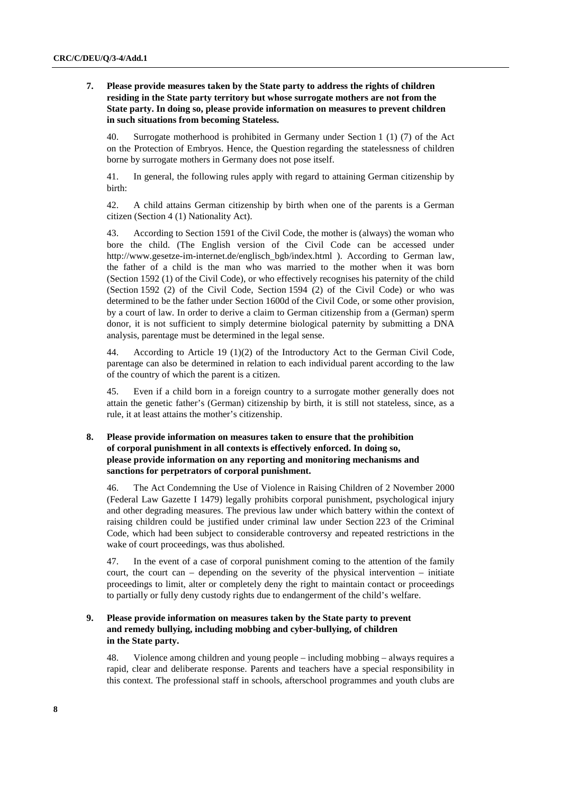## **7. Please provide measures taken by the State party to address the rights of children residing in the State party territory but whose surrogate mothers are not from the State party. In doing so, please provide information on measures to prevent children in such situations from becoming Stateless.**

40. Surrogate motherhood is prohibited in Germany under Section 1 (1) (7) of the Act on the Protection of Embryos. Hence, the Question regarding the statelessness of children borne by surrogate mothers in Germany does not pose itself.

41. In general, the following rules apply with regard to attaining German citizenship by birth:

42. A child attains German citizenship by birth when one of the parents is a German citizen (Section 4 (1) Nationality Act).

43. According to Section 1591 of the Civil Code, the mother is (always) the woman who bore the child. (The English version of the Civil Code can be accessed under http://www.gesetze-im-internet.de/englisch\_bgb/index.html ). According to German law, the father of a child is the man who was married to the mother when it was born (Section 1592 (1) of the Civil Code), or who effectively recognises his paternity of the child (Section 1592 (2) of the Civil Code, Section 1594 (2) of the Civil Code) or who was determined to be the father under Section 1600d of the Civil Code, or some other provision, by a court of law. In order to derive a claim to German citizenship from a (German) sperm donor, it is not sufficient to simply determine biological paternity by submitting a DNA analysis, parentage must be determined in the legal sense.

44. According to Article 19 (1)(2) of the Introductory Act to the German Civil Code, parentage can also be determined in relation to each individual parent according to the law of the country of which the parent is a citizen.

45. Even if a child born in a foreign country to a surrogate mother generally does not attain the genetic father's (German) citizenship by birth, it is still not stateless, since, as a rule, it at least attains the mother's citizenship.

## **8. Please provide information on measures taken to ensure that the prohibition of corporal punishment in all contexts is effectively enforced. In doing so, please provide information on any reporting and monitoring mechanisms and sanctions for perpetrators of corporal punishment.**

46. The Act Condemning the Use of Violence in Raising Children of 2 November 2000 (Federal Law Gazette I 1479) legally prohibits corporal punishment, psychological injury and other degrading measures. The previous law under which battery within the context of raising children could be justified under criminal law under Section 223 of the Criminal Code, which had been subject to considerable controversy and repeated restrictions in the wake of court proceedings, was thus abolished.

47. In the event of a case of corporal punishment coming to the attention of the family court, the court can – depending on the severity of the physical intervention – initiate proceedings to limit, alter or completely deny the right to maintain contact or proceedings to partially or fully deny custody rights due to endangerment of the child's welfare.

## **9. Please provide information on measures taken by the State party to prevent and remedy bullying, including mobbing and cyber-bullying, of children in the State party.**

48. Violence among children and young people – including mobbing – always requires a rapid, clear and deliberate response. Parents and teachers have a special responsibility in this context. The professional staff in schools, afterschool programmes and youth clubs are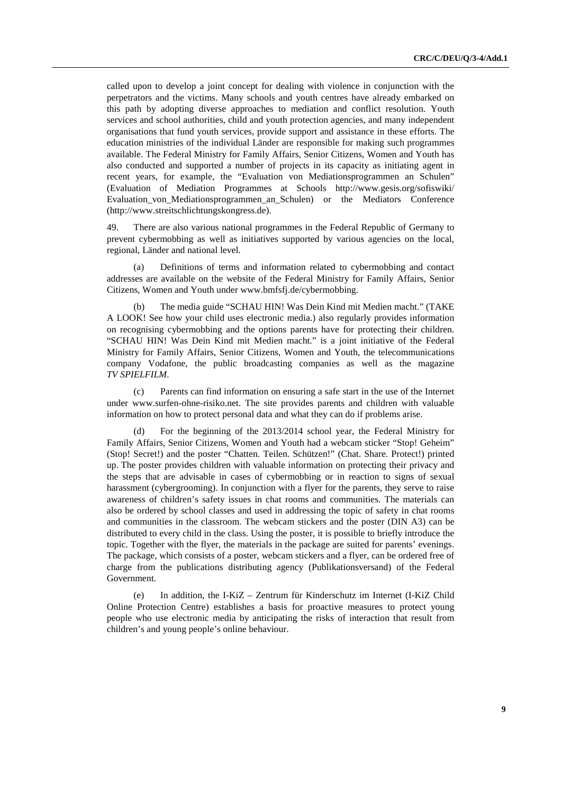called upon to develop a joint concept for dealing with violence in conjunction with the perpetrators and the victims. Many schools and youth centres have already embarked on this path by adopting diverse approaches to mediation and conflict resolution. Youth services and school authorities, child and youth protection agencies, and many independent organisations that fund youth services, provide support and assistance in these efforts. The education ministries of the individual Länder are responsible for making such programmes available. The Federal Ministry for Family Affairs, Senior Citizens, Women and Youth has also conducted and supported a number of projects in its capacity as initiating agent in recent years, for example, the "Evaluation von Mediationsprogrammen an Schulen" (Evaluation of Mediation Programmes at Schools http://www.gesis.org/sofiswiki/ Evaluation\_von\_Mediationsprogrammen\_an\_Schulen) or the Mediators Conference (http://www.streitschlichtungskongress.de).

49. There are also various national programmes in the Federal Republic of Germany to prevent cybermobbing as well as initiatives supported by various agencies on the local, regional, Länder and national level.

(a) Definitions of terms and information related to cybermobbing and contact addresses are available on the website of the Federal Ministry for Family Affairs, Senior Citizens, Women and Youth under www.bmfsfj.de/cybermobbing.

(b) The media guide "SCHAU HIN! Was Dein Kind mit Medien macht." (TAKE A LOOK! See how your child uses electronic media.) also regularly provides information on recognising cybermobbing and the options parents have for protecting their children. "SCHAU HIN! Was Dein Kind mit Medien macht." is a joint initiative of the Federal Ministry for Family Affairs, Senior Citizens, Women and Youth, the telecommunications company Vodafone, the public broadcasting companies as well as the magazine *TV SPIELFILM*.

(c) Parents can find information on ensuring a safe start in the use of the Internet under www.surfen-ohne-risiko.net. The site provides parents and children with valuable information on how to protect personal data and what they can do if problems arise.

(d) For the beginning of the 2013/2014 school year, the Federal Ministry for Family Affairs, Senior Citizens, Women and Youth had a webcam sticker "Stop! Geheim" (Stop! Secret!) and the poster "Chatten. Teilen. Schützen!" (Chat. Share. Protect!) printed up. The poster provides children with valuable information on protecting their privacy and the steps that are advisable in cases of cybermobbing or in reaction to signs of sexual harassment (cybergrooming). In conjunction with a flyer for the parents, they serve to raise awareness of children's safety issues in chat rooms and communities. The materials can also be ordered by school classes and used in addressing the topic of safety in chat rooms and communities in the classroom. The webcam stickers and the poster (DIN A3) can be distributed to every child in the class. Using the poster, it is possible to briefly introduce the topic. Together with the flyer, the materials in the package are suited for parents' evenings. The package, which consists of a poster, webcam stickers and a flyer, can be ordered free of charge from the publications distributing agency (Publikationsversand) of the Federal Government.

(e) In addition, the I-KiZ – Zentrum für Kinderschutz im Internet (I-KiZ Child Online Protection Centre) establishes a basis for proactive measures to protect young people who use electronic media by anticipating the risks of interaction that result from children's and young people's online behaviour.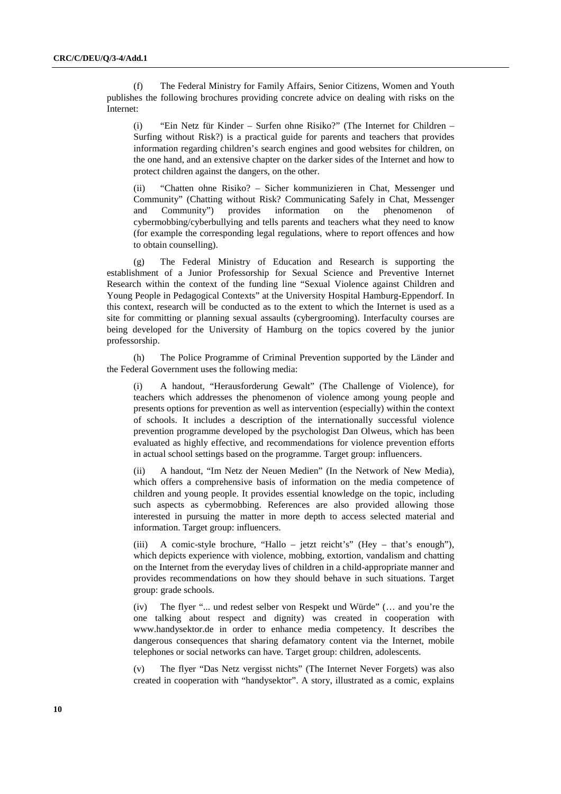(f) The Federal Ministry for Family Affairs, Senior Citizens, Women and Youth publishes the following brochures providing concrete advice on dealing with risks on the Internet:

(i) "Ein Netz für Kinder – Surfen ohne Risiko?" (The Internet for Children – Surfing without Risk?) is a practical guide for parents and teachers that provides information regarding children's search engines and good websites for children, on the one hand, and an extensive chapter on the darker sides of the Internet and how to protect children against the dangers, on the other.

(ii) "Chatten ohne Risiko? – Sicher kommunizieren in Chat, Messenger und Community" (Chatting without Risk? Communicating Safely in Chat, Messenger and Community") provides information on the phenomenon of cybermobbing/cyberbullying and tells parents and teachers what they need to know (for example the corresponding legal regulations, where to report offences and how to obtain counselling).

(g) The Federal Ministry of Education and Research is supporting the establishment of a Junior Professorship for Sexual Science and Preventive Internet Research within the context of the funding line "Sexual Violence against Children and Young People in Pedagogical Contexts" at the University Hospital Hamburg-Eppendorf. In this context, research will be conducted as to the extent to which the Internet is used as a site for committing or planning sexual assaults (cybergrooming). Interfaculty courses are being developed for the University of Hamburg on the topics covered by the junior professorship.

(h) The Police Programme of Criminal Prevention supported by the Länder and the Federal Government uses the following media:

(i) A handout, "Herausforderung Gewalt" (The Challenge of Violence), for teachers which addresses the phenomenon of violence among young people and presents options for prevention as well as intervention (especially) within the context of schools. It includes a description of the internationally successful violence prevention programme developed by the psychologist Dan Olweus, which has been evaluated as highly effective, and recommendations for violence prevention efforts in actual school settings based on the programme. Target group: influencers.

(ii) A handout, "Im Netz der Neuen Medien" (In the Network of New Media), which offers a comprehensive basis of information on the media competence of children and young people. It provides essential knowledge on the topic, including such aspects as cybermobbing. References are also provided allowing those interested in pursuing the matter in more depth to access selected material and information. Target group: influencers.

(iii) A comic-style brochure, "Hallo – jetzt reicht's" (Hey – that's enough"), which depicts experience with violence, mobbing, extortion, vandalism and chatting on the Internet from the everyday lives of children in a child-appropriate manner and provides recommendations on how they should behave in such situations. Target group: grade schools.

(iv) The flyer "... und redest selber von Respekt und Würde" (… and you're the one talking about respect and dignity) was created in cooperation with www.handysektor.de in order to enhance media competency. It describes the dangerous consequences that sharing defamatory content via the Internet, mobile telephones or social networks can have. Target group: children, adolescents.

(v) The flyer "Das Netz vergisst nichts" (The Internet Never Forgets) was also created in cooperation with "handysektor". A story, illustrated as a comic, explains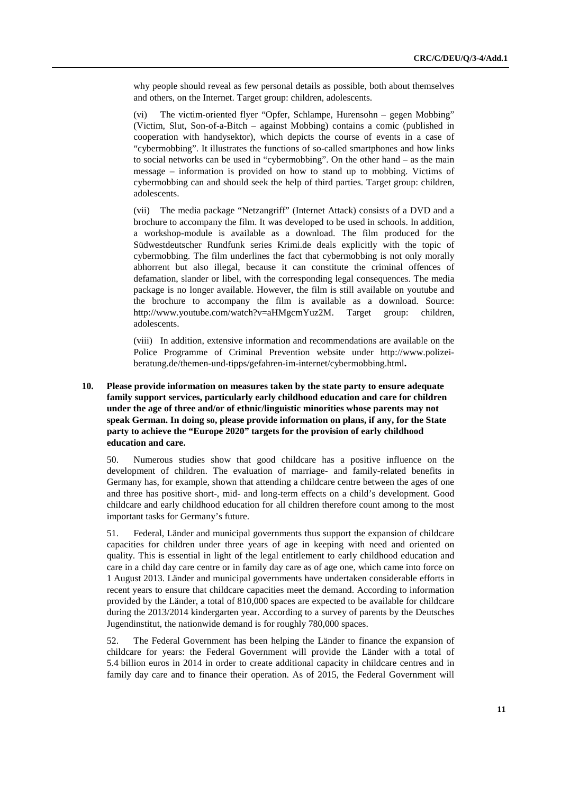why people should reveal as few personal details as possible, both about themselves and others, on the Internet. Target group: children, adolescents.

(vi) The victim-oriented flyer "Opfer, Schlampe, Hurensohn – gegen Mobbing" (Victim, Slut, Son-of-a-Bitch – against Mobbing) contains a comic (published in cooperation with handysektor), which depicts the course of events in a case of "cybermobbing". It illustrates the functions of so-called smartphones and how links to social networks can be used in "cybermobbing". On the other hand – as the main message – information is provided on how to stand up to mobbing. Victims of cybermobbing can and should seek the help of third parties. Target group: children, adolescents.

(vii) The media package "Netzangriff" (Internet Attack) consists of a DVD and a brochure to accompany the film. It was developed to be used in schools. In addition, a workshop-module is available as a download. The film produced for the Südwestdeutscher Rundfunk series Krimi.de deals explicitly with the topic of cybermobbing. The film underlines the fact that cybermobbing is not only morally abhorrent but also illegal, because it can constitute the criminal offences of defamation, slander or libel, with the corresponding legal consequences. The media package is no longer available. However, the film is still available on youtube and the brochure to accompany the film is available as a download. Source: http://www.youtube.com/watch?v=aHMgcmYuz2M. Target group: children, adolescents.

(viii) In addition, extensive information and recommendations are available on the Police Programme of Criminal Prevention website under http://www.polizeiberatung.de/themen-und-tipps/gefahren-im-internet/cybermobbing.html**.** 

## **10. Please provide information on measures taken by the state party to ensure adequate family support services, particularly early childhood education and care for children under the age of three and/or of ethnic/linguistic minorities whose parents may not speak German. In doing so, please provide information on plans, if any, for the State party to achieve the "Europe 2020" targets for the provision of early childhood education and care.**

50. Numerous studies show that good childcare has a positive influence on the development of children. The evaluation of marriage- and family-related benefits in Germany has, for example, shown that attending a childcare centre between the ages of one and three has positive short-, mid- and long-term effects on a child's development. Good childcare and early childhood education for all children therefore count among to the most important tasks for Germany's future.

51. Federal, Länder and municipal governments thus support the expansion of childcare capacities for children under three years of age in keeping with need and oriented on quality. This is essential in light of the legal entitlement to early childhood education and care in a child day care centre or in family day care as of age one, which came into force on 1 August 2013. Länder and municipal governments have undertaken considerable efforts in recent years to ensure that childcare capacities meet the demand. According to information provided by the Länder, a total of 810,000 spaces are expected to be available for childcare during the 2013/2014 kindergarten year. According to a survey of parents by the Deutsches Jugendinstitut, the nationwide demand is for roughly 780,000 spaces.

52. The Federal Government has been helping the Länder to finance the expansion of childcare for years: the Federal Government will provide the Länder with a total of 5.4 billion euros in 2014 in order to create additional capacity in childcare centres and in family day care and to finance their operation. As of 2015, the Federal Government will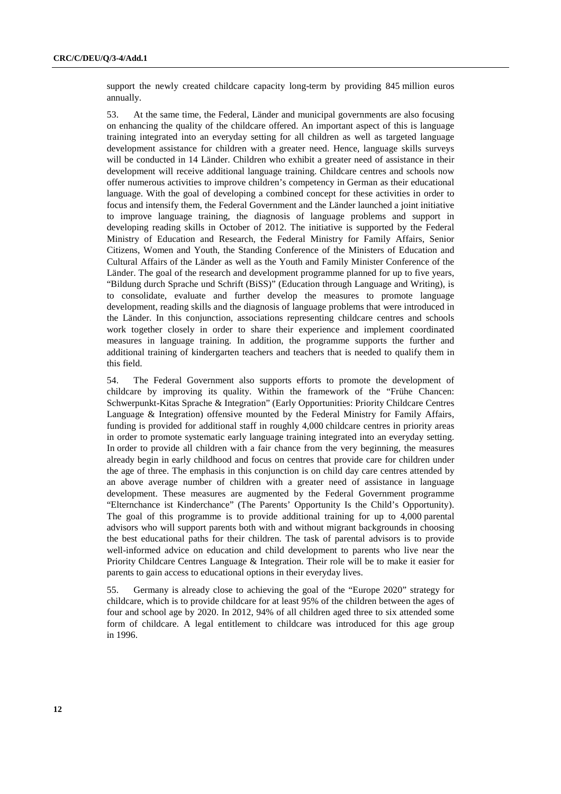support the newly created childcare capacity long-term by providing 845 million euros annually.

53. At the same time, the Federal, Länder and municipal governments are also focusing on enhancing the quality of the childcare offered. An important aspect of this is language training integrated into an everyday setting for all children as well as targeted language development assistance for children with a greater need. Hence, language skills surveys will be conducted in 14 Länder. Children who exhibit a greater need of assistance in their development will receive additional language training. Childcare centres and schools now offer numerous activities to improve children's competency in German as their educational language. With the goal of developing a combined concept for these activities in order to focus and intensify them, the Federal Government and the Länder launched a joint initiative to improve language training, the diagnosis of language problems and support in developing reading skills in October of 2012. The initiative is supported by the Federal Ministry of Education and Research, the Federal Ministry for Family Affairs, Senior Citizens, Women and Youth, the Standing Conference of the Ministers of Education and Cultural Affairs of the Länder as well as the Youth and Family Minister Conference of the Länder. The goal of the research and development programme planned for up to five years, "Bildung durch Sprache und Schrift (BiSS)" (Education through Language and Writing), is to consolidate, evaluate and further develop the measures to promote language development, reading skills and the diagnosis of language problems that were introduced in the Länder. In this conjunction, associations representing childcare centres and schools work together closely in order to share their experience and implement coordinated measures in language training. In addition, the programme supports the further and additional training of kindergarten teachers and teachers that is needed to qualify them in this field.

54. The Federal Government also supports efforts to promote the development of childcare by improving its quality. Within the framework of the "Frühe Chancen: Schwerpunkt-Kitas Sprache & Integration" (Early Opportunities: Priority Childcare Centres Language & Integration) offensive mounted by the Federal Ministry for Family Affairs, funding is provided for additional staff in roughly 4,000 childcare centres in priority areas in order to promote systematic early language training integrated into an everyday setting. In order to provide all children with a fair chance from the very beginning, the measures already begin in early childhood and focus on centres that provide care for children under the age of three. The emphasis in this conjunction is on child day care centres attended by an above average number of children with a greater need of assistance in language development. These measures are augmented by the Federal Government programme "Elternchance ist Kinderchance" (The Parents' Opportunity Is the Child's Opportunity). The goal of this programme is to provide additional training for up to 4,000 parental advisors who will support parents both with and without migrant backgrounds in choosing the best educational paths for their children. The task of parental advisors is to provide well-informed advice on education and child development to parents who live near the Priority Childcare Centres Language & Integration. Their role will be to make it easier for parents to gain access to educational options in their everyday lives.

55. Germany is already close to achieving the goal of the "Europe 2020" strategy for childcare, which is to provide childcare for at least 95% of the children between the ages of four and school age by 2020. In 2012, 94% of all children aged three to six attended some form of childcare. A legal entitlement to childcare was introduced for this age group in 1996.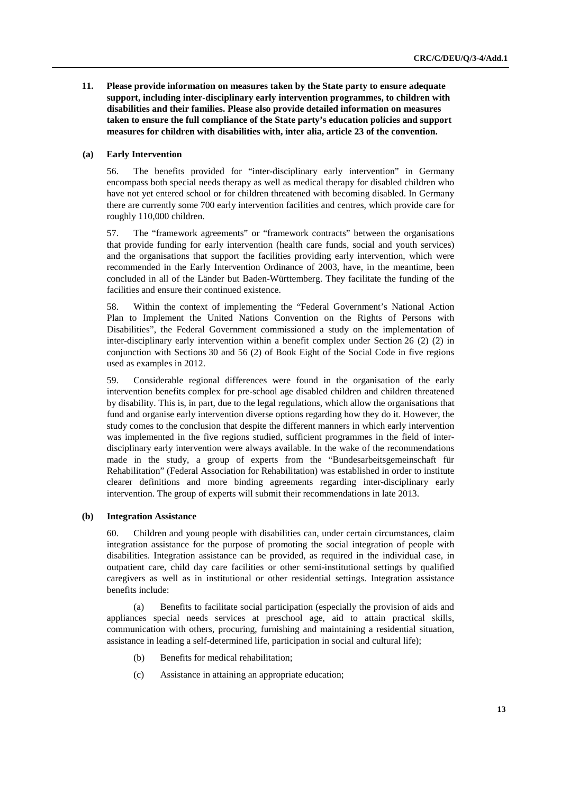**11. Please provide information on measures taken by the State party to ensure adequate support, including inter-disciplinary early intervention programmes, to children with disabilities and their families. Please also provide detailed information on measures taken to ensure the full compliance of the State party's education policies and support measures for children with disabilities with, inter alia, article 23 of the convention.** 

## **(a) Early Intervention**

56. The benefits provided for "inter-disciplinary early intervention" in Germany encompass both special needs therapy as well as medical therapy for disabled children who have not yet entered school or for children threatened with becoming disabled. In Germany there are currently some 700 early intervention facilities and centres, which provide care for roughly 110,000 children.

57. The "framework agreements" or "framework contracts" between the organisations that provide funding for early intervention (health care funds, social and youth services) and the organisations that support the facilities providing early intervention, which were recommended in the Early Intervention Ordinance of 2003, have, in the meantime, been concluded in all of the Länder but Baden-Württemberg. They facilitate the funding of the facilities and ensure their continued existence.

58. Within the context of implementing the "Federal Government's National Action Plan to Implement the United Nations Convention on the Rights of Persons with Disabilities", the Federal Government commissioned a study on the implementation of inter-disciplinary early intervention within a benefit complex under Section 26 (2) (2) in conjunction with Sections 30 and 56 (2) of Book Eight of the Social Code in five regions used as examples in 2012.

59. Considerable regional differences were found in the organisation of the early intervention benefits complex for pre-school age disabled children and children threatened by disability. This is, in part, due to the legal regulations, which allow the organisations that fund and organise early intervention diverse options regarding how they do it. However, the study comes to the conclusion that despite the different manners in which early intervention was implemented in the five regions studied, sufficient programmes in the field of interdisciplinary early intervention were always available. In the wake of the recommendations made in the study, a group of experts from the "Bundesarbeitsgemeinschaft für Rehabilitation" (Federal Association for Rehabilitation) was established in order to institute clearer definitions and more binding agreements regarding inter-disciplinary early intervention. The group of experts will submit their recommendations in late 2013.

## **(b) Integration Assistance**

60. Children and young people with disabilities can, under certain circumstances, claim integration assistance for the purpose of promoting the social integration of people with disabilities. Integration assistance can be provided, as required in the individual case, in outpatient care, child day care facilities or other semi-institutional settings by qualified caregivers as well as in institutional or other residential settings. Integration assistance benefits include:

(a) Benefits to facilitate social participation (especially the provision of aids and appliances special needs services at preschool age, aid to attain practical skills, communication with others, procuring, furnishing and maintaining a residential situation, assistance in leading a self-determined life, participation in social and cultural life);

- (b) Benefits for medical rehabilitation;
- (c) Assistance in attaining an appropriate education;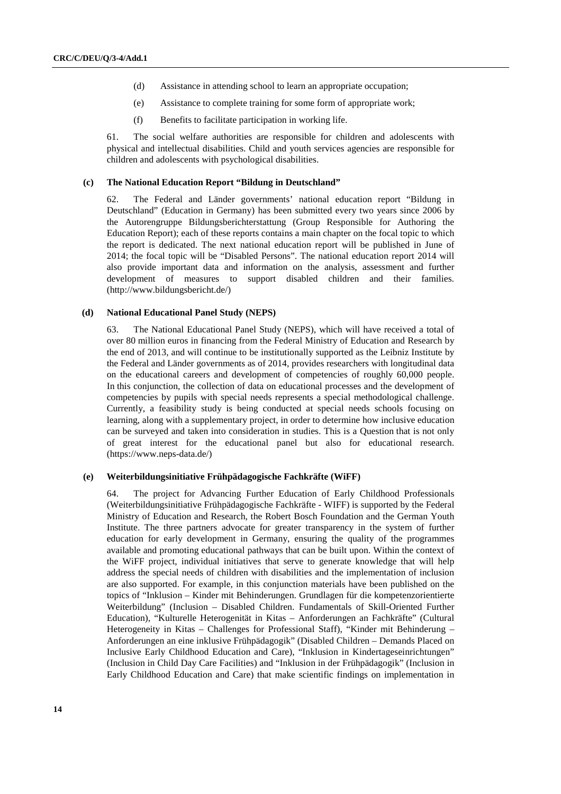- (d) Assistance in attending school to learn an appropriate occupation;
- (e) Assistance to complete training for some form of appropriate work;
- (f) Benefits to facilitate participation in working life.

61. The social welfare authorities are responsible for children and adolescents with physical and intellectual disabilities. Child and youth services agencies are responsible for children and adolescents with psychological disabilities.

#### **(c) The National Education Report "Bildung in Deutschland"**

62. The Federal and Länder governments' national education report "Bildung in Deutschland" (Education in Germany) has been submitted every two years since 2006 by the Autorengruppe Bildungsberichterstattung (Group Responsible for Authoring the Education Report); each of these reports contains a main chapter on the focal topic to which the report is dedicated. The next national education report will be published in June of 2014; the focal topic will be "Disabled Persons". The national education report 2014 will also provide important data and information on the analysis, assessment and further development of measures to support disabled children and their families. (http://www.bildungsbericht.de/)

#### **(d) National Educational Panel Study (NEPS)**

63. The National Educational Panel Study (NEPS), which will have received a total of over 80 million euros in financing from the Federal Ministry of Education and Research by the end of 2013, and will continue to be institutionally supported as the Leibniz Institute by the Federal and Länder governments as of 2014, provides researchers with longitudinal data on the educational careers and development of competencies of roughly 60,000 people. In this conjunction, the collection of data on educational processes and the development of competencies by pupils with special needs represents a special methodological challenge. Currently, a feasibility study is being conducted at special needs schools focusing on learning, along with a supplementary project, in order to determine how inclusive education can be surveyed and taken into consideration in studies. This is a Question that is not only of great interest for the educational panel but also for educational research. (https://www.neps-data.de/)

#### **(e) Weiterbildungsinitiative Frühpädagogische Fachkräfte (WiFF)**

64. The project for Advancing Further Education of Early Childhood Professionals (Weiterbildungsinitiative Frühpädagogische Fachkräfte - WIFF) is supported by the Federal Ministry of Education and Research, the Robert Bosch Foundation and the German Youth Institute. The three partners advocate for greater transparency in the system of further education for early development in Germany, ensuring the quality of the programmes available and promoting educational pathways that can be built upon. Within the context of the WiFF project, individual initiatives that serve to generate knowledge that will help address the special needs of children with disabilities and the implementation of inclusion are also supported. For example, in this conjunction materials have been published on the topics of "Inklusion – Kinder mit Behinderungen. Grundlagen für die kompetenzorientierte Weiterbildung" (Inclusion – Disabled Children. Fundamentals of Skill-Oriented Further Education), "Kulturelle Heterogenität in Kitas – Anforderungen an Fachkräfte" (Cultural Heterogeneity in Kitas – Challenges for Professional Staff), "Kinder mit Behinderung – Anforderungen an eine inklusive Frühpädagogik" (Disabled Children – Demands Placed on Inclusive Early Childhood Education and Care), "Inklusion in Kindertageseinrichtungen" (Inclusion in Child Day Care Facilities) and "Inklusion in der Frühpädagogik" (Inclusion in Early Childhood Education and Care) that make scientific findings on implementation in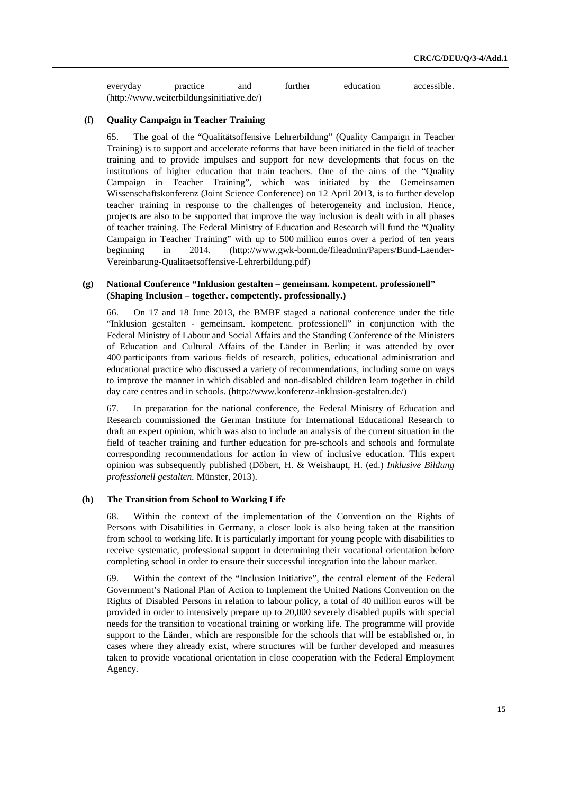everyday practice and further education accessible. (http://www.weiterbildungsinitiative.de/)

## **(f) Quality Campaign in Teacher Training**

65. The goal of the "Qualitätsoffensive Lehrerbildung" (Quality Campaign in Teacher Training) is to support and accelerate reforms that have been initiated in the field of teacher training and to provide impulses and support for new developments that focus on the institutions of higher education that train teachers. One of the aims of the "Quality Campaign in Teacher Training", which was initiated by the Gemeinsamen Wissenschaftskonferenz (Joint Science Conference) on 12 April 2013, is to further develop teacher training in response to the challenges of heterogeneity and inclusion. Hence, projects are also to be supported that improve the way inclusion is dealt with in all phases of teacher training. The Federal Ministry of Education and Research will fund the "Quality Campaign in Teacher Training" with up to 500 million euros over a period of ten years beginning in 2014. (http://www.gwk-bonn.de/fileadmin/Papers/Bund-Laender-Vereinbarung-Qualitaetsoffensive-Lehrerbildung.pdf)

## **(g) National Conference "Inklusion gestalten – gemeinsam. kompetent. professionell" (Shaping Inclusion – together. competently. professionally.)**

66. On 17 and 18 June 2013, the BMBF staged a national conference under the title "Inklusion gestalten - gemeinsam. kompetent. professionell" in conjunction with the Federal Ministry of Labour and Social Affairs and the Standing Conference of the Ministers of Education and Cultural Affairs of the Länder in Berlin; it was attended by over 400 participants from various fields of research, politics, educational administration and educational practice who discussed a variety of recommendations, including some on ways to improve the manner in which disabled and non-disabled children learn together in child day care centres and in schools. (http://www.konferenz-inklusion-gestalten.de/)

67. In preparation for the national conference, the Federal Ministry of Education and Research commissioned the German Institute for International Educational Research to draft an expert opinion, which was also to include an analysis of the current situation in the field of teacher training and further education for pre-schools and schools and formulate corresponding recommendations for action in view of inclusive education. This expert opinion was subsequently published (Döbert, H. & Weishaupt, H. (ed.) *Inklusive Bildung professionell gestalten.* Münster, 2013).

#### **(h) The Transition from School to Working Life**

68. Within the context of the implementation of the Convention on the Rights of Persons with Disabilities in Germany, a closer look is also being taken at the transition from school to working life. It is particularly important for young people with disabilities to receive systematic, professional support in determining their vocational orientation before completing school in order to ensure their successful integration into the labour market.

69. Within the context of the "Inclusion Initiative", the central element of the Federal Government's National Plan of Action to Implement the United Nations Convention on the Rights of Disabled Persons in relation to labour policy, a total of 40 million euros will be provided in order to intensively prepare up to 20,000 severely disabled pupils with special needs for the transition to vocational training or working life. The programme will provide support to the Länder, which are responsible for the schools that will be established or, in cases where they already exist, where structures will be further developed and measures taken to provide vocational orientation in close cooperation with the Federal Employment Agency.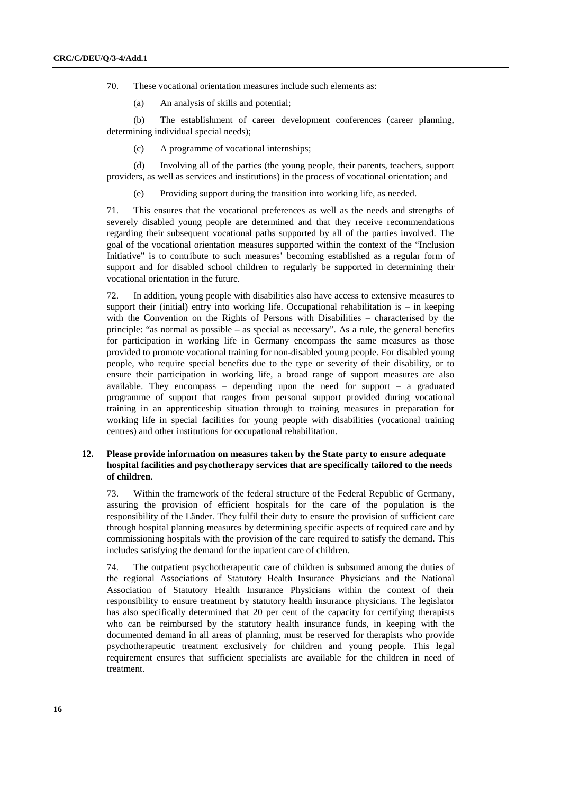70. These vocational orientation measures include such elements as:

(a) An analysis of skills and potential;

(b) The establishment of career development conferences (career planning, determining individual special needs);

(c) A programme of vocational internships;

(d) Involving all of the parties (the young people, their parents, teachers, support providers, as well as services and institutions) in the process of vocational orientation; and

(e) Providing support during the transition into working life, as needed.

71. This ensures that the vocational preferences as well as the needs and strengths of severely disabled young people are determined and that they receive recommendations regarding their subsequent vocational paths supported by all of the parties involved. The goal of the vocational orientation measures supported within the context of the "Inclusion Initiative" is to contribute to such measures' becoming established as a regular form of support and for disabled school children to regularly be supported in determining their vocational orientation in the future.

72. In addition, young people with disabilities also have access to extensive measures to support their (initial) entry into working life. Occupational rehabilitation is  $-$  in keeping with the Convention on the Rights of Persons with Disabilities – characterised by the principle: "as normal as possible – as special as necessary". As a rule, the general benefits for participation in working life in Germany encompass the same measures as those provided to promote vocational training for non-disabled young people. For disabled young people, who require special benefits due to the type or severity of their disability, or to ensure their participation in working life, a broad range of support measures are also available. They encompass – depending upon the need for support – a graduated programme of support that ranges from personal support provided during vocational training in an apprenticeship situation through to training measures in preparation for working life in special facilities for young people with disabilities (vocational training centres) and other institutions for occupational rehabilitation.

## **12. Please provide information on measures taken by the State party to ensure adequate hospital facilities and psychotherapy services that are specifically tailored to the needs of children.**

73. Within the framework of the federal structure of the Federal Republic of Germany, assuring the provision of efficient hospitals for the care of the population is the responsibility of the Länder. They fulfil their duty to ensure the provision of sufficient care through hospital planning measures by determining specific aspects of required care and by commissioning hospitals with the provision of the care required to satisfy the demand. This includes satisfying the demand for the inpatient care of children.

74. The outpatient psychotherapeutic care of children is subsumed among the duties of the regional Associations of Statutory Health Insurance Physicians and the National Association of Statutory Health Insurance Physicians within the context of their responsibility to ensure treatment by statutory health insurance physicians. The legislator has also specifically determined that 20 per cent of the capacity for certifying therapists who can be reimbursed by the statutory health insurance funds, in keeping with the documented demand in all areas of planning, must be reserved for therapists who provide psychotherapeutic treatment exclusively for children and young people. This legal requirement ensures that sufficient specialists are available for the children in need of treatment.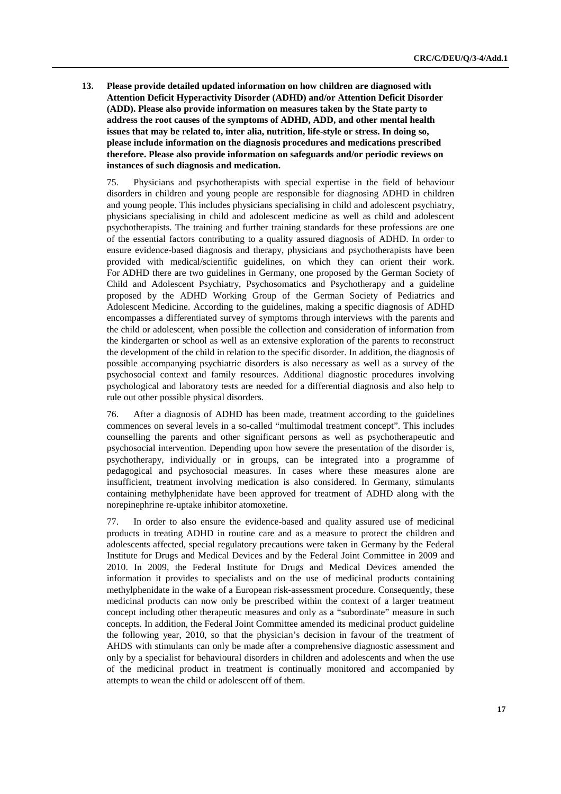**13. Please provide detailed updated information on how children are diagnosed with Attention Deficit Hyperactivity Disorder (ADHD) and/or Attention Deficit Disorder (ADD). Please also provide information on measures taken by the State party to address the root causes of the symptoms of ADHD, ADD, and other mental health issues that may be related to, inter alia, nutrition, life-style or stress. In doing so, please include information on the diagnosis procedures and medications prescribed therefore. Please also provide information on safeguards and/or periodic reviews on instances of such diagnosis and medication.** 

75. Physicians and psychotherapists with special expertise in the field of behaviour disorders in children and young people are responsible for diagnosing ADHD in children and young people. This includes physicians specialising in child and adolescent psychiatry, physicians specialising in child and adolescent medicine as well as child and adolescent psychotherapists. The training and further training standards for these professions are one of the essential factors contributing to a quality assured diagnosis of ADHD. In order to ensure evidence-based diagnosis and therapy, physicians and psychotherapists have been provided with medical/scientific guidelines, on which they can orient their work. For ADHD there are two guidelines in Germany, one proposed by the German Society of Child and Adolescent Psychiatry, Psychosomatics and Psychotherapy and a guideline proposed by the ADHD Working Group of the German Society of Pediatrics and Adolescent Medicine. According to the guidelines, making a specific diagnosis of ADHD encompasses a differentiated survey of symptoms through interviews with the parents and the child or adolescent, when possible the collection and consideration of information from the kindergarten or school as well as an extensive exploration of the parents to reconstruct the development of the child in relation to the specific disorder. In addition, the diagnosis of possible accompanying psychiatric disorders is also necessary as well as a survey of the psychosocial context and family resources. Additional diagnostic procedures involving psychological and laboratory tests are needed for a differential diagnosis and also help to rule out other possible physical disorders.

76. After a diagnosis of ADHD has been made, treatment according to the guidelines commences on several levels in a so-called "multimodal treatment concept". This includes counselling the parents and other significant persons as well as psychotherapeutic and psychosocial intervention. Depending upon how severe the presentation of the disorder is, psychotherapy, individually or in groups, can be integrated into a programme of pedagogical and psychosocial measures. In cases where these measures alone are insufficient, treatment involving medication is also considered. In Germany, stimulants containing methylphenidate have been approved for treatment of ADHD along with the norepinephrine re-uptake inhibitor atomoxetine.

77. In order to also ensure the evidence-based and quality assured use of medicinal products in treating ADHD in routine care and as a measure to protect the children and adolescents affected, special regulatory precautions were taken in Germany by the Federal Institute for Drugs and Medical Devices and by the Federal Joint Committee in 2009 and 2010. In 2009, the Federal Institute for Drugs and Medical Devices amended the information it provides to specialists and on the use of medicinal products containing methylphenidate in the wake of a European risk-assessment procedure. Consequently, these medicinal products can now only be prescribed within the context of a larger treatment concept including other therapeutic measures and only as a "subordinate" measure in such concepts. In addition, the Federal Joint Committee amended its medicinal product guideline the following year, 2010, so that the physician's decision in favour of the treatment of AHDS with stimulants can only be made after a comprehensive diagnostic assessment and only by a specialist for behavioural disorders in children and adolescents and when the use of the medicinal product in treatment is continually monitored and accompanied by attempts to wean the child or adolescent off of them.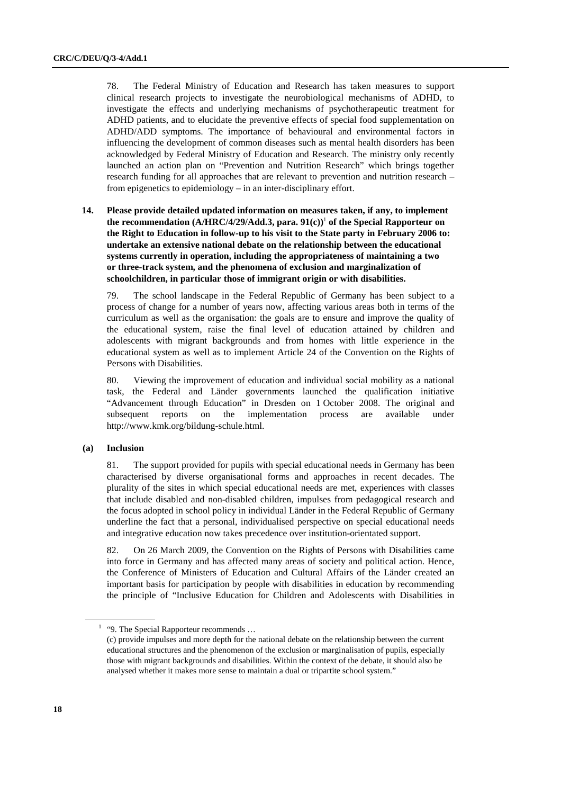78. The Federal Ministry of Education and Research has taken measures to support clinical research projects to investigate the neurobiological mechanisms of ADHD, to investigate the effects and underlying mechanisms of psychotherapeutic treatment for ADHD patients, and to elucidate the preventive effects of special food supplementation on ADHD/ADD symptoms. The importance of behavioural and environmental factors in influencing the development of common diseases such as mental health disorders has been acknowledged by Federal Ministry of Education and Research. The ministry only recently launched an action plan on "Prevention and Nutrition Research" which brings together research funding for all approaches that are relevant to prevention and nutrition research – from epigenetics to epidemiology – in an inter-disciplinary effort.

 **14. Please provide detailed updated information on measures taken, if any, to implement the recommendation (A/HRC/4/29/Add.3, para. 91(c))**<sup>1</sup>  **of the Special Rapporteur on the Right to Education in follow-up to his visit to the State party in February 2006 to: undertake an extensive national debate on the relationship between the educational systems currently in operation, including the appropriateness of maintaining a two or three-track system, and the phenomena of exclusion and marginalization of schoolchildren, in particular those of immigrant origin or with disabilities.** 

79. The school landscape in the Federal Republic of Germany has been subject to a process of change for a number of years now, affecting various areas both in terms of the curriculum as well as the organisation: the goals are to ensure and improve the quality of the educational system, raise the final level of education attained by children and adolescents with migrant backgrounds and from homes with little experience in the educational system as well as to implement Article 24 of the Convention on the Rights of Persons with Disabilities.

80. Viewing the improvement of education and individual social mobility as a national task, the Federal and Länder governments launched the qualification initiative "Advancement through Education" in Dresden on 1 October 2008. The original and subsequent reports on the implementation process are available under http://www.kmk.org/bildung-schule.html.

## **(a) Inclusion**

81. The support provided for pupils with special educational needs in Germany has been characterised by diverse organisational forms and approaches in recent decades. The plurality of the sites in which special educational needs are met, experiences with classes that include disabled and non-disabled children, impulses from pedagogical research and the focus adopted in school policy in individual Länder in the Federal Republic of Germany underline the fact that a personal, individualised perspective on special educational needs and integrative education now takes precedence over institution-orientated support.

82. On 26 March 2009, the Convention on the Rights of Persons with Disabilities came into force in Germany and has affected many areas of society and political action. Hence, the Conference of Ministers of Education and Cultural Affairs of the Länder created an important basis for participation by people with disabilities in education by recommending the principle of "Inclusive Education for Children and Adolescents with Disabilities in

<sup>&</sup>lt;sup>1</sup> "9. The Special Rapporteur recommends ...

 <sup>(</sup>c) provide impulses and more depth for the national debate on the relationship between the current educational structures and the phenomenon of the exclusion or marginalisation of pupils, especially those with migrant backgrounds and disabilities. Within the context of the debate, it should also be analysed whether it makes more sense to maintain a dual or tripartite school system."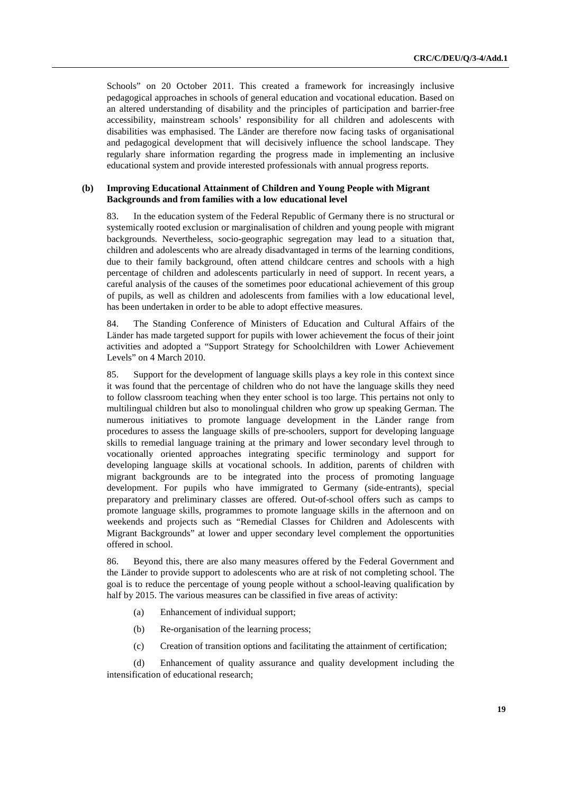Schools" on 20 October 2011. This created a framework for increasingly inclusive pedagogical approaches in schools of general education and vocational education. Based on an altered understanding of disability and the principles of participation and barrier-free accessibility, mainstream schools' responsibility for all children and adolescents with disabilities was emphasised. The Länder are therefore now facing tasks of organisational and pedagogical development that will decisively influence the school landscape. They regularly share information regarding the progress made in implementing an inclusive educational system and provide interested professionals with annual progress reports.

#### **(b) Improving Educational Attainment of Children and Young People with Migrant Backgrounds and from families with a low educational level**

83. In the education system of the Federal Republic of Germany there is no structural or systemically rooted exclusion or marginalisation of children and young people with migrant backgrounds. Nevertheless, socio-geographic segregation may lead to a situation that, children and adolescents who are already disadvantaged in terms of the learning conditions, due to their family background, often attend childcare centres and schools with a high percentage of children and adolescents particularly in need of support. In recent years, a careful analysis of the causes of the sometimes poor educational achievement of this group of pupils, as well as children and adolescents from families with a low educational level, has been undertaken in order to be able to adopt effective measures.

84. The Standing Conference of Ministers of Education and Cultural Affairs of the Länder has made targeted support for pupils with lower achievement the focus of their joint activities and adopted a "Support Strategy for Schoolchildren with Lower Achievement Levels" on 4 March 2010.

85. Support for the development of language skills plays a key role in this context since it was found that the percentage of children who do not have the language skills they need to follow classroom teaching when they enter school is too large. This pertains not only to multilingual children but also to monolingual children who grow up speaking German. The numerous initiatives to promote language development in the Länder range from procedures to assess the language skills of pre-schoolers, support for developing language skills to remedial language training at the primary and lower secondary level through to vocationally oriented approaches integrating specific terminology and support for developing language skills at vocational schools. In addition, parents of children with migrant backgrounds are to be integrated into the process of promoting language development. For pupils who have immigrated to Germany (side-entrants), special preparatory and preliminary classes are offered. Out-of-school offers such as camps to promote language skills, programmes to promote language skills in the afternoon and on weekends and projects such as "Remedial Classes for Children and Adolescents with Migrant Backgrounds" at lower and upper secondary level complement the opportunities offered in school.

86. Beyond this, there are also many measures offered by the Federal Government and the Länder to provide support to adolescents who are at risk of not completing school. The goal is to reduce the percentage of young people without a school-leaving qualification by half by 2015. The various measures can be classified in five areas of activity:

- (a) Enhancement of individual support;
- (b) Re-organisation of the learning process;
- (c) Creation of transition options and facilitating the attainment of certification;

(d) Enhancement of quality assurance and quality development including the intensification of educational research;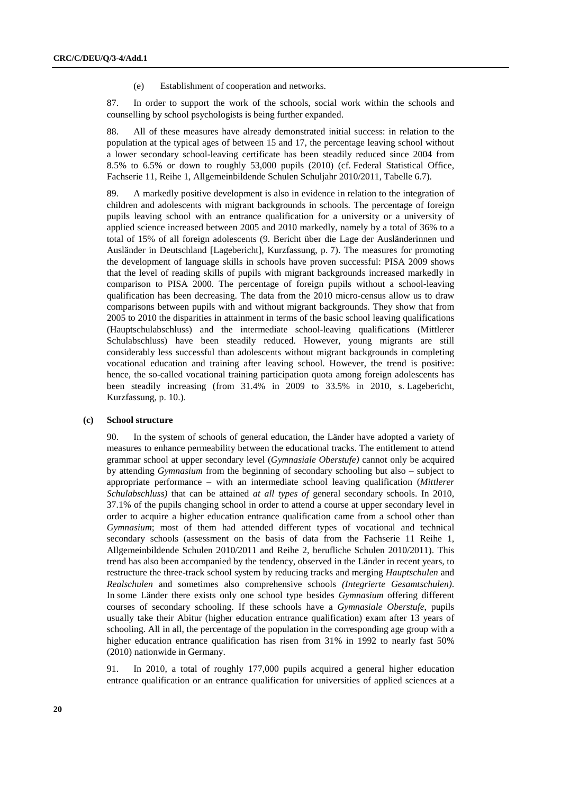(e) Establishment of cooperation and networks.

87. In order to support the work of the schools, social work within the schools and counselling by school psychologists is being further expanded.

88. All of these measures have already demonstrated initial success: in relation to the population at the typical ages of between 15 and 17, the percentage leaving school without a lower secondary school-leaving certificate has been steadily reduced since 2004 from 8.5% to 6.5% or down to roughly 53,000 pupils (2010) (cf. Federal Statistical Office, Fachserie 11, Reihe 1, Allgemeinbildende Schulen Schuljahr 2010/2011, Tabelle 6.7).

89. A markedly positive development is also in evidence in relation to the integration of children and adolescents with migrant backgrounds in schools. The percentage of foreign pupils leaving school with an entrance qualification for a university or a university of applied science increased between 2005 and 2010 markedly, namely by a total of 36% to a total of 15% of all foreign adolescents (9. Bericht über die Lage der Ausländerinnen und Ausländer in Deutschland [Lagebericht], Kurzfassung, p. 7). The measures for promoting the development of language skills in schools have proven successful: PISA 2009 shows that the level of reading skills of pupils with migrant backgrounds increased markedly in comparison to PISA 2000. The percentage of foreign pupils without a school-leaving qualification has been decreasing. The data from the 2010 micro-census allow us to draw comparisons between pupils with and without migrant backgrounds. They show that from 2005 to 2010 the disparities in attainment in terms of the basic school leaving qualifications (Hauptschulabschluss) and the intermediate school-leaving qualifications (Mittlerer Schulabschluss) have been steadily reduced. However, young migrants are still considerably less successful than adolescents without migrant backgrounds in completing vocational education and training after leaving school. However, the trend is positive: hence, the so-called vocational training participation quota among foreign adolescents has been steadily increasing (from 31.4% in 2009 to 33.5% in 2010, s. Lagebericht, Kurzfassung, p. 10.).

#### **(c) School structure**

90. In the system of schools of general education, the Länder have adopted a variety of measures to enhance permeability between the educational tracks. The entitlement to attend grammar school at upper secondary level (*Gymnasiale Oberstufe)* cannot only be acquired by attending *Gymnasium* from the beginning of secondary schooling but also – subject to appropriate performance – with an intermediate school leaving qualification (*Mittlerer Schulabschluss)* that can be attained *at all types of* general secondary schools. In 2010, 37.1% of the pupils changing school in order to attend a course at upper secondary level in order to acquire a higher education entrance qualification came from a school other than *Gymnasium*; most of them had attended different types of vocational and technical secondary schools (assessment on the basis of data from the Fachserie 11 Reihe 1, Allgemeinbildende Schulen 2010/2011 and Reihe 2, berufliche Schulen 2010/2011). This trend has also been accompanied by the tendency, observed in the Länder in recent years, to restructure the three-track school system by reducing tracks and merging *Hauptschulen* and *Realschulen* and sometimes also comprehensive schools *(Integrierte Gesamtschulen)*. In some Länder there exists only one school type besides *Gymnasium* offering different courses of secondary schooling. If these schools have a *Gymnasiale Oberstufe*, pupils usually take their Abitur (higher education entrance qualification) exam after 13 years of schooling. All in all, the percentage of the population in the corresponding age group with a higher education entrance qualification has risen from 31% in 1992 to nearly fast 50% (2010) nationwide in Germany.

91. In 2010, a total of roughly 177,000 pupils acquired a general higher education entrance qualification or an entrance qualification for universities of applied sciences at a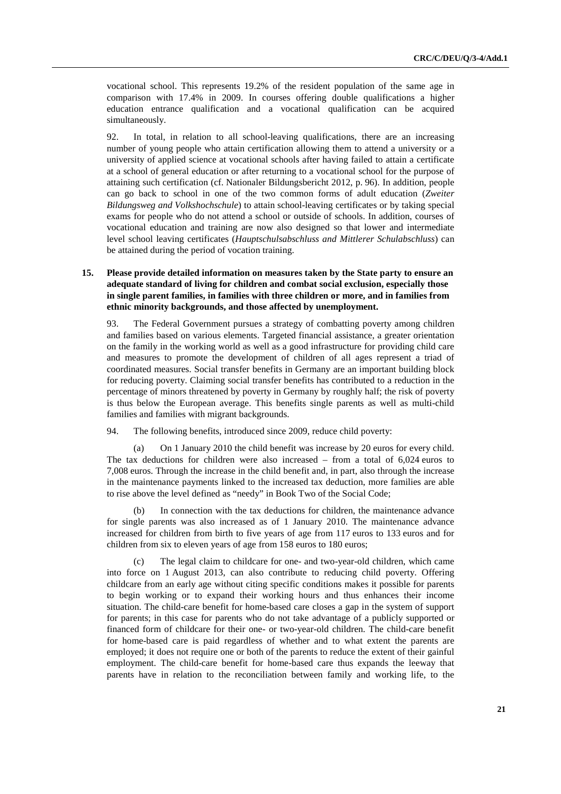vocational school. This represents 19.2% of the resident population of the same age in comparison with 17.4% in 2009. In courses offering double qualifications a higher education entrance qualification and a vocational qualification can be acquired simultaneously.

92. In total, in relation to all school-leaving qualifications, there are an increasing number of young people who attain certification allowing them to attend a university or a university of applied science at vocational schools after having failed to attain a certificate at a school of general education or after returning to a vocational school for the purpose of attaining such certification (cf. Nationaler Bildungsbericht 2012, p. 96). In addition, people can go back to school in one of the two common forms of adult education (*Zweiter Bildungsweg and Volkshochschule*) to attain school-leaving certificates or by taking special exams for people who do not attend a school or outside of schools. In addition, courses of vocational education and training are now also designed so that lower and intermediate level school leaving certificates (*Hauptschulsabschluss and Mittlerer Schulabschluss*) can be attained during the period of vocation training.

## **15. Please provide detailed information on measures taken by the State party to ensure an adequate standard of living for children and combat social exclusion, especially those in single parent families, in families with three children or more, and in families from ethnic minority backgrounds, and those affected by unemployment.**

93. The Federal Government pursues a strategy of combatting poverty among children and families based on various elements. Targeted financial assistance, a greater orientation on the family in the working world as well as a good infrastructure for providing child care and measures to promote the development of children of all ages represent a triad of coordinated measures. Social transfer benefits in Germany are an important building block for reducing poverty. Claiming social transfer benefits has contributed to a reduction in the percentage of minors threatened by poverty in Germany by roughly half; the risk of poverty is thus below the European average. This benefits single parents as well as multi-child families and families with migrant backgrounds.

94. The following benefits, introduced since 2009, reduce child poverty:

(a) On 1 January 2010 the child benefit was increase by 20 euros for every child. The tax deductions for children were also increased – from a total of 6,024 euros to 7,008 euros. Through the increase in the child benefit and, in part, also through the increase in the maintenance payments linked to the increased tax deduction, more families are able to rise above the level defined as "needy" in Book Two of the Social Code;

(b) In connection with the tax deductions for children, the maintenance advance for single parents was also increased as of 1 January 2010. The maintenance advance increased for children from birth to five years of age from 117 euros to 133 euros and for children from six to eleven years of age from 158 euros to 180 euros;

(c) The legal claim to childcare for one- and two-year-old children, which came into force on 1 August 2013, can also contribute to reducing child poverty. Offering childcare from an early age without citing specific conditions makes it possible for parents to begin working or to expand their working hours and thus enhances their income situation. The child-care benefit for home-based care closes a gap in the system of support for parents; in this case for parents who do not take advantage of a publicly supported or financed form of childcare for their one- or two-year-old children. The child-care benefit for home-based care is paid regardless of whether and to what extent the parents are employed; it does not require one or both of the parents to reduce the extent of their gainful employment. The child-care benefit for home-based care thus expands the leeway that parents have in relation to the reconciliation between family and working life, to the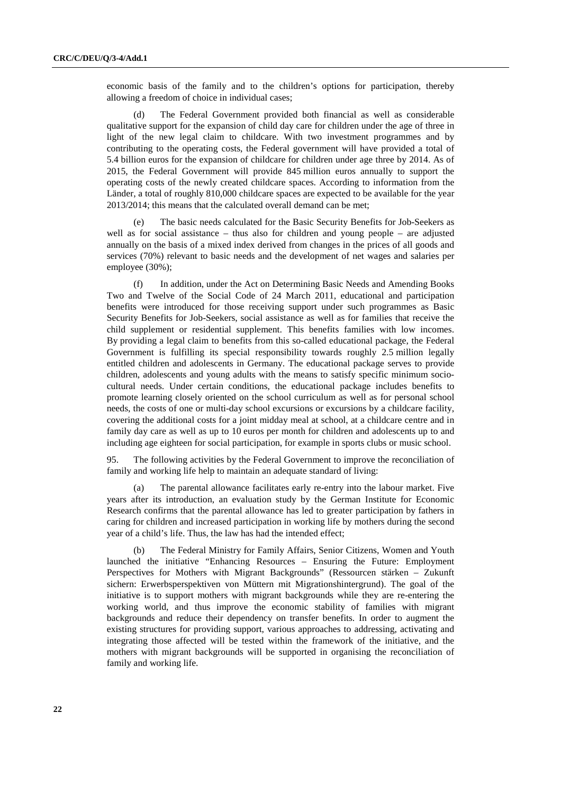economic basis of the family and to the children's options for participation, thereby allowing a freedom of choice in individual cases;

(d) The Federal Government provided both financial as well as considerable qualitative support for the expansion of child day care for children under the age of three in light of the new legal claim to childcare. With two investment programmes and by contributing to the operating costs, the Federal government will have provided a total of 5.4 billion euros for the expansion of childcare for children under age three by 2014. As of 2015, the Federal Government will provide 845 million euros annually to support the operating costs of the newly created childcare spaces. According to information from the Länder, a total of roughly 810,000 childcare spaces are expected to be available for the year 2013/2014; this means that the calculated overall demand can be met;

(e) The basic needs calculated for the Basic Security Benefits for Job-Seekers as well as for social assistance – thus also for children and young people – are adjusted annually on the basis of a mixed index derived from changes in the prices of all goods and services (70%) relevant to basic needs and the development of net wages and salaries per employee (30%);

(f) In addition, under the Act on Determining Basic Needs and Amending Books Two and Twelve of the Social Code of 24 March 2011, educational and participation benefits were introduced for those receiving support under such programmes as Basic Security Benefits for Job-Seekers, social assistance as well as for families that receive the child supplement or residential supplement. This benefits families with low incomes. By providing a legal claim to benefits from this so-called educational package, the Federal Government is fulfilling its special responsibility towards roughly 2.5 million legally entitled children and adolescents in Germany. The educational package serves to provide children, adolescents and young adults with the means to satisfy specific minimum sociocultural needs. Under certain conditions, the educational package includes benefits to promote learning closely oriented on the school curriculum as well as for personal school needs, the costs of one or multi-day school excursions or excursions by a childcare facility, covering the additional costs for a joint midday meal at school, at a childcare centre and in family day care as well as up to 10 euros per month for children and adolescents up to and including age eighteen for social participation, for example in sports clubs or music school.

95. The following activities by the Federal Government to improve the reconciliation of family and working life help to maintain an adequate standard of living:

(a) The parental allowance facilitates early re-entry into the labour market. Five years after its introduction, an evaluation study by the German Institute for Economic Research confirms that the parental allowance has led to greater participation by fathers in caring for children and increased participation in working life by mothers during the second year of a child's life. Thus, the law has had the intended effect;

(b) The Federal Ministry for Family Affairs, Senior Citizens, Women and Youth launched the initiative "Enhancing Resources – Ensuring the Future: Employment Perspectives for Mothers with Migrant Backgrounds" (Ressourcen stärken – Zukunft sichern: Erwerbsperspektiven von Müttern mit Migrationshintergrund). The goal of the initiative is to support mothers with migrant backgrounds while they are re-entering the working world, and thus improve the economic stability of families with migrant backgrounds and reduce their dependency on transfer benefits. In order to augment the existing structures for providing support, various approaches to addressing, activating and integrating those affected will be tested within the framework of the initiative, and the mothers with migrant backgrounds will be supported in organising the reconciliation of family and working life.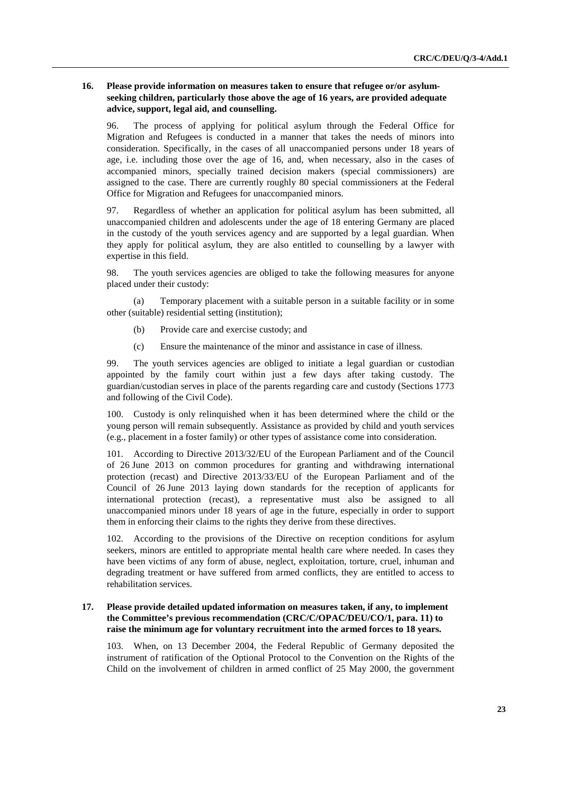## **16. Please provide information on measures taken to ensure that refugee or/or asylumseeking children, particularly those above the age of 16 years, are provided adequate advice, support, legal aid, and counselling.**

96. The process of applying for political asylum through the Federal Office for Migration and Refugees is conducted in a manner that takes the needs of minors into consideration. Specifically, in the cases of all unaccompanied persons under 18 years of age, i.e. including those over the age of 16, and, when necessary, also in the cases of accompanied minors, specially trained decision makers (special commissioners) are assigned to the case. There are currently roughly 80 special commissioners at the Federal Office for Migration and Refugees for unaccompanied minors.

97. Regardless of whether an application for political asylum has been submitted, all unaccompanied children and adolescents under the age of 18 entering Germany are placed in the custody of the youth services agency and are supported by a legal guardian. When they apply for political asylum, they are also entitled to counselling by a lawyer with expertise in this field.

98. The youth services agencies are obliged to take the following measures for anyone placed under their custody:

(a) Temporary placement with a suitable person in a suitable facility or in some other (suitable) residential setting (institution);

- (b) Provide care and exercise custody; and
- (c) Ensure the maintenance of the minor and assistance in case of illness.

99. The youth services agencies are obliged to initiate a legal guardian or custodian appointed by the family court within just a few days after taking custody. The guardian/custodian serves in place of the parents regarding care and custody (Sections 1773 and following of the Civil Code).

100. Custody is only relinquished when it has been determined where the child or the young person will remain subsequently. Assistance as provided by child and youth services (e.g., placement in a foster family) or other types of assistance come into consideration.

101. According to Directive 2013/32/EU of the European Parliament and of the Council of 26 June 2013 on common procedures for granting and withdrawing international protection (recast) and Directive 2013/33/EU of the European Parliament and of the Council of 26 June 2013 laying down standards for the reception of applicants for international protection (recast), a representative must also be assigned to all unaccompanied minors under 18 years of age in the future, especially in order to support them in enforcing their claims to the rights they derive from these directives.

102. According to the provisions of the Directive on reception conditions for asylum seekers, minors are entitled to appropriate mental health care where needed. In cases they have been victims of any form of abuse, neglect, exploitation, torture, cruel, inhuman and degrading treatment or have suffered from armed conflicts, they are entitled to access to rehabilitation services.

## **17. Please provide detailed updated information on measures taken, if any, to implement the Committee's previous recommendation (CRC/C/OPAC/DEU/CO/1, para. 11) to raise the minimum age for voluntary recruitment into the armed forces to 18 years.**

103. When, on 13 December 2004, the Federal Republic of Germany deposited the instrument of ratification of the Optional Protocol to the Convention on the Rights of the Child on the involvement of children in armed conflict of 25 May 2000, the government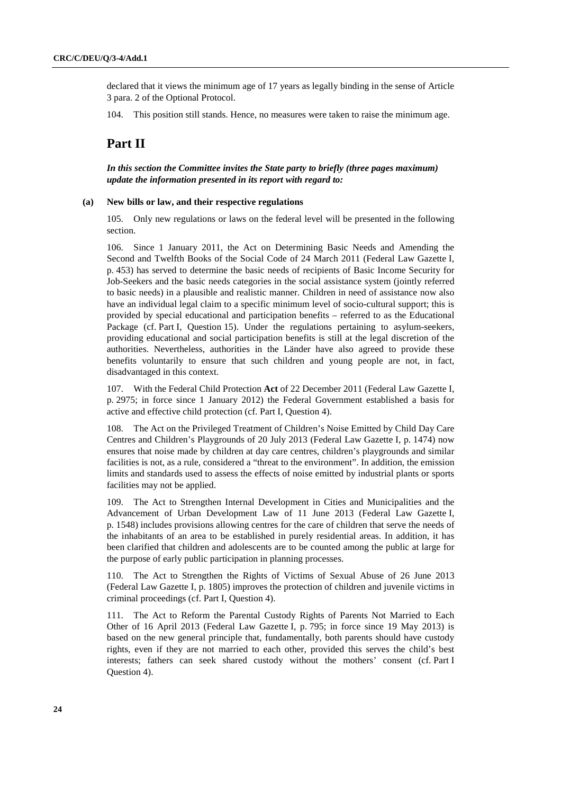declared that it views the minimum age of 17 years as legally binding in the sense of Article 3 para. 2 of the Optional Protocol.

104. This position still stands. Hence, no measures were taken to raise the minimum age.

# **Part II**

 *In this section the Committee invites the State party to briefly (three pages maximum) update the information presented in its report with regard to:* 

#### **(a) New bills or law, and their respective regulations**

105. Only new regulations or laws on the federal level will be presented in the following section.

106. Since 1 January 2011, the Act on Determining Basic Needs and Amending the Second and Twelfth Books of the Social Code of 24 March 2011 (Federal Law Gazette I, p. 453) has served to determine the basic needs of recipients of Basic Income Security for Job-Seekers and the basic needs categories in the social assistance system (jointly referred to basic needs) in a plausible and realistic manner. Children in need of assistance now also have an individual legal claim to a specific minimum level of socio-cultural support; this is provided by special educational and participation benefits – referred to as the Educational Package (cf. Part I, Question 15). Under the regulations pertaining to asylum-seekers, providing educational and social participation benefits is still at the legal discretion of the authorities. Nevertheless, authorities in the Länder have also agreed to provide these benefits voluntarily to ensure that such children and young people are not, in fact, disadvantaged in this context.

107. With the Federal Child Protection **Act** of 22 December 2011 (Federal Law Gazette I, p. 2975; in force since 1 January 2012) the Federal Government established a basis for active and effective child protection (cf. Part I, Question 4).

108. The Act on the Privileged Treatment of Children's Noise Emitted by Child Day Care Centres and Children's Playgrounds of 20 July 2013 (Federal Law Gazette I, p. 1474) now ensures that noise made by children at day care centres, children's playgrounds and similar facilities is not, as a rule, considered a "threat to the environment". In addition, the emission limits and standards used to assess the effects of noise emitted by industrial plants or sports facilities may not be applied.

109. The Act to Strengthen Internal Development in Cities and Municipalities and the Advancement of Urban Development Law of 11 June 2013 (Federal Law Gazette I, p. 1548) includes provisions allowing centres for the care of children that serve the needs of the inhabitants of an area to be established in purely residential areas. In addition, it has been clarified that children and adolescents are to be counted among the public at large for the purpose of early public participation in planning processes.

110. The Act to Strengthen the Rights of Victims of Sexual Abuse of 26 June 2013 (Federal Law Gazette I, p. 1805) improves the protection of children and juvenile victims in criminal proceedings (cf. Part I, Question 4).

111. The Act to Reform the Parental Custody Rights of Parents Not Married to Each Other of 16 April 2013 (Federal Law Gazette I, p. 795; in force since 19 May 2013) is based on the new general principle that, fundamentally, both parents should have custody rights, even if they are not married to each other, provided this serves the child's best interests; fathers can seek shared custody without the mothers' consent (cf. Part I Question 4).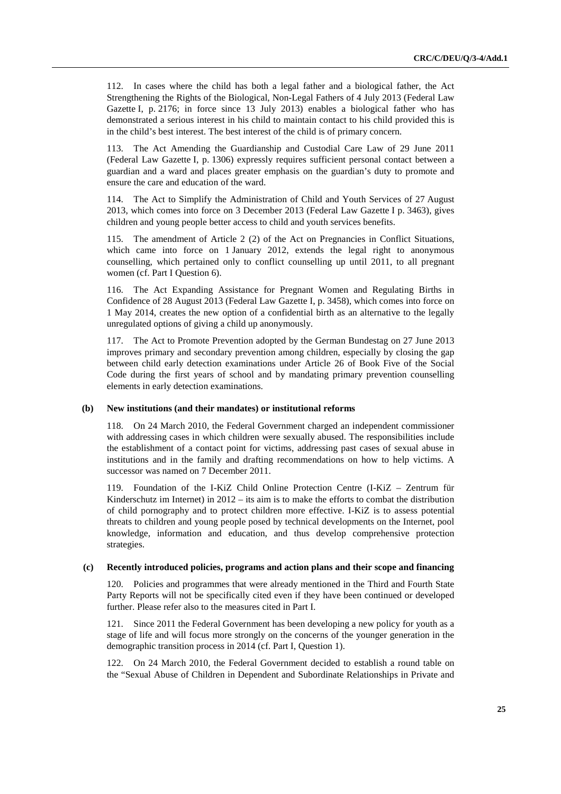112. In cases where the child has both a legal father and a biological father, the Act Strengthening the Rights of the Biological, Non-Legal Fathers of 4 July 2013 (Federal Law Gazette I, p. 2176; in force since 13 July 2013) enables a biological father who has demonstrated a serious interest in his child to maintain contact to his child provided this is in the child's best interest. The best interest of the child is of primary concern.

113. The Act Amending the Guardianship and Custodial Care Law of 29 June 2011 (Federal Law Gazette I, p. 1306) expressly requires sufficient personal contact between a guardian and a ward and places greater emphasis on the guardian's duty to promote and ensure the care and education of the ward.

114. The Act to Simplify the Administration of Child and Youth Services of 27 August 2013, which comes into force on 3 December 2013 (Federal Law Gazette I p. 3463), gives children and young people better access to child and youth services benefits.

115. The amendment of Article 2 (2) of the Act on Pregnancies in Conflict Situations, which came into force on 1 January 2012, extends the legal right to anonymous counselling, which pertained only to conflict counselling up until 2011, to all pregnant women (cf. Part I Question 6).

116. The Act Expanding Assistance for Pregnant Women and Regulating Births in Confidence of 28 August 2013 (Federal Law Gazette I, p. 3458), which comes into force on 1 May 2014, creates the new option of a confidential birth as an alternative to the legally unregulated options of giving a child up anonymously.

117. The Act to Promote Prevention adopted by the German Bundestag on 27 June 2013 improves primary and secondary prevention among children, especially by closing the gap between child early detection examinations under Article 26 of Book Five of the Social Code during the first years of school and by mandating primary prevention counselling elements in early detection examinations.

#### **(b) New institutions (and their mandates) or institutional reforms**

118. On 24 March 2010, the Federal Government charged an independent commissioner with addressing cases in which children were sexually abused. The responsibilities include the establishment of a contact point for victims, addressing past cases of sexual abuse in institutions and in the family and drafting recommendations on how to help victims. A successor was named on 7 December 2011.

119. Foundation of the I-KiZ Child Online Protection Centre (I-KiZ – Zentrum für Kinderschutz im Internet) in 2012 – its aim is to make the efforts to combat the distribution of child pornography and to protect children more effective. I-KiZ is to assess potential threats to children and young people posed by technical developments on the Internet, pool knowledge, information and education, and thus develop comprehensive protection strategies.

#### **(c) Recently introduced policies, programs and action plans and their scope and financing**

120. Policies and programmes that were already mentioned in the Third and Fourth State Party Reports will not be specifically cited even if they have been continued or developed further. Please refer also to the measures cited in Part I.

121. Since 2011 the Federal Government has been developing a new policy for youth as a stage of life and will focus more strongly on the concerns of the younger generation in the demographic transition process in 2014 (cf. Part I, Question 1).

122. On 24 March 2010, the Federal Government decided to establish a round table on the "Sexual Abuse of Children in Dependent and Subordinate Relationships in Private and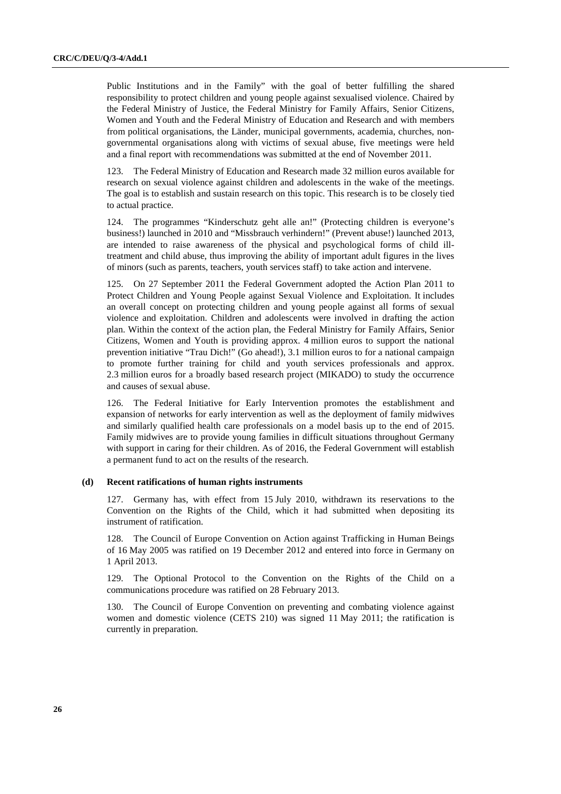Public Institutions and in the Family" with the goal of better fulfilling the shared responsibility to protect children and young people against sexualised violence. Chaired by the Federal Ministry of Justice, the Federal Ministry for Family Affairs, Senior Citizens, Women and Youth and the Federal Ministry of Education and Research and with members from political organisations, the Länder, municipal governments, academia, churches, nongovernmental organisations along with victims of sexual abuse, five meetings were held and a final report with recommendations was submitted at the end of November 2011.

123. The Federal Ministry of Education and Research made 32 million euros available for research on sexual violence against children and adolescents in the wake of the meetings. The goal is to establish and sustain research on this topic. This research is to be closely tied to actual practice.

124. The programmes "Kinderschutz geht alle an!" (Protecting children is everyone's business!) launched in 2010 and "Missbrauch verhindern!" (Prevent abuse!) launched 2013, are intended to raise awareness of the physical and psychological forms of child illtreatment and child abuse, thus improving the ability of important adult figures in the lives of minors (such as parents, teachers, youth services staff) to take action and intervene.

125. On 27 September 2011 the Federal Government adopted the Action Plan 2011 to Protect Children and Young People against Sexual Violence and Exploitation. It includes an overall concept on protecting children and young people against all forms of sexual violence and exploitation. Children and adolescents were involved in drafting the action plan. Within the context of the action plan, the Federal Ministry for Family Affairs, Senior Citizens, Women and Youth is providing approx. 4 million euros to support the national prevention initiative "Trau Dich!" (Go ahead!), 3.1 million euros to for a national campaign to promote further training for child and youth services professionals and approx. 2.3 million euros for a broadly based research project (MIKADO) to study the occurrence and causes of sexual abuse.

126. The Federal Initiative for Early Intervention promotes the establishment and expansion of networks for early intervention as well as the deployment of family midwives and similarly qualified health care professionals on a model basis up to the end of 2015. Family midwives are to provide young families in difficult situations throughout Germany with support in caring for their children. As of 2016, the Federal Government will establish a permanent fund to act on the results of the research.

#### **(d) Recent ratifications of human rights instruments**

127. Germany has, with effect from 15 July 2010, withdrawn its reservations to the Convention on the Rights of the Child, which it had submitted when depositing its instrument of ratification.

128. The Council of Europe Convention on Action against Trafficking in Human Beings of 16 May 2005 was ratified on 19 December 2012 and entered into force in Germany on 1 April 2013.

129. The Optional Protocol to the Convention on the Rights of the Child on a communications procedure was ratified on 28 February 2013.

130. The Council of Europe Convention on preventing and combating violence against women and domestic violence (CETS 210) was signed 11 May 2011; the ratification is currently in preparation.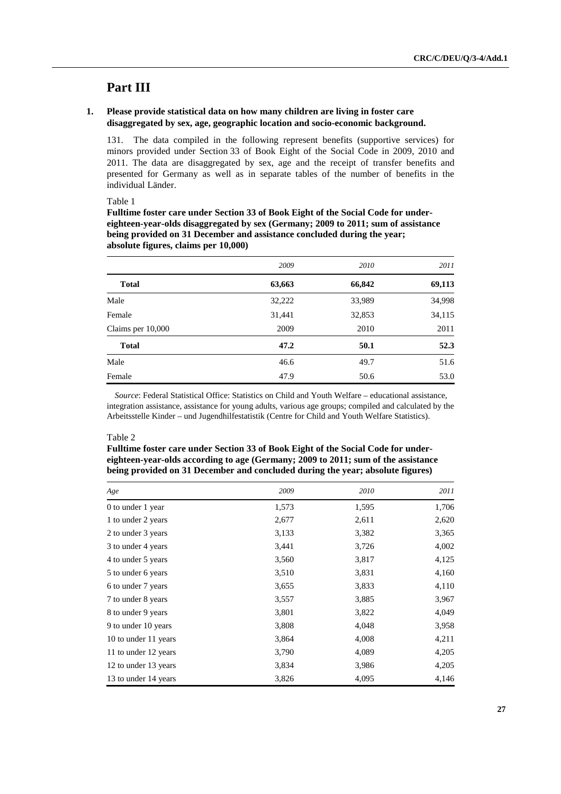# **Part III**

## **1. Please provide statistical data on how many children are living in foster care disaggregated by sex, age, geographic location and socio-economic background.**

131. The data compiled in the following represent benefits (supportive services) for minors provided under Section 33 of Book Eight of the Social Code in 2009, 2010 and 2011. The data are disaggregated by sex, age and the receipt of transfer benefits and presented for Germany as well as in separate tables of the number of benefits in the individual Länder.

Table 1

**Fulltime foster care under Section 33 of Book Eight of the Social Code for undereighteen-year-olds disaggregated by sex (Germany; 2009 to 2011; sum of assistance being provided on 31 December and assistance concluded during the year; absolute figures, claims per 10,000)** 

|                   | 2009   | 2010   | 2011   |
|-------------------|--------|--------|--------|
| <b>Total</b>      | 63,663 | 66,842 | 69,113 |
| Male              | 32,222 | 33,989 | 34,998 |
| Female            | 31,441 | 32,853 | 34,115 |
| Claims per 10,000 | 2009   | 2010   | 2011   |
| <b>Total</b>      | 47.2   | 50.1   | 52.3   |
| Male              | 46.6   | 49.7   | 51.6   |
| Female            | 47.9   | 50.6   | 53.0   |

*Source*: Federal Statistical Office: Statistics on Child and Youth Welfare – educational assistance, integration assistance, assistance for young adults, various age groups; compiled and calculated by the Arbeitsstelle Kinder – und Jugendhilfestatistik (Centre for Child and Youth Welfare Statistics).

#### Table 2

## **Fulltime foster care under Section 33 of Book Eight of the Social Code for undereighteen-year-olds according to age (Germany; 2009 to 2011; sum of the assistance being provided on 31 December and concluded during the year; absolute figures)**

| Age                  | 2009  | 2010  | 2011  |
|----------------------|-------|-------|-------|
| 0 to under 1 year    | 1,573 | 1,595 | 1,706 |
| 1 to under 2 years   | 2,677 | 2,611 | 2,620 |
| 2 to under 3 years   | 3,133 | 3,382 | 3,365 |
| 3 to under 4 years   | 3,441 | 3,726 | 4,002 |
| 4 to under 5 years   | 3,560 | 3,817 | 4,125 |
| 5 to under 6 years   | 3,510 | 3,831 | 4,160 |
| 6 to under 7 years   | 3,655 | 3,833 | 4,110 |
| 7 to under 8 years   | 3,557 | 3,885 | 3,967 |
| 8 to under 9 years   | 3,801 | 3,822 | 4,049 |
| 9 to under 10 years  | 3,808 | 4,048 | 3,958 |
| 10 to under 11 years | 3,864 | 4,008 | 4,211 |
| 11 to under 12 years | 3,790 | 4,089 | 4,205 |
| 12 to under 13 years | 3,834 | 3,986 | 4,205 |
| 13 to under 14 years | 3,826 | 4,095 | 4,146 |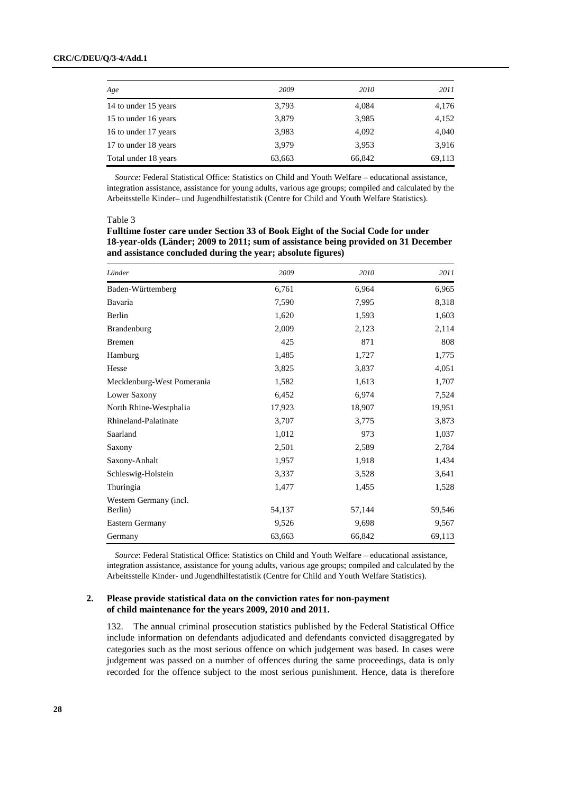| Age                  | 2009   | 2010   | 2011   |
|----------------------|--------|--------|--------|
| 14 to under 15 years | 3,793  | 4,084  | 4,176  |
| 15 to under 16 years | 3,879  | 3,985  | 4,152  |
| 16 to under 17 years | 3,983  | 4,092  | 4,040  |
| 17 to under 18 years | 3.979  | 3,953  | 3,916  |
| Total under 18 years | 63,663 | 66,842 | 69,113 |

*Source*: Federal Statistical Office: Statistics on Child and Youth Welfare – educational assistance, integration assistance, assistance for young adults, various age groups; compiled and calculated by the Arbeitsstelle Kinder– und Jugendhilfestatistik (Centre for Child and Youth Welfare Statistics).

Table 3

**Fulltime foster care under Section 33 of Book Eight of the Social Code for under 18-year-olds (Länder; 2009 to 2011; sum of assistance being provided on 31 December and assistance concluded during the year; absolute figures)** 

| Länder                            | 2009   | 2010   | 2011   |
|-----------------------------------|--------|--------|--------|
| Baden-Württemberg                 | 6,761  | 6,964  | 6,965  |
| Bavaria                           | 7,590  | 7,995  | 8,318  |
| Berlin                            | 1,620  | 1,593  | 1,603  |
| Brandenburg                       | 2,009  | 2,123  | 2,114  |
| <b>Bremen</b>                     | 425    | 871    | 808    |
| Hamburg                           | 1,485  | 1,727  | 1,775  |
| Hesse                             | 3,825  | 3,837  | 4,051  |
| Mecklenburg-West Pomerania        | 1,582  | 1,613  | 1,707  |
| Lower Saxony                      | 6,452  | 6,974  | 7,524  |
| North Rhine-Westphalia            | 17,923 | 18,907 | 19,951 |
| Rhineland-Palatinate              | 3,707  | 3,775  | 3,873  |
| Saarland                          | 1,012  | 973    | 1,037  |
| Saxony                            | 2,501  | 2,589  | 2,784  |
| Saxony-Anhalt                     | 1,957  | 1,918  | 1,434  |
| Schleswig-Holstein                | 3,337  | 3,528  | 3,641  |
| Thuringia                         | 1,477  | 1,455  | 1,528  |
| Western Germany (incl.<br>Berlin) | 54,137 | 57,144 | 59,546 |
| Eastern Germany                   | 9,526  | 9,698  | 9,567  |
| Germany                           | 63,663 | 66,842 | 69,113 |

*Source*: Federal Statistical Office: Statistics on Child and Youth Welfare – educational assistance, integration assistance, assistance for young adults, various age groups; compiled and calculated by the Arbeitsstelle Kinder- und Jugendhilfestatistik (Centre for Child and Youth Welfare Statistics).

## **2. Please provide statistical data on the conviction rates for non-payment of child maintenance for the years 2009, 2010 and 2011.**

132. The annual criminal prosecution statistics published by the Federal Statistical Office include information on defendants adjudicated and defendants convicted disaggregated by categories such as the most serious offence on which judgement was based. In cases were judgement was passed on a number of offences during the same proceedings, data is only recorded for the offence subject to the most serious punishment. Hence, data is therefore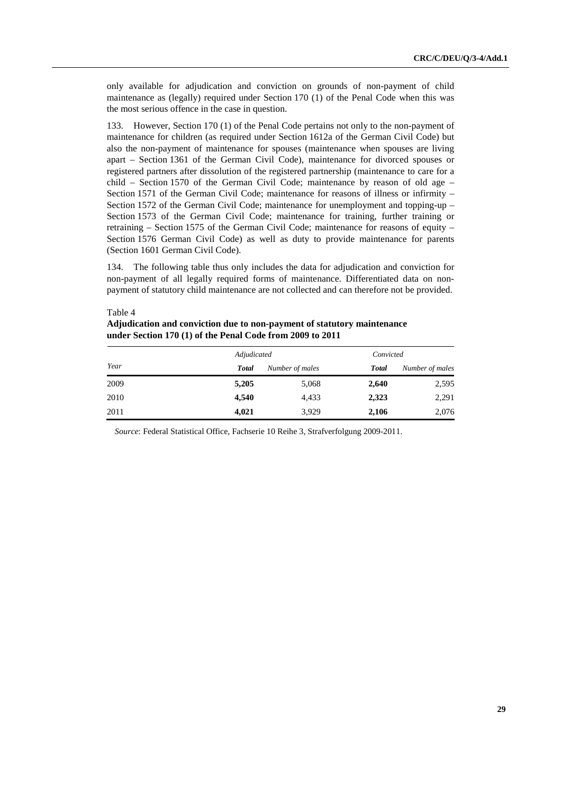only available for adjudication and conviction on grounds of non-payment of child maintenance as (legally) required under Section 170 (1) of the Penal Code when this was the most serious offence in the case in question.

133. However, Section 170 (1) of the Penal Code pertains not only to the non-payment of maintenance for children (as required under Section 1612a of the German Civil Code) but also the non-payment of maintenance for spouses (maintenance when spouses are living apart – Section 1361 of the German Civil Code), maintenance for divorced spouses or registered partners after dissolution of the registered partnership (maintenance to care for a child – Section 1570 of the German Civil Code; maintenance by reason of old age – Section 1571 of the German Civil Code; maintenance for reasons of illness or infirmity – Section 1572 of the German Civil Code; maintenance for unemployment and topping-up – Section 1573 of the German Civil Code; maintenance for training, further training or retraining  $-$  Section 1575 of the German Civil Code; maintenance for reasons of equity  $-$ Section 1576 German Civil Code) as well as duty to provide maintenance for parents (Section 1601 German Civil Code).

134. The following table thus only includes the data for adjudication and conviction for non-payment of all legally required forms of maintenance. Differentiated data on nonpayment of statutory child maintenance are not collected and can therefore not be provided.

Table 4 **Adjudication and conviction due to non-payment of statutory maintenance under Section 170 (1) of the Penal Code from 2009 to 2011** 

|      | Adjudicated  |                 | Convicted    |                 |  |
|------|--------------|-----------------|--------------|-----------------|--|
| Year | <b>Total</b> | Number of males | <b>Total</b> | Number of males |  |
| 2009 | 5,205        | 5,068           | 2,640        | 2,595           |  |
| 2010 | 4,540        | 4,433           | 2,323        | 2,291           |  |
| 2011 | 4,021        | 3,929           | 2,106        | 2,076           |  |

*Source*: Federal Statistical Office, Fachserie 10 Reihe 3, Strafverfolgung 2009-2011.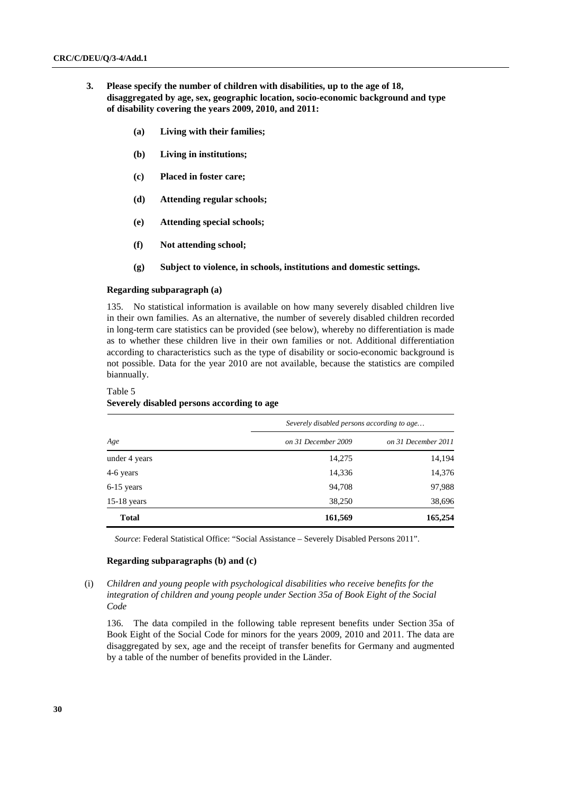- **3. Please specify the number of children with disabilities, up to the age of 18, disaggregated by age, sex, geographic location, socio-economic background and type of disability covering the years 2009, 2010, and 2011:** 
	- **(a) Living with their families;**
	- **(b) Living in institutions;**
	- **(c) Placed in foster care;**
	- **(d) Attending regular schools;**
	- **(e) Attending special schools;**
	- **(f) Not attending school;**
	- **(g) Subject to violence, in schools, institutions and domestic settings.**

#### **Regarding subparagraph (a)**

135. No statistical information is available on how many severely disabled children live in their own families. As an alternative, the number of severely disabled children recorded in long-term care statistics can be provided (see below), whereby no differentiation is made as to whether these children live in their own families or not. Additional differentiation according to characteristics such as the type of disability or socio-economic background is not possible. Data for the year 2010 are not available, because the statistics are compiled biannually.

## Table 5 **Severely disabled persons according to age**

|               | Severely disabled persons according to age |                     |  |  |  |  |
|---------------|--------------------------------------------|---------------------|--|--|--|--|
| Age           | on 31 December 2009                        | on 31 December 2011 |  |  |  |  |
| under 4 years | 14,275                                     | 14,194              |  |  |  |  |
| 4-6 years     | 14,336                                     | 14,376              |  |  |  |  |
| $6-15$ years  | 94,708                                     | 97,988              |  |  |  |  |
| $15-18$ years | 38,250                                     | 38,696              |  |  |  |  |
| <b>Total</b>  | 161,569                                    | 165,254             |  |  |  |  |

*Source*: Federal Statistical Office: "Social Assistance – Severely Disabled Persons 2011".

## **Regarding subparagraphs (b) and (c)**

(i) *Children and young people with psychological disabilities who receive benefits for the integration of children and young people under Section 35a of Book Eight of the Social Code* 

136. The data compiled in the following table represent benefits under Section 35a of Book Eight of the Social Code for minors for the years 2009, 2010 and 2011. The data are disaggregated by sex, age and the receipt of transfer benefits for Germany and augmented by a table of the number of benefits provided in the Länder.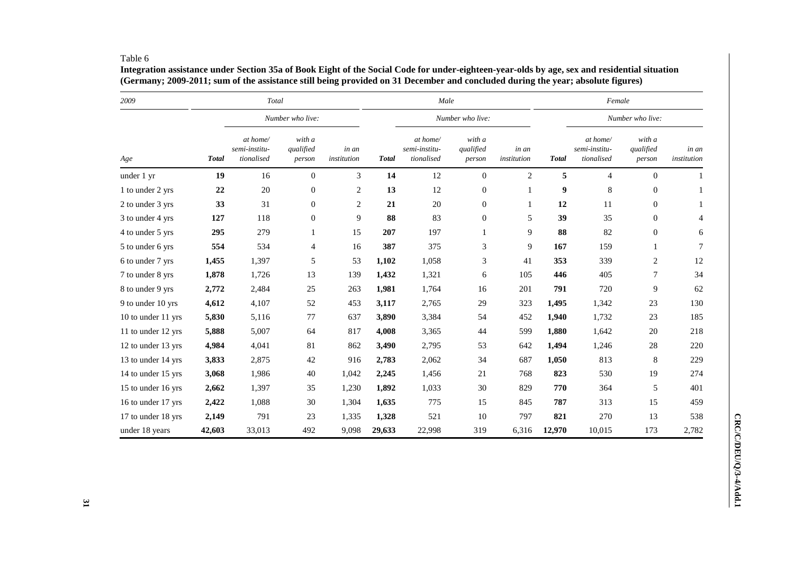#### Table 6

**Integration assistance under Section 35a of Book Eight of the Social Code for under-eighteen-year-olds by age, sex and residential situation (Germany; 2009-2011; sum of the assistance still being provided on 31 December and concluded during the year; absolute figures)**

| 2009               |              | Total                                   |                               |                      | Male         |                                         |                               |                      | Female       |                                         |                               |                      |
|--------------------|--------------|-----------------------------------------|-------------------------------|----------------------|--------------|-----------------------------------------|-------------------------------|----------------------|--------------|-----------------------------------------|-------------------------------|----------------------|
|                    |              |                                         | Number who live:              |                      |              |                                         | Number who live:              |                      |              |                                         | Number who live:              |                      |
| Age                | <b>Total</b> | at home/<br>semi-institu-<br>tionalised | with a<br>qualified<br>person | in an<br>institution | <b>Total</b> | at home/<br>semi-institu-<br>tionalised | with a<br>qualified<br>person | in an<br>institution | <b>Total</b> | at home/<br>semi-institu-<br>tionalised | with a<br>qualified<br>person | in an<br>institution |
| under 1 yr         | 19           | 16                                      | $\mathbf{0}$                  | 3                    | 14           | 12                                      | $\mathbf{0}$                  | $\overline{c}$       | 5            | $\overline{4}$                          | $\mathbf{0}$                  |                      |
| 1 to under 2 yrs   | $\bf{22}$    | 20                                      | $\boldsymbol{0}$              | $\boldsymbol{2}$     | 13           | 12                                      | $\boldsymbol{0}$              |                      | 9            | $\,8\,$                                 | $\mathbf{0}$                  |                      |
| 2 to under 3 yrs   | 33           | 31                                      | $\boldsymbol{0}$              | 2                    | 21           | 20                                      | $\boldsymbol{0}$              | 1                    | 12           | 11                                      | $\mathbf{0}$                  |                      |
| 3 to under 4 yrs   | 127          | 118                                     | $\boldsymbol{0}$              | 9                    | 88           | 83                                      | $\overline{0}$                | 5                    | 39           | 35                                      | $\mathbf{0}$                  | $\overline{4}$       |
| 4 to under 5 yrs   | 295          | 279                                     | 1                             | 15                   | 207          | 197                                     | $\mathbf{1}$                  | 9                    | 88           | 82                                      | $\mathbf{0}$                  | 6                    |
| 5 to under 6 yrs   | 554          | 534                                     | 4                             | 16                   | 387          | 375                                     | 3                             | 9                    | 167          | 159                                     | 1                             | 7                    |
| 6 to under 7 yrs   | 1,455        | 1,397                                   | 5                             | 53                   | 1,102        | 1,058                                   | 3                             | 41                   | 353          | 339                                     | $\overline{2}$                | 12                   |
| 7 to under 8 yrs   | 1,878        | 1,726                                   | 13                            | 139                  | 1,432        | 1,321                                   | 6                             | 105                  | 446          | 405                                     | 7                             | 34                   |
| 8 to under 9 yrs   | 2,772        | 2,484                                   | 25                            | 263                  | 1,981        | 1,764                                   | 16                            | 201                  | 791          | 720                                     | 9                             | 62                   |
| 9 to under 10 yrs  | 4,612        | 4,107                                   | 52                            | 453                  | 3,117        | 2,765                                   | 29                            | 323                  | 1,495        | 1,342                                   | 23                            | 130                  |
| 10 to under 11 yrs | 5,830        | 5,116                                   | 77                            | 637                  | 3,890        | 3,384                                   | 54                            | 452                  | 1,940        | 1,732                                   | 23                            | 185                  |
| 11 to under 12 yrs | 5,888        | 5,007                                   | 64                            | 817                  | 4,008        | 3,365                                   | 44                            | 599                  | 1,880        | 1,642                                   | 20                            | 218                  |
| 12 to under 13 yrs | 4,984        | 4,041                                   | 81                            | 862                  | 3,490        | 2,795                                   | 53                            | 642                  | 1,494        | 1,246                                   | 28                            | 220                  |
| 13 to under 14 yrs | 3,833        | 2,875                                   | 42                            | 916                  | 2,783        | 2,062                                   | 34                            | 687                  | 1,050        | 813                                     | 8                             | 229                  |
| 14 to under 15 yrs | 3,068        | 1,986                                   | $40\,$                        | 1,042                | 2,245        | 1,456                                   | 21                            | 768                  | 823          | 530                                     | 19                            | 274                  |
| 15 to under 16 yrs | 2,662        | 1,397                                   | 35                            | 1,230                | 1,892        | 1,033                                   | 30                            | 829                  | 770          | 364                                     | 5                             | 401                  |
| 16 to under 17 yrs | 2,422        | 1,088                                   | 30                            | 1,304                | 1,635        | 775                                     | 15                            | 845                  | 787          | 313                                     | 15                            | 459                  |
| 17 to under 18 yrs | 2,149        | 791                                     | 23                            | 1,335                | 1,328        | 521                                     | 10                            | 797                  | 821          | 270                                     | 13                            | 538                  |
| under 18 years     | 42,603       | 33,013                                  | 492                           | 9,098                | 29,633       | 22,998                                  | 319                           | 6,316                | 12,970       | 10,015                                  | 173                           | 2,782                |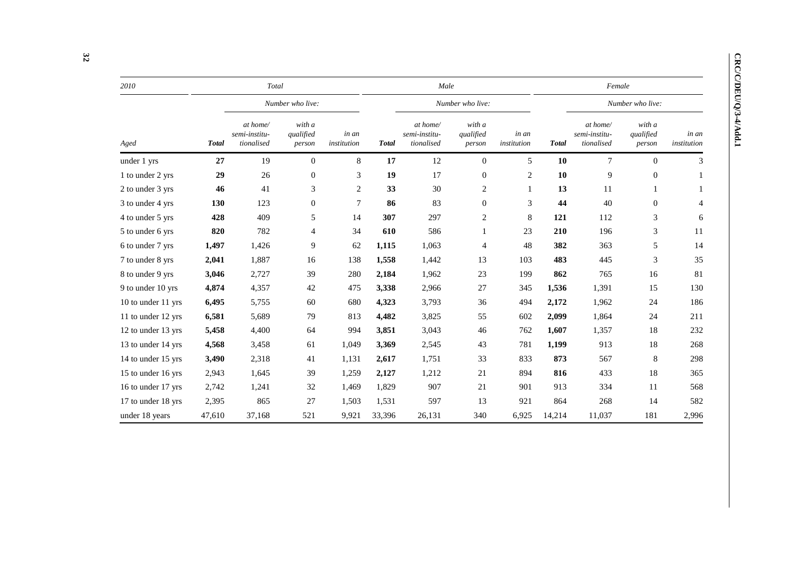| ١ |
|---|
|   |
|   |
|   |
|   |
| I |
| ţ |
| ļ |
|   |
|   |
|   |
| ĺ |
|   |
|   |
|   |
|   |
|   |
|   |
| ĭ |
|   |

| 2010               |              | Total                                   |                               |                      |              | Male                                    |                               |                      |              | Female                                  |                               |                      |  |  |
|--------------------|--------------|-----------------------------------------|-------------------------------|----------------------|--------------|-----------------------------------------|-------------------------------|----------------------|--------------|-----------------------------------------|-------------------------------|----------------------|--|--|
|                    |              |                                         | Number who live:              |                      |              |                                         | Number who live:              |                      |              |                                         | Number who live:              |                      |  |  |
| Aged               | <b>Total</b> | at home/<br>semi-institu-<br>tionalised | with a<br>qualified<br>person | in an<br>institution | <b>Total</b> | at home/<br>semi-institu-<br>tionalised | with a<br>qualified<br>person | in an<br>institution | <b>Total</b> | at home/<br>semi-institu-<br>tionalised | with a<br>qualified<br>person | in an<br>institution |  |  |
| under 1 yrs        | 27           | 19                                      | $\theta$                      | $8\,$                | 17           | 12                                      | $\mathbf{0}$                  | 5                    | 10           | $7\phantom{.0}$                         | $\theta$                      | 3                    |  |  |
| 1 to under 2 yrs   | 29           | 26                                      | $\mathbf{0}$                  | 3                    | 19           | 17                                      | $\boldsymbol{0}$              | 2                    | 10           | 9                                       | $\mathbf{0}$                  |                      |  |  |
| 2 to under 3 yrs   | 46           | 41                                      | 3                             | 2                    | 33           | 30                                      | 2                             | $\mathbf{1}$         | 13           | 11                                      |                               |                      |  |  |
| 3 to under 4 yrs   | 130          | 123                                     | $\mathbf{0}$                  | 7                    | 86           | 83                                      | $\mathbf{0}$                  | 3                    | 44           | 40                                      | $\mathbf{0}$                  | 4                    |  |  |
| 4 to under 5 yrs   | 428          | 409                                     | 5                             | 14                   | 307          | 297                                     | 2                             | 8                    | 121          | 112                                     | 3                             | 6                    |  |  |
| 5 to under 6 yrs   | 820          | 782                                     | $\overline{4}$                | 34                   | 610          | 586                                     | 1                             | 23                   | 210          | 196                                     | 3                             | 11                   |  |  |
| 6 to under 7 yrs   | 1,497        | 1,426                                   | 9                             | 62                   | 1,115        | 1,063                                   | 4                             | 48                   | 382          | 363                                     | 5                             | 14                   |  |  |
| 7 to under 8 yrs   | 2,041        | 1,887                                   | 16                            | 138                  | 1,558        | 1,442                                   | 13                            | 103                  | 483          | 445                                     | 3                             | 35                   |  |  |
| 8 to under 9 yrs   | 3,046        | 2,727                                   | 39                            | 280                  | 2,184        | 1,962                                   | 23                            | 199                  | 862          | 765                                     | 16                            | 81                   |  |  |
| 9 to under 10 yrs  | 4,874        | 4,357                                   | 42                            | 475                  | 3,338        | 2,966                                   | 27                            | 345                  | 1,536        | 1,391                                   | 15                            | 130                  |  |  |
| 10 to under 11 yrs | 6,495        | 5,755                                   | 60                            | 680                  | 4,323        | 3,793                                   | 36                            | 494                  | 2,172        | 1,962                                   | 24                            | 186                  |  |  |
| 11 to under 12 yrs | 6,581        | 5,689                                   | 79                            | 813                  | 4,482        | 3,825                                   | 55                            | 602                  | 2,099        | 1,864                                   | 24                            | 211                  |  |  |
| 12 to under 13 yrs | 5,458        | 4,400                                   | 64                            | 994                  | 3,851        | 3,043                                   | 46                            | 762                  | 1,607        | 1,357                                   | 18                            | 232                  |  |  |
| 13 to under 14 yrs | 4,568        | 3,458                                   | 61                            | 1,049                | 3,369        | 2,545                                   | 43                            | 781                  | 1,199        | 913                                     | 18                            | 268                  |  |  |
| 14 to under 15 yrs | 3,490        | 2,318                                   | 41                            | 1,131                | 2,617        | 1,751                                   | 33                            | 833                  | 873          | 567                                     | 8                             | 298                  |  |  |
| 15 to under 16 yrs | 2,943        | 1,645                                   | 39                            | 1,259                | 2,127        | 1,212                                   | 21                            | 894                  | 816          | 433                                     | 18                            | 365                  |  |  |
| 16 to under 17 yrs | 2,742        | 1,241                                   | 32                            | 1,469                | 1,829        | 907                                     | 21                            | 901                  | 913          | 334                                     | 11                            | 568                  |  |  |
| 17 to under 18 yrs | 2,395        | 865                                     | 27                            | 1,503                | 1,531        | 597                                     | 13                            | 921                  | 864          | 268                                     | 14                            | 582                  |  |  |
| under 18 years     | 47,610       | 37,168                                  | 521                           | 9,921                | 33,396       | 26,131                                  | 340                           | 6,925                | 14,214       | 11,037                                  | 181                           | 2,996                |  |  |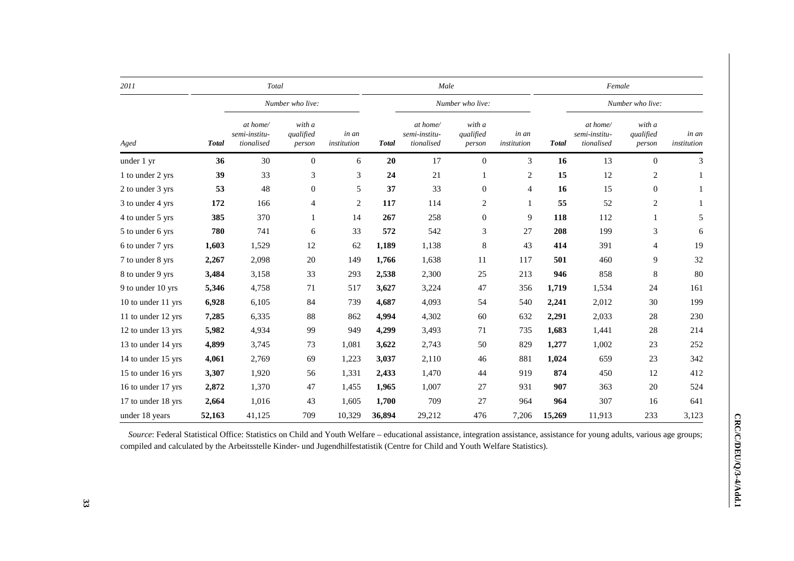| 2011               | Total        |                                         |                               |                      |              | Male                                    |                               |                      | Female       |                                         |                               |                      |
|--------------------|--------------|-----------------------------------------|-------------------------------|----------------------|--------------|-----------------------------------------|-------------------------------|----------------------|--------------|-----------------------------------------|-------------------------------|----------------------|
|                    |              |                                         | Number who live:              |                      |              |                                         | Number who live:              |                      |              | Number who live:                        |                               |                      |
| Aged               | <b>Total</b> | at home/<br>semi-institu-<br>tionalised | with a<br>qualified<br>person | in an<br>institution | <b>Total</b> | at home/<br>semi-institu-<br>tionalised | with a<br>qualified<br>person | in an<br>institution | <b>Total</b> | at home/<br>semi-institu-<br>tionalised | with a<br>qualified<br>person | in an<br>institution |
| under 1 yr         | 36           | 30                                      | $\mathbf{0}$                  | 6                    | 20           | 17                                      | $\mathbf{0}$                  | 3                    | 16           | 13                                      | $\mathbf{0}$                  | 3                    |
| 1 to under 2 yrs   | 39           | 33                                      | 3                             | 3                    | 24           | 21                                      | 1                             | $\overline{c}$       | 15           | 12                                      | 2                             |                      |
| 2 to under 3 yrs   | 53           | 48                                      | $\theta$                      | 5                    | 37           | 33                                      | $\mathbf{0}$                  | 4                    | 16           | 15                                      | $\mathbf{0}$                  |                      |
| 3 to under 4 yrs   | 172          | 166                                     | 4                             | $\overline{c}$       | 117          | 114                                     | $\overline{c}$                | $\mathbf{1}$         | 55           | 52                                      | $\overline{c}$                |                      |
| 4 to under 5 yrs   | 385          | 370                                     | 1                             | 14                   | 267          | 258                                     | $\boldsymbol{0}$              | 9                    | 118          | 112                                     | 1                             | 5                    |
| 5 to under 6 yrs   | 780          | 741                                     | 6                             | 33                   | 572          | 542                                     | 3                             | 27                   | 208          | 199                                     | 3                             | 6                    |
| 6 to under 7 yrs   | 1,603        | 1,529                                   | 12                            | 62                   | 1,189        | 1,138                                   | $\,$ 8 $\,$                   | 43                   | 414          | 391                                     | 4                             | 19                   |
| 7 to under 8 yrs   | 2,267        | 2,098                                   | $20\,$                        | 149                  | 1,766        | 1,638                                   | 11                            | 117                  | 501          | 460                                     | 9                             | 32                   |
| 8 to under 9 yrs   | 3,484        | 3,158                                   | 33                            | 293                  | 2,538        | 2,300                                   | 25                            | 213                  | 946          | 858                                     | 8                             | 80                   |
| 9 to under 10 yrs  | 5,346        | 4,758                                   | 71                            | 517                  | 3,627        | 3,224                                   | 47                            | 356                  | 1,719        | 1,534                                   | 24                            | 161                  |
| 10 to under 11 yrs | 6,928        | 6,105                                   | 84                            | 739                  | 4,687        | 4,093                                   | 54                            | 540                  | 2,241        | 2,012                                   | 30                            | 199                  |
| 11 to under 12 yrs | 7,285        | 6,335                                   | 88                            | 862                  | 4,994        | 4,302                                   | 60                            | 632                  | 2,291        | 2,033                                   | 28                            | 230                  |
| 12 to under 13 yrs | 5,982        | 4,934                                   | 99                            | 949                  | 4,299        | 3,493                                   | 71                            | 735                  | 1,683        | 1,441                                   | 28                            | 214                  |
| 13 to under 14 yrs | 4,899        | 3,745                                   | 73                            | 1,081                | 3,622        | 2,743                                   | 50                            | 829                  | 1,277        | 1,002                                   | 23                            | 252                  |
| 14 to under 15 yrs | 4,061        | 2,769                                   | 69                            | 1,223                | 3,037        | 2,110                                   | 46                            | 881                  | 1,024        | 659                                     | 23                            | 342                  |
| 15 to under 16 yrs | 3,307        | 1,920                                   | 56                            | 1,331                | 2,433        | 1,470                                   | 44                            | 919                  | 874          | 450                                     | 12                            | 412                  |
| 16 to under 17 yrs | 2,872        | 1,370                                   | 47                            | 1,455                | 1,965        | 1,007                                   | 27                            | 931                  | 907          | 363                                     | $20\,$                        | 524                  |
| 17 to under 18 yrs | 2,664        | 1,016                                   | 43                            | 1,605                | 1,700        | 709                                     | 27                            | 964                  | 964          | 307                                     | 16                            | 641                  |
| under 18 years     | 52,163       | 41,125                                  | 709                           | 10,329               | 36,894       | 29,212                                  | 476                           | 7,206                | 15,269       | 11,913                                  | 233                           | 3,123                |

*Source*: Federal Statistical Office: Statistics on Child and Youth Welfare – educational assistance, integration assistance, assistance for young adults, various age groups; compiled and calculated by the Arbeitsstelle Kinder- und Jugendhilfestatistik (Centre for Child and Youth Welfare Statistics).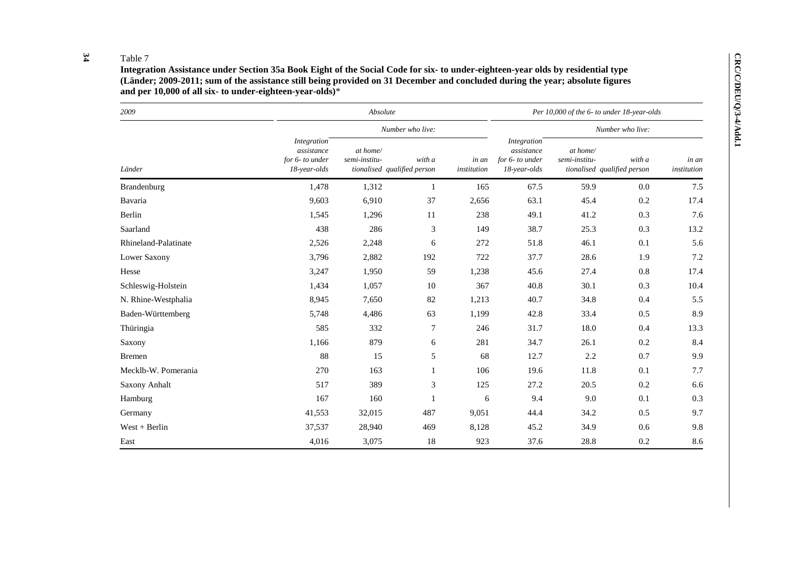## **34**

| 2009                 |                                                              | Absolute                  |                                       |                      |                                                              | Per 10,000 of the 6- to under 18-year-olds |                                       |                      |
|----------------------|--------------------------------------------------------------|---------------------------|---------------------------------------|----------------------|--------------------------------------------------------------|--------------------------------------------|---------------------------------------|----------------------|
|                      |                                                              |                           | Number who live:                      |                      |                                                              | Number who live:                           |                                       |                      |
| Länder               | Integration<br>assistance<br>for 6- to under<br>18-year-olds | at home/<br>semi-institu- | with a<br>tionalised qualified person | in an<br>institution | Integration<br>assistance<br>for 6- to under<br>18-year-olds | at home/<br>semi-institu-                  | with a<br>tionalised qualified person | in an<br>institution |
| Brandenburg          | 1,478                                                        | 1,312                     | -1                                    | 165                  | 67.5                                                         | 59.9                                       | 0.0                                   | 7.5                  |
| Bavaria              | 9,603                                                        | 6,910                     | 37                                    | 2,656                | 63.1                                                         | 45.4                                       | 0.2                                   | 17.4                 |
| Berlin               | 1,545                                                        | 1,296                     | 11                                    | 238                  | 49.1                                                         | 41.2                                       | 0.3                                   | 7.6                  |
| Saarland             | 438                                                          | 286                       | 3                                     | 149                  | 38.7                                                         | 25.3                                       | 0.3                                   | 13.2                 |
| Rhineland-Palatinate | 2,526                                                        | 2,248                     | 6                                     | 272                  | 51.8                                                         | 46.1                                       | 0.1                                   | 5.6                  |
| Lower Saxony         | 3,796                                                        | 2,882                     | 192                                   | 722                  | 37.7                                                         | 28.6                                       | 1.9                                   | 7.2                  |
| Hesse                | 3,247                                                        | 1,950                     | 59                                    | 1,238                | 45.6                                                         | 27.4                                       | 0.8                                   | 17.4                 |
| Schleswig-Holstein   | 1,434                                                        | 1,057                     | 10                                    | 367                  | 40.8                                                         | 30.1                                       | 0.3                                   | 10.4                 |
| N. Rhine-Westphalia  | 8,945                                                        | 7,650                     | 82                                    | 1,213                | 40.7                                                         | 34.8                                       | 0.4                                   | 5.5                  |
| Baden-Württemberg    | 5,748                                                        | 4,486                     | 63                                    | 1,199                | 42.8                                                         | 33.4                                       | 0.5                                   | 8.9                  |
| Thüringia            | 585                                                          | 332                       | $\tau$                                | 246                  | 31.7                                                         | 18.0                                       | 0.4                                   | 13.3                 |
| Saxony               | 1,166                                                        | 879                       | 6                                     | 281                  | 34.7                                                         | 26.1                                       | 0.2                                   | 8.4                  |
| <b>Bremen</b>        | 88                                                           | 15                        | 5                                     | 68                   | 12.7                                                         | 2.2                                        | 0.7                                   | 9.9                  |
| Mecklb-W. Pomerania  | 270                                                          | 163                       |                                       | 106                  | 19.6                                                         | 11.8                                       | 0.1                                   | 7.7                  |
| Saxony Anhalt        | 517                                                          | 389                       | 3                                     | 125                  | 27.2                                                         | 20.5                                       | 0.2                                   | 6.6                  |
| Hamburg              | 167                                                          | 160                       |                                       | 6                    | 9.4                                                          | 9.0                                        | 0.1                                   | 0.3                  |
| Germany              | 41,553                                                       | 32,015                    | 487                                   | 9,051                | 44.4                                                         | 34.2                                       | 0.5                                   | 9.7                  |
| $West + Berlin$      | 37,537                                                       | 28,940                    | 469                                   | 8,128                | 45.2                                                         | 34.9                                       | 0.6                                   | 9.8                  |
| East                 | 4,016                                                        | 3,075                     | 18                                    | 923                  | 37.6                                                         | 28.8                                       | 0.2                                   | 8.6                  |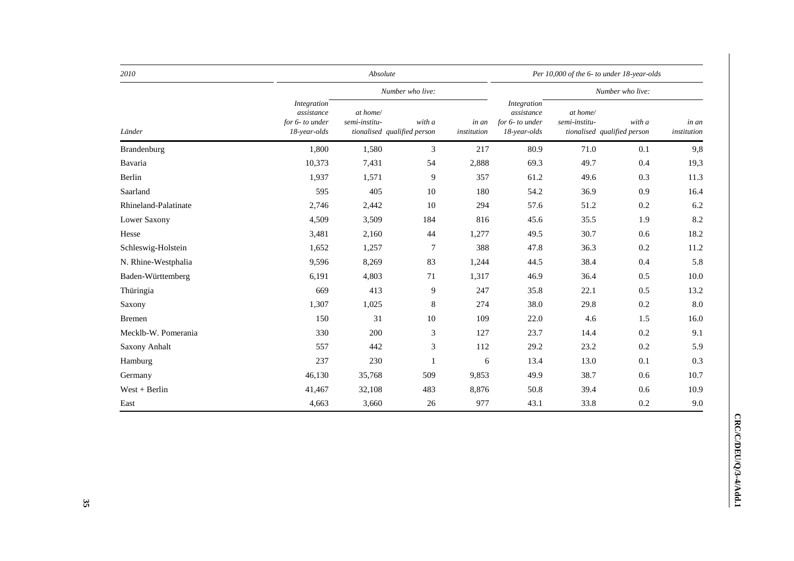| 2010                 |                                                                     | Absolute                  |                                       |                      | Per 10,000 of the 6- to under 18-year-olds                   |                           |                                       |                      |  |
|----------------------|---------------------------------------------------------------------|---------------------------|---------------------------------------|----------------------|--------------------------------------------------------------|---------------------------|---------------------------------------|----------------------|--|
|                      |                                                                     |                           | Number who live:                      | Number who live:     |                                                              |                           |                                       |                      |  |
| Länder               | <b>Integration</b><br>assistance<br>for 6- to under<br>18-year-olds | at home/<br>semi-institu- | with a<br>tionalised qualified person | in an<br>institution | Integration<br>assistance<br>for 6- to under<br>18-year-olds | at home/<br>semi-institu- | with a<br>tionalised qualified person | in an<br>institution |  |
| Brandenburg          | 1,800                                                               | 1,580                     | 3                                     | 217                  | 80.9                                                         | 71.0                      | 0.1                                   | 9,8                  |  |
| Bavaria              | 10,373                                                              | 7,431                     | 54                                    | 2,888                | 69.3                                                         | 49.7                      | 0.4                                   | 19,3                 |  |
| Berlin               | 1,937                                                               | 1,571                     | 9                                     | 357                  | 61.2                                                         | 49.6                      | 0.3                                   | 11.3                 |  |
| Saarland             | 595                                                                 | 405                       | 10                                    | 180                  | 54.2                                                         | 36.9                      | 0.9                                   | 16.4                 |  |
| Rhineland-Palatinate | 2,746                                                               | 2,442                     | 10                                    | 294                  | 57.6                                                         | 51.2                      | 0.2                                   | 6.2                  |  |
| Lower Saxony         | 4,509                                                               | 3,509                     | 184                                   | 816                  | 45.6                                                         | 35.5                      | 1.9                                   | 8.2                  |  |
| Hesse                | 3,481                                                               | 2,160                     | 44                                    | 1,277                | 49.5                                                         | 30.7                      | 0.6                                   | 18.2                 |  |
| Schleswig-Holstein   | 1,652                                                               | 1,257                     | $\tau$                                | 388                  | 47.8                                                         | 36.3                      | 0.2                                   | 11.2                 |  |
| N. Rhine-Westphalia  | 9,596                                                               | 8,269                     | 83                                    | 1,244                | 44.5                                                         | 38.4                      | 0.4                                   | 5.8                  |  |
| Baden-Württemberg    | 6,191                                                               | 4,803                     | 71                                    | 1,317                | 46.9                                                         | 36.4                      | 0.5                                   | 10.0                 |  |
| Thüringia            | 669                                                                 | 413                       | 9                                     | 247                  | 35.8                                                         | 22.1                      | 0.5                                   | 13.2                 |  |
| Saxony               | 1,307                                                               | 1,025                     | 8                                     | 274                  | 38.0                                                         | 29.8                      | $0.2\,$                               | 8.0                  |  |
| <b>Bremen</b>        | 150                                                                 | 31                        | 10                                    | 109                  | 22.0                                                         | 4.6                       | 1.5                                   | 16.0                 |  |
| Mecklb-W. Pomerania  | 330                                                                 | 200                       | 3                                     | 127                  | 23.7                                                         | 14.4                      | 0.2                                   | 9.1                  |  |
| Saxony Anhalt        | 557                                                                 | 442                       | 3                                     | 112                  | 29.2                                                         | 23.2                      | 0.2                                   | 5.9                  |  |
| Hamburg              | 237                                                                 | 230                       | $\mathbf{1}$                          | 6                    | 13.4                                                         | 13.0                      | 0.1                                   | 0.3                  |  |
| Germany              | 46,130                                                              | 35,768                    | 509                                   | 9,853                | 49.9                                                         | 38.7                      | 0.6                                   | 10.7                 |  |
| $West + Berlin$      | 41,467                                                              | 32,108                    | 483                                   | 8,876                | 50.8                                                         | 39.4                      | 0.6                                   | 10.9                 |  |
| East                 | 4,663                                                               | 3,660                     | 26                                    | 977                  | 43.1                                                         | 33.8                      | 0.2                                   | 9.0                  |  |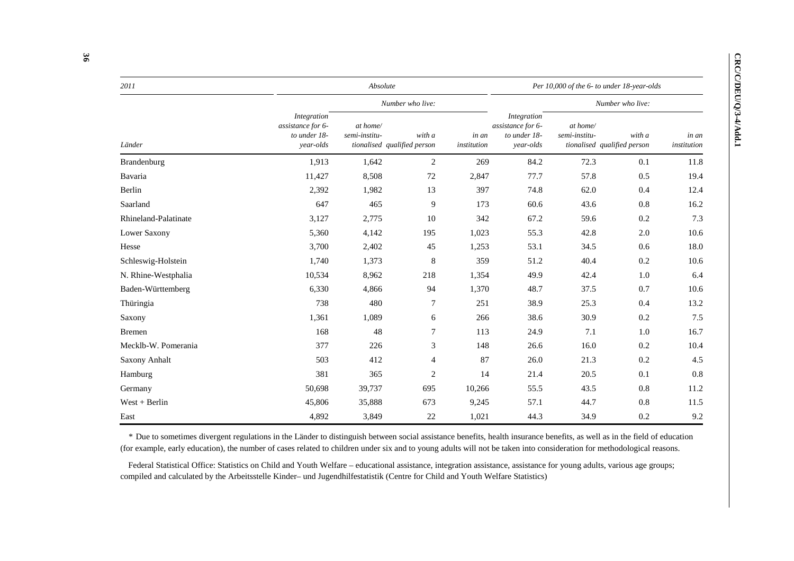| 2011                 |                                                               | Absolute                                                 |                  |                      |                                                               |                           | Per 10,000 of the 6- to under 18-year-olds |                      |  |  |  |
|----------------------|---------------------------------------------------------------|----------------------------------------------------------|------------------|----------------------|---------------------------------------------------------------|---------------------------|--------------------------------------------|----------------------|--|--|--|
|                      |                                                               |                                                          | Number who live: |                      |                                                               | Number who live:          |                                            |                      |  |  |  |
| Länder               | Integration<br>assistance for 6-<br>to under 18-<br>year-olds | at home/<br>semi-institu-<br>tionalised qualified person | with a           | in an<br>institution | Integration<br>assistance for 6-<br>to under 18-<br>year-olds | at home/<br>semi-institu- | with a<br>tionalised qualified person      | in an<br>institution |  |  |  |
| Brandenburg          | 1,913                                                         | 1,642                                                    | 2                | 269                  | 84.2                                                          | 72.3                      | 0.1                                        | 11.8                 |  |  |  |
| Bavaria              | 11,427                                                        | 8,508                                                    | 72               | 2,847                | 77.7                                                          | 57.8                      | 0.5                                        | 19.4                 |  |  |  |
| Berlin               | 2,392                                                         | 1,982                                                    | 13               | 397                  | 74.8                                                          | 62.0                      | 0.4                                        | 12.4                 |  |  |  |
| Saarland             | 647                                                           | 465                                                      | 9                | 173                  | 60.6                                                          | 43.6                      | 0.8                                        | 16.2                 |  |  |  |
| Rhineland-Palatinate | 3,127                                                         | 2,775                                                    | 10               | 342                  | 67.2                                                          | 59.6                      | 0.2                                        | 7.3                  |  |  |  |
| Lower Saxony         | 5,360                                                         | 4,142                                                    | 195              | 1,023                | 55.3                                                          | 42.8                      | 2.0                                        | 10.6                 |  |  |  |
| Hesse                | 3,700                                                         | 2,402                                                    | 45               | 1,253                | 53.1                                                          | 34.5                      | 0.6                                        | 18.0                 |  |  |  |
| Schleswig-Holstein   | 1,740                                                         | 1,373                                                    | $8\phantom{1}$   | 359                  | 51.2                                                          | 40.4                      | 0.2                                        | 10.6                 |  |  |  |
| N. Rhine-Westphalia  | 10,534                                                        | 8,962                                                    | 218              | 1,354                | 49.9                                                          | 42.4                      | 1.0                                        | 6.4                  |  |  |  |
| Baden-Württemberg    | 6,330                                                         | 4,866                                                    | 94               | 1,370                | 48.7                                                          | 37.5                      | 0.7                                        | 10.6                 |  |  |  |
| Thüringia            | 738                                                           | 480                                                      | $\overline{7}$   | 251                  | 38.9                                                          | 25.3                      | 0.4                                        | 13.2                 |  |  |  |
| Saxony               | 1,361                                                         | 1,089                                                    | 6                | 266                  | 38.6                                                          | 30.9                      | 0.2                                        | 7.5                  |  |  |  |
| <b>Bremen</b>        | 168                                                           | 48                                                       | $\overline{7}$   | 113                  | 24.9                                                          | 7.1                       | 1.0                                        | 16.7                 |  |  |  |
| Mecklb-W. Pomerania  | 377                                                           | 226                                                      | 3                | 148                  | 26.6                                                          | 16.0                      | 0.2                                        | 10.4                 |  |  |  |
| Saxony Anhalt        | 503                                                           | 412                                                      | 4                | 87                   | 26.0                                                          | 21.3                      | 0.2                                        | 4.5                  |  |  |  |
| Hamburg              | 381                                                           | 365                                                      | $\overline{c}$   | 14                   | 21.4                                                          | 20.5                      | 0.1                                        | 0.8                  |  |  |  |
| Germany              | 50,698                                                        | 39,737                                                   | 695              | 10,266               | 55.5                                                          | 43.5                      | 0.8                                        | 11.2                 |  |  |  |
| $West + Berlin$      | 45,806                                                        | 35,888                                                   | 673              | 9,245                | 57.1                                                          | 44.7                      | 0.8                                        | 11.5                 |  |  |  |
| East                 | 4,892                                                         | 3,849                                                    | 22               | 1,021                | 44.3                                                          | 34.9                      | 0.2                                        | 9.2                  |  |  |  |

*\** Due to sometimes divergent regulations in the Länder to distinguish between social assistance benefits, health insurance benefits, as well as in the field of education (for example, early education), the number of cases related to children under six and to young adults will not be taken into consideration for methodological reasons.

Federal Statistical Office: Statistics on Child and Youth Welfare – educational assistance, integration assistance, assistance for young adults, various age groups; compiled and calculated by the Arbeitsstelle Kinder– und Jugendhilfestatistik (Centre for Child and Youth Welfare Statistics)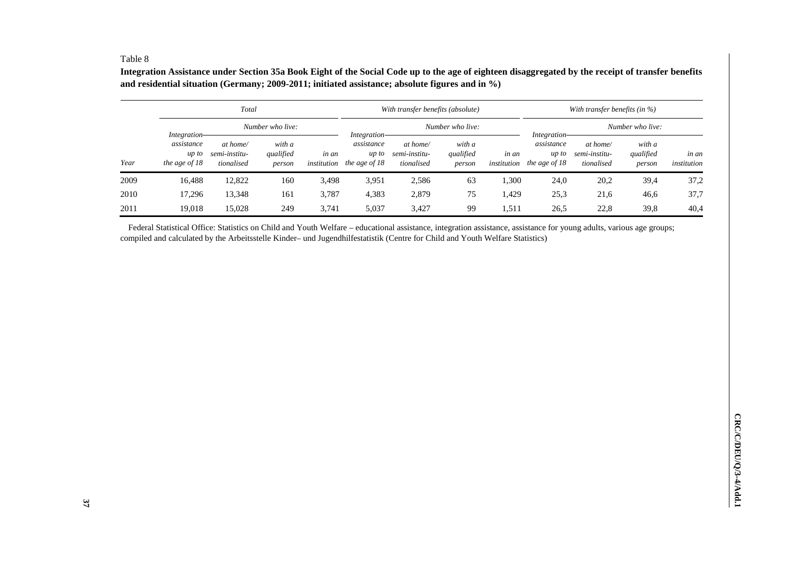#### Table 8

**Integration Assistance under Section 35a Book Eight of the Social Code up to the age of eighteen disaggregated by the receipt of transfer benefits and residential situation (Germany; 2009-2011; initiated assistance; absolute figures and in %)** 

|      |                                                        | Total                                   |                               |                      |                                                        | With transfer benefits (absolute)       |                               |                      | With transfer benefits (in $\%$ )    |                                         |                               |                      |  |
|------|--------------------------------------------------------|-----------------------------------------|-------------------------------|----------------------|--------------------------------------------------------|-----------------------------------------|-------------------------------|----------------------|--------------------------------------|-----------------------------------------|-------------------------------|----------------------|--|
|      |                                                        |                                         | Number who live:              |                      |                                                        |                                         | Number who live:              |                      | <i>Integration</i>                   |                                         | Number who live:              |                      |  |
| Year | Integration-<br>assistance<br>up to<br>the age of $18$ | at home/<br>semi-institu-<br>tionalised | with a<br>qualified<br>person | in an<br>institution | Integration-<br>assistance<br>up to<br>the age of $18$ | at home/<br>semi-institu-<br>tionalised | with a<br>qualified<br>person | in an<br>institution | assistance<br>up to<br>the age of 18 | at home/<br>semi-institu-<br>tionalised | with a<br>qualified<br>person | in an<br>institution |  |
| 2009 | 16,488                                                 | 12,822                                  | 160                           | 3,498                | 3,951                                                  | 2,586                                   | 63                            | 1,300                | 24,0                                 | 20,2                                    | 39,4                          | 37,2                 |  |
| 2010 | 17,296                                                 | 13,348                                  | 161                           | 3,787                | 4,383                                                  | 2,879                                   | 75                            | .429                 | 25,3                                 | 21,6                                    | 46,6                          | 37,7                 |  |
| 2011 | 19.018                                                 | 15.028                                  | 249                           | 3,741                | 5,037                                                  | 3,427                                   | 99                            | 1,511                | 26,5                                 | 22,8                                    | 39,8                          | 40,4                 |  |

Federal Statistical Office: Statistics on Child and Youth Welfare – educational assistance, integration assistance, assistance for young adults, various age groups; compiled and calculated by the Arbeitsstelle Kinder– und Jugendhilfestatistik (Centre for Child and Youth Welfare Statistics)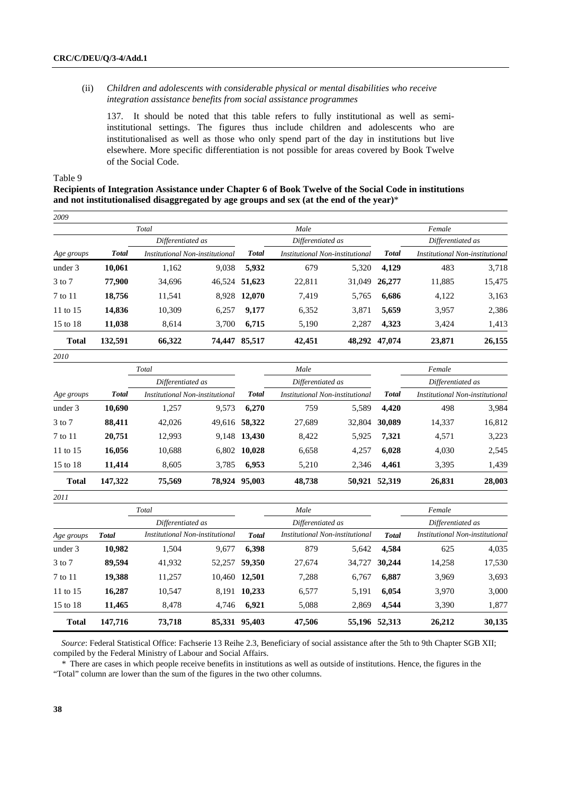## (ii) *Children and adolescents with considerable physical or mental disabilities who receive integration assistance benefits from social assistance programmes*

137. It should be noted that this table refers to fully institutional as well as semiinstitutional settings. The figures thus include children and adolescents who are institutionalised as well as those who only spend part of the day in institutions but live elsewhere. More specific differentiation is not possible for areas covered by Book Twelve of the Social Code.

Table 9

*2010* 

## **Recipients of Integration Assistance under Chapter 6 of Book Twelve of the Social Code in institutions and not institutionalised disaggregated by age groups and sex (at the end of the year)**\*

| 2009         |              |                                 |        |              |                                 |        |               |                                 |        |
|--------------|--------------|---------------------------------|--------|--------------|---------------------------------|--------|---------------|---------------------------------|--------|
|              |              | Total                           |        |              | Male                            |        |               | Female                          |        |
|              |              | Differentiated as               |        |              | Differentiated as               |        |               | Differentiated as               |        |
| Age groups   | <b>Total</b> | Institutional Non-institutional |        | <b>Total</b> | Institutional Non-institutional |        | <b>Total</b>  | Institutional Non-institutional |        |
| under 3      | 10,061       | 1,162                           | 9,038  | 5,932        | 679                             | 5,320  | 4,129         | 483                             | 3,718  |
| $3$ to $7$   | 77,900       | 34,696                          | 46,524 | 51,623       | 22,811                          | 31,049 | 26,277        | 11,885                          | 15,475 |
| 7 to 11      | 18,756       | 11,541                          | 8,928  | 12,070       | 7,419                           | 5,765  | 6,686         | 4,122                           | 3,163  |
| 11 to $15$   | 14,836       | 10,309                          | 6,257  | 9,177        | 6,352                           | 3,871  | 5,659         | 3,957                           | 2,386  |
| 15 to 18     | 11,038       | 8.614                           | 3,700  | 6,715        | 5,190                           | 2,287  | 4,323         | 3,424                           | 1,413  |
| <b>Total</b> | 132,591      | 66,322                          | 74.447 | 85,517       | 42,451                          |        | 48,292 47,074 | 23,871                          | 26,155 |

|              |              | Total                           |        |              | Male                            |        |               | Female                          |        |
|--------------|--------------|---------------------------------|--------|--------------|---------------------------------|--------|---------------|---------------------------------|--------|
|              |              | Differentiated as               |        |              | Differentiated as               |        |               | Differentiated as               |        |
| Age groups   | <b>Total</b> | Institutional Non-institutional |        | <b>Total</b> | Institutional Non-institutional |        | <b>Total</b>  | Institutional Non-institutional |        |
| under 3      | 10,690       | 1,257                           | 9,573  | 6,270        | 759                             | 5,589  | 4,420         | 498                             | 3,984  |
| 3 to 7       | 88,411       | 42,026                          | 49,616 | 58,322       | 27,689                          | 32,804 | 30,089        | 14,337                          | 16,812 |
| 7 to 11      | 20,751       | 12,993                          |        | 9,148 13,430 | 8,422                           | 5,925  | 7,321         | 4,571                           | 3,223  |
| 11 to 15     | 16,056       | 10,688                          | 6,802  | 10,028       | 6,658                           | 4.257  | 6,028         | 4,030                           | 2,545  |
| 15 to 18     | 11,414       | 8,605                           | 3,785  | 6,953        | 5,210                           | 2,346  | 4,461         | 3,395                           | 1,439  |
| <b>Total</b> | 147,322      | 75,569                          | 78.924 | 95,003       | 48,738                          |        | 50,921 52,319 | 26,831                          | 28,003 |

| 2011         |              |                                 |        |               |                                 |        |               |                                 |        |  |  |
|--------------|--------------|---------------------------------|--------|---------------|---------------------------------|--------|---------------|---------------------------------|--------|--|--|
|              |              | Total                           |        |               | Male                            |        |               | Female                          |        |  |  |
|              |              | Differentiated as               |        |               | Differentiated as               |        |               | Differentiated as               |        |  |  |
| Age groups   | <b>Total</b> | Institutional Non-institutional |        | <b>Total</b>  | Institutional Non-institutional |        | <b>Total</b>  | Institutional Non-institutional |        |  |  |
| under 3      | 10,982       | 1,504                           | 9,677  | 6,398         | 879                             | 5,642  | 4,584         | 625                             | 4,035  |  |  |
| $3$ to $7$   | 89,594       | 41,932                          | 52,257 | 59,350        | 27,674                          | 34,727 | 30,244        | 14,258                          | 17,530 |  |  |
| 7 to 11      | 19,388       | 11.257                          | 10.460 | 12,501        | 7,288                           | 6.767  | 6,887         | 3,969                           | 3,693  |  |  |
| 11 to 15     | 16,287       | 10,547                          | 8.191  | 10,233        | 6,577                           | 5,191  | 6,054         | 3,970                           | 3,000  |  |  |
| 15 to 18     | 11,465       | 8.478                           | 4.746  | 6,921         | 5,088                           | 2,869  | 4,544         | 3,390                           | 1,877  |  |  |
| <b>Total</b> | 147,716      | 73,718                          |        | 85,331 95,403 | 47,506                          |        | 55,196 52,313 | 26,212                          | 30,135 |  |  |

*Source*: Federal Statistical Office: Fachserie 13 Reihe 2.3, Beneficiary of social assistance after the 5th to 9th Chapter SGB XII; compiled by the Federal Ministry of Labour and Social Affairs.

*\** There are cases in which people receive benefits in institutions as well as outside of institutions. Hence, the figures in the "Total" column are lower than the sum of the figures in the two other columns.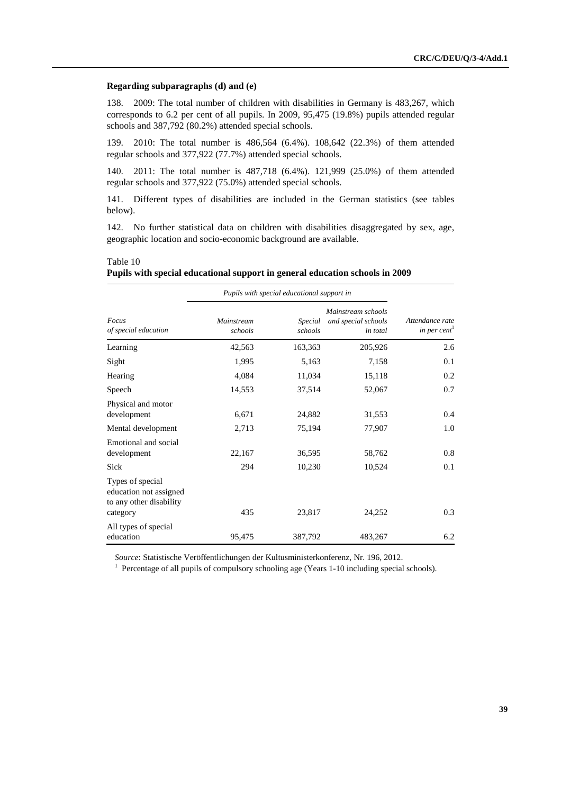#### **Regarding subparagraphs (d) and (e)**

138. 2009: The total number of children with disabilities in Germany is 483,267, which corresponds to 6.2 per cent of all pupils. In 2009, 95,475 (19.8%) pupils attended regular schools and 387,792 (80.2%) attended special schools.

139. 2010: The total number is 486,564 (6.4%). 108,642 (22.3%) of them attended regular schools and 377,922 (77.7%) attended special schools.

140. 2011: The total number is 487,718 (6.4%). 121,999 (25.0%) of them attended regular schools and 377,922 (75.0%) attended special schools.

141. Different types of disabilities are included in the German statistics (see tables below).

142. No further statistical data on children with disabilities disaggregated by sex, age, geographic location and socio-economic background are available.

 Table 10  **Pupils with special educational support in general education schools in 2009** 

|                                                                                   |                       | Pupils with special educational support in |                                                       |                                |
|-----------------------------------------------------------------------------------|-----------------------|--------------------------------------------|-------------------------------------------------------|--------------------------------|
| Focus<br>of special education                                                     | Mainstream<br>schools | <i>Special</i><br>schools                  | Mainstream schools<br>and special schools<br>in total | Attendance rate<br>in per cent |
| Learning                                                                          | 42,563                | 163,363                                    | 205,926                                               | 2.6                            |
| Sight                                                                             | 1,995                 | 5,163                                      | 7,158                                                 | 0.1                            |
| Hearing                                                                           | 4,084                 | 11,034                                     | 15,118                                                | 0.2                            |
| Speech                                                                            | 14,553                | 37,514                                     | 52,067                                                | 0.7                            |
| Physical and motor<br>development                                                 | 6,671                 | 24,882                                     | 31,553                                                | 0.4                            |
| Mental development                                                                | 2,713                 | 75,194                                     | 77,907                                                | 1.0                            |
| Emotional and social<br>development<br>Sick                                       | 22,167<br>294         | 36,595<br>10,230                           | 58,762<br>10,524                                      | 0.8<br>0.1                     |
| Types of special<br>education not assigned<br>to any other disability<br>category | 435                   | 23,817                                     | 24,252                                                | 0.3                            |
| All types of special<br>education                                                 | 95,475                | 387,792                                    | 483,267                                               | 6.2                            |

*Source*: Statistische Veröffentlichungen der Kultusministerkonferenz, Nr. 196, 2012. 1

 $<sup>1</sup>$  Percentage of all pupils of compulsory schooling age (Years 1-10 including special schools).</sup>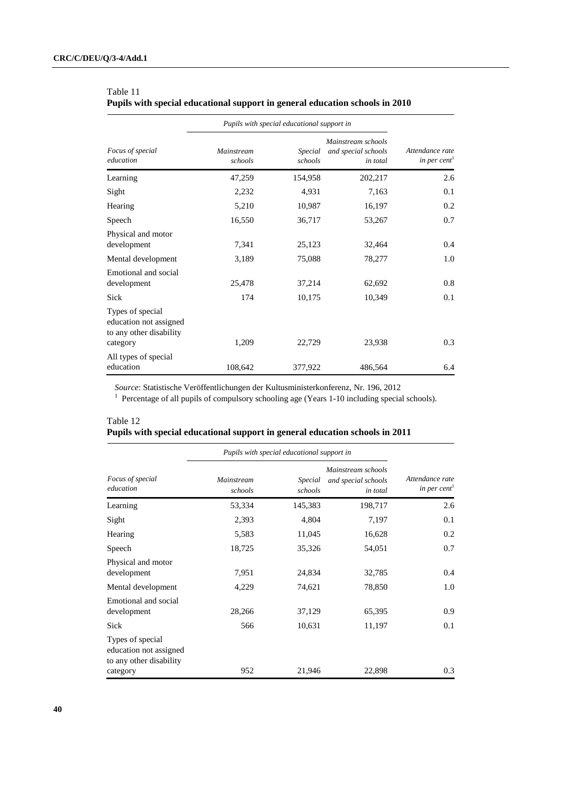|                                                                                   | Pupils with special educational support in |                    |                                                       |                                             |
|-----------------------------------------------------------------------------------|--------------------------------------------|--------------------|-------------------------------------------------------|---------------------------------------------|
| Focus of special<br>education                                                     | Mainstream<br>schools                      | Special<br>schools | Mainstream schools<br>and special schools<br>in total | Attendance rate<br>in per cent <sup>1</sup> |
| Learning                                                                          | 47,259                                     | 154,958            | 202,217                                               | 2.6                                         |
| Sight                                                                             | 2,232                                      | 4,931              | 7,163                                                 | 0.1                                         |
| Hearing                                                                           | 5,210                                      | 10,987             | 16,197                                                | 0.2                                         |
| Speech                                                                            | 16,550                                     | 36,717             | 53,267                                                | 0.7                                         |
| Physical and motor<br>development                                                 | 7,341                                      | 25,123             | 32,464                                                | 0.4                                         |
| Mental development                                                                | 3,189                                      | 75,088             | 78,277                                                | 1.0                                         |
| Emotional and social<br>development                                               | 25,478                                     | 37,214             | 62,692                                                | 0.8                                         |
| Sick                                                                              | 174                                        | 10,175             | 10,349                                                | 0.1                                         |
| Types of special<br>education not assigned<br>to any other disability<br>category | 1,209                                      | 22,729             | 23,938                                                | 0.3                                         |
| All types of special<br>education                                                 | 108,642                                    | 377,922            | 486,564                                               | 6.4                                         |

## Table 11  **Pupils with special educational support in general education schools in 2010**

*Source*: Statistische Veröffentlichungen der Kultusministerkonferenz, Nr. 196, 2012 1

<sup>1</sup> Percentage of all pupils of compulsory schooling age (Years 1-10 including special schools).

## Table 12  **Pupils with special educational support in general education schools in 2011**

|                                                                                   | Pupils with special educational support in |                    |                                                       |                                             |  |
|-----------------------------------------------------------------------------------|--------------------------------------------|--------------------|-------------------------------------------------------|---------------------------------------------|--|
| Focus of special<br>education                                                     | <b>Mainstream</b><br>schools               | Special<br>schools | Mainstream schools<br>and special schools<br>in total | Attendance rate<br>in per cent <sup>1</sup> |  |
| Learning                                                                          | 53,334                                     | 145,383            | 198,717                                               | 2.6                                         |  |
| Sight                                                                             | 2,393                                      | 4,804              | 7,197                                                 | 0.1                                         |  |
| Hearing                                                                           | 5,583                                      | 11,045             | 16,628                                                | 0.2                                         |  |
| Speech                                                                            | 18,725                                     | 35,326             | 54,051                                                | 0.7                                         |  |
| Physical and motor<br>development                                                 | 7,951                                      | 24,834             | 32,785                                                | 0.4                                         |  |
| Mental development                                                                | 4,229                                      | 74,621             | 78,850                                                | 1.0                                         |  |
| Emotional and social<br>development                                               | 28,266                                     | 37,129             | 65,395                                                | 0.9                                         |  |
| Sick                                                                              | 566                                        | 10,631             | 11,197                                                | 0.1                                         |  |
| Types of special<br>education not assigned<br>to any other disability<br>category | 952                                        | 21,946             | 22,898                                                | 0.3                                         |  |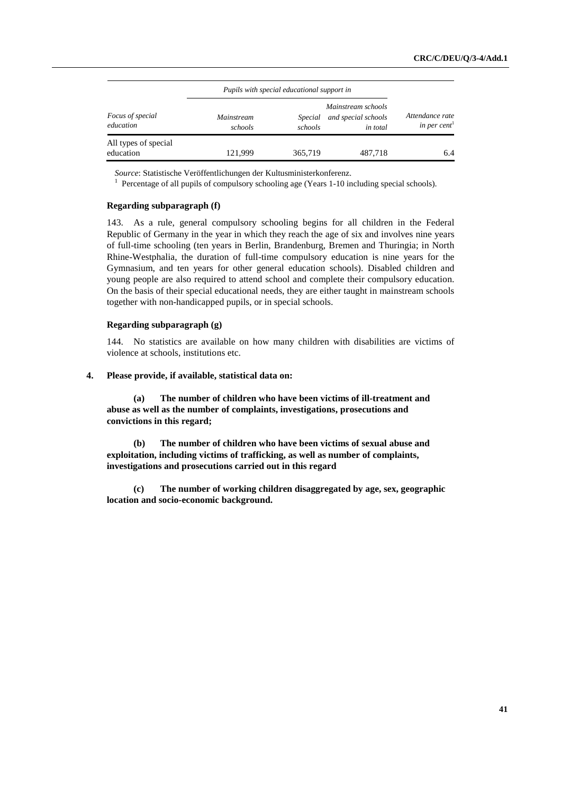|                                      | Pupils with special educational support in |                    |                                                              |                                             |
|--------------------------------------|--------------------------------------------|--------------------|--------------------------------------------------------------|---------------------------------------------|
| <i>Focus of special</i><br>education | <i>Mainstream</i><br>schools               | Special<br>schools | Mainstream schools<br>and special schools<br><i>in total</i> | Attendance rate<br>in per cent <sup>1</sup> |
| All types of special<br>education    | 121.999                                    | 365,719            | 487,718                                                      | 6.4                                         |

*Source*: Statistische Veröffentlichungen der Kultusministerkonferenz. 1

<sup>1</sup> Percentage of all pupils of compulsory schooling age (Years 1-10 including special schools).

#### **Regarding subparagraph (f)**

143. As a rule, general compulsory schooling begins for all children in the Federal Republic of Germany in the year in which they reach the age of six and involves nine years of full-time schooling (ten years in Berlin, Brandenburg, Bremen and Thuringia; in North Rhine-Westphalia, the duration of full-time compulsory education is nine years for the Gymnasium, and ten years for other general education schools). Disabled children and young people are also required to attend school and complete their compulsory education. On the basis of their special educational needs, they are either taught in mainstream schools together with non-handicapped pupils, or in special schools.

#### **Regarding subparagraph (g)**

144. No statistics are available on how many children with disabilities are victims of violence at schools, institutions etc.

## **4. Please provide, if available, statistical data on:**

 **(a) The number of children who have been victims of ill-treatment and abuse as well as the number of complaints, investigations, prosecutions and convictions in this regard;** 

 **(b) The number of children who have been victims of sexual abuse and exploitation, including victims of trafficking, as well as number of complaints, investigations and prosecutions carried out in this regard** 

 **(c) The number of working children disaggregated by age, sex, geographic location and socio-economic background.**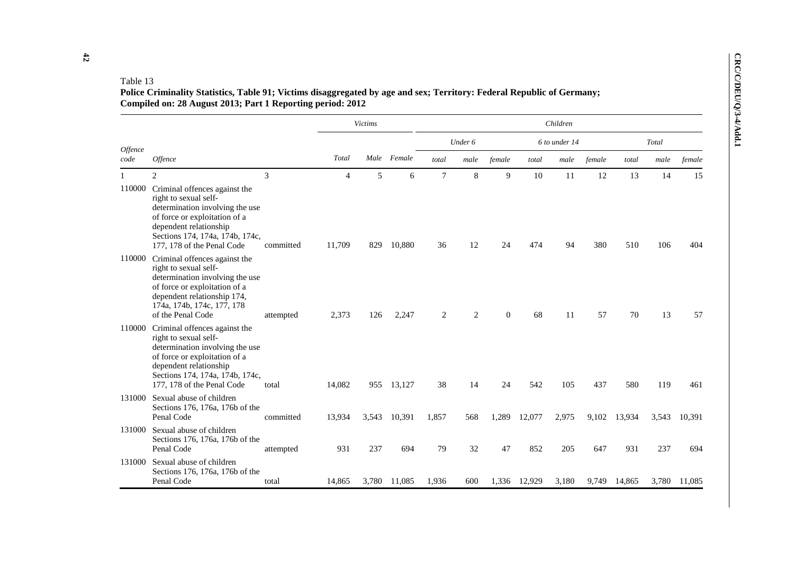|         |                                                                                                                                                                                                                              |           |                | Victims |             |        |         |          |              | Children      |        |        |       |              |
|---------|------------------------------------------------------------------------------------------------------------------------------------------------------------------------------------------------------------------------------|-----------|----------------|---------|-------------|--------|---------|----------|--------------|---------------|--------|--------|-------|--------------|
| Offence |                                                                                                                                                                                                                              |           |                |         |             |        | Under 6 |          |              | 6 to under 14 |        |        | Total |              |
| code    | Offence                                                                                                                                                                                                                      |           | Total          |         | Male Female | total  | male    | female   | total        | male          | female | total  | male  | female       |
|         | $\overline{2}$                                                                                                                                                                                                               | 3         | $\overline{4}$ | 5       | 6           | $\tau$ | 8       | 9        | 10           | 11            | 12     | 13     | 14    | 15           |
| 110000  | Criminal offences against the<br>right to sexual self-<br>determination involving the use<br>of force or exploitation of a<br>dependent relationship<br>Sections 174, 174a, 174b, 174c,<br>177, 178 of the Penal Code        | committed | 11,709         | 829     | 10,880      | 36     | 12      | 24       | 474          | 94            | 380    | 510    | 106   | 404          |
|         | 110000 Criminal offences against the<br>right to sexual self-<br>determination involving the use<br>of force or exploitation of a<br>dependent relationship 174,<br>174a, 174b, 174c, 177, 178<br>of the Penal Code          | attempted | 2,373          | 126     | 2,247       | 2      | 2       | $\Omega$ | 68           | 11            | 57     | 70     | 13    | 57           |
|         | 110000 Criminal offences against the<br>right to sexual self-<br>determination involving the use<br>of force or exploitation of a<br>dependent relationship<br>Sections 174, 174a, 174b, 174c,<br>177, 178 of the Penal Code | total     | 14,082         | 955     | 13,127      | 38     | 14      | 24       | 542          | 105           | 437    | 580    | 119   | 461          |
|         | 131000 Sexual abuse of children<br>Sections 176, 176a, 176b of the<br>Penal Code                                                                                                                                             | committed | 13,934         | 3,543   | 10,391      | 1,857  | 568     | 1,289    | 12,077       | 2,975         | 9,102  | 13,934 | 3,543 | 10,391       |
|         | 131000 Sexual abuse of children<br>Sections 176, 176a, 176b of the<br>Penal Code                                                                                                                                             | attempted | 931            | 237     | 694         | 79     | 32      | 47       | 852          | 205           | 647    | 931    | 237   | 694          |
|         | 131000 Sexual abuse of children<br>Sections 176, 176a, 176b of the<br>Penal Code                                                                                                                                             | total     | 14,865         | 3,780   | 11,085      | 1,936  | 600     |          | 1,336 12,929 | 3,180         | 9,749  | 14,865 |       | 3,780 11,085 |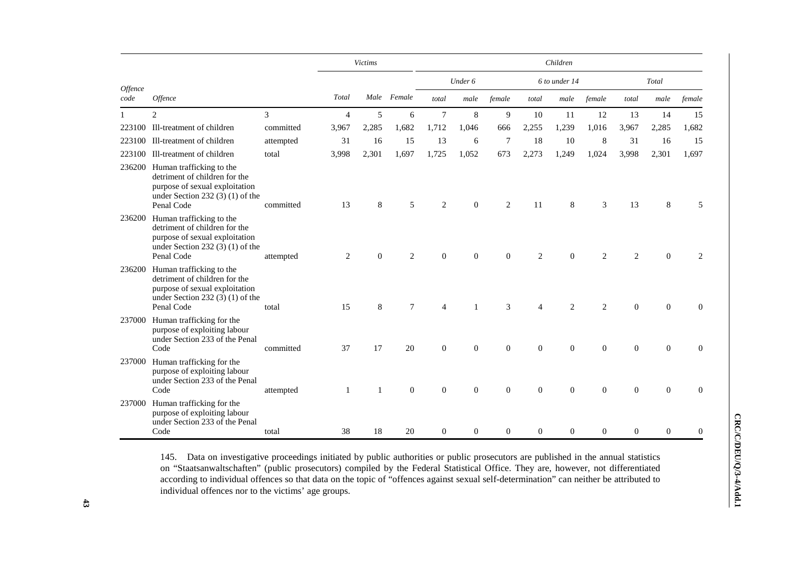|                               |                                                                                                                                                       |                |                | <b>Victims</b> |              |                |                |                |                  | Children       |                  |                  |                |                |
|-------------------------------|-------------------------------------------------------------------------------------------------------------------------------------------------------|----------------|----------------|----------------|--------------|----------------|----------------|----------------|------------------|----------------|------------------|------------------|----------------|----------------|
|                               |                                                                                                                                                       |                |                |                |              |                | Under 6        |                |                  | 6 to under 14  |                  |                  | Total          |                |
| <i><b>Offence</b></i><br>code | <i><b>Offence</b></i>                                                                                                                                 |                | Total          |                | Male Female  | total          | male           | female         | total            | male           | female           | total            | male           | female         |
|                               | $\overline{2}$                                                                                                                                        | $\mathfrak{Z}$ | $\overline{4}$ | 5              | 6            | $\overline{7}$ | $\,8\,$        | 9              | 10               | 11             | 12               | 13               | 14             | 15             |
| 223100                        | Ill-treatment of children                                                                                                                             | committed      | 3,967          | 2,285          | 1,682        | 1,712          | 1,046          | 666            | 2,255            | 1,239          | 1,016            | 3,967            | 2,285          | 1,682          |
| 223100                        | Ill-treatment of children                                                                                                                             | attempted      | 31             | 16             | 15           | 13             | 6              | 7              | 18               | 10             | 8                | 31               | 16             | 15             |
| 223100                        | Ill-treatment of children                                                                                                                             | total          | 3,998          | 2,301          | 1,697        | 1,725          | 1,052          | 673            | 2,273            | 1,249          | 1,024            | 3,998            | 2,301          | 1,697          |
|                               | 236200 Human trafficking to the<br>detriment of children for the<br>purpose of sexual exploitation<br>under Section 232 $(3)(1)$ of the<br>Penal Code | committed      | 13             | 8              | 5            | $\overline{2}$ | $\mathbf{0}$   | $\overline{c}$ | 11               | 8              | 3                | 13               | 8              | 5              |
| 236200                        | Human trafficking to the<br>detriment of children for the<br>purpose of sexual exploitation<br>under Section 232 $(3)(1)$ of the<br>Penal Code        | attempted      | 2              | $\Omega$       | 2            | $\mathbf{0}$   | $\overline{0}$ | $\mathbf{0}$   | $\overline{2}$   | $\Omega$       | $\overline{2}$   | $\overline{c}$   | $\theta$       | 2              |
| 236200                        | Human trafficking to the<br>detriment of children for the<br>purpose of sexual exploitation<br>under Section 232 (3) (1) of the<br>Penal Code         | total          | 15             | 8              | $\tau$       | 4              |                | 3              | $\overline{4}$   | $\overline{2}$ | $\overline{2}$   | $\mathbf{0}$     | $\mathbf{0}$   | $\mathbf{0}$   |
| 237000                        | Human trafficking for the<br>purpose of exploiting labour<br>under Section 233 of the Penal<br>Code                                                   | committed      | 37             | 17             | 20           | $\mathbf{0}$   | 0              | $\overline{0}$ | $\mathbf{0}$     | $\overline{0}$ | $\overline{0}$   | $\mathbf{0}$     | $\overline{0}$ | $\mathbf{0}$   |
| 237000                        | Human trafficking for the<br>purpose of exploiting labour<br>under Section 233 of the Penal<br>Code                                                   | attempted      |                |                | $\mathbf{0}$ | 0              | 0              | $\overline{0}$ | $\mathbf{0}$     | $\overline{0}$ | $\overline{0}$   | $\mathbf{0}$     | $\theta$       | $\overline{0}$ |
| 237000                        | Human trafficking for the<br>purpose of exploiting labour<br>under Section 233 of the Penal<br>Code                                                   | total          | 38             | 18             | 20           | $\mathbf{0}$   | $\theta$       | $\overline{0}$ | $\boldsymbol{0}$ | $\overline{0}$ | $\boldsymbol{0}$ | $\boldsymbol{0}$ | $\mathbf{0}$   | $\mathbf{0}$   |

145. Data on investigative proceedings initiated by public authorities or public prosecutors are published in the annual statistics on "Staatsanwaltschaften" (public prosecutors) compiled by the Federal Statistical Office. They are, however, not differentiated according to individual offences so that data on the topic of "offences against sexual self-determination" can neither be attributed to individual offences nor to the victims' age groups.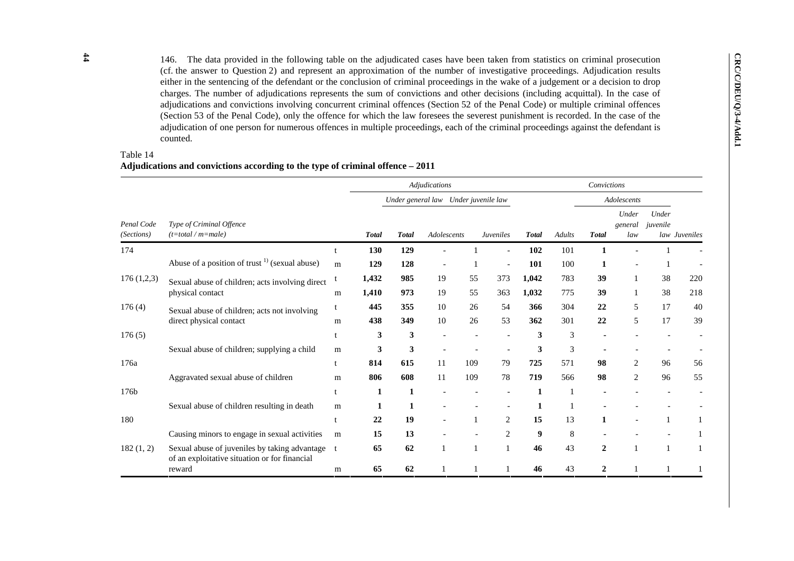146. The data provided in the following table on the adjudicated cases have been taken from statistics on criminal prosecution (cf. the answer to Question 2) and represent an approximation of the number of investigative p

## Table 14 **Adjudications and convictions according to the type of criminal offence – 2011**

|                          |                                                                                                |   |              |              | <b>Adjudications</b>                 |     |                  |              |        | Convictions    |                         |                   |               |
|--------------------------|------------------------------------------------------------------------------------------------|---|--------------|--------------|--------------------------------------|-----|------------------|--------------|--------|----------------|-------------------------|-------------------|---------------|
|                          |                                                                                                |   |              |              | Under general law Under juvenile law |     |                  |              |        |                | Adolescents             |                   |               |
| Penal Code<br>(Sections) | Type of Criminal Offence<br>$(t = total / m = male)$                                           |   | <b>Total</b> | <b>Total</b> | Adolescents                          |     | <b>Juveniles</b> | <b>Total</b> | Adults | <b>Total</b>   | Under<br>general<br>law | Under<br>juvenile | law Juveniles |
| 174                      |                                                                                                |   | 130          | 129          |                                      |     |                  | 102          | 101    | 1              |                         |                   |               |
|                          | Abuse of a position of trust $^{1)}$ (sexual abuse)                                            | m | 129          | 128          | $\overline{\phantom{a}}$             |     |                  | 101          | 100    | 1              |                         |                   |               |
| 176(1,2,3)               | Sexual abuse of children; acts involving direct                                                |   | 1,432        | 985          | 19                                   | 55  | 373              | 1,042        | 783    | 39             |                         | 38                | 220           |
|                          | physical contact                                                                               | m | 1,410        | 973          | 19                                   | 55  | 363              | 1,032        | 775    | 39             |                         | 38                | 218           |
| 176(4)                   | Sexual abuse of children; acts not involving                                                   | t | 445          | 355          | 10                                   | 26  | 54               | 366          | 304    | 22             | 5                       | 17                | 40            |
|                          | direct physical contact                                                                        | m | 438          | 349          | 10                                   | 26  | 53               | 362          | 301    | 22             | 5                       | 17                | 39            |
| 176(5)                   |                                                                                                |   | 3            | 3            |                                      |     |                  | 3            | 3      |                |                         |                   |               |
|                          | Sexual abuse of children; supplying a child                                                    | m | 3            | 3            |                                      |     |                  | 3            | 3      |                |                         |                   |               |
| 176a                     |                                                                                                | t | 814          | 615          | 11                                   | 109 | 79               | 725          | 571    | 98             | 2                       | 96                | 56            |
|                          | Aggravated sexual abuse of children                                                            | m | 806          | 608          | 11                                   | 109 | 78               | 719          | 566    | 98             | 2                       | 96                | 55            |
| 176b                     |                                                                                                |   | 1            | 1            |                                      |     |                  | 1            |        |                |                         |                   |               |
|                          | Sexual abuse of children resulting in death                                                    | m | 1            | 1            |                                      |     |                  | 1            |        |                |                         |                   |               |
| 180                      |                                                                                                | t | 22           | 19           | $\overline{a}$                       |     | 2                | 15           | 13     | 1              |                         |                   |               |
|                          | Causing minors to engage in sexual activities                                                  | m | 15           | 13           |                                      |     | $\overline{2}$   | 9            | 8      |                |                         |                   |               |
| 182(1, 2)                | Sexual abuse of juveniles by taking advantage<br>of an exploitative situation or for financial |   | 65           | 62           | 1                                    |     |                  | 46           | 43     | $\overline{2}$ |                         |                   | 1             |
|                          | reward                                                                                         | m | 65           | 62           |                                      |     |                  | 46           | 43     | 2              |                         |                   |               |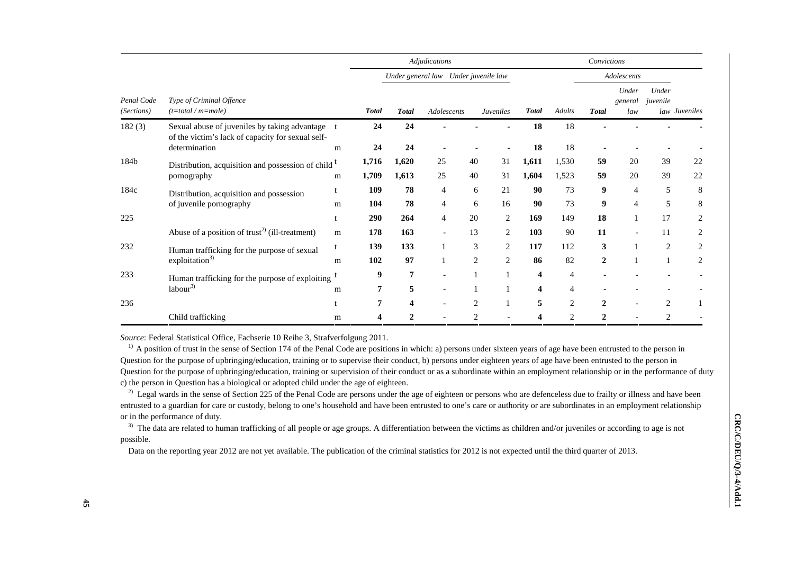|                                                                                       |                                                                                                    |     | Adjudications  |                                      |             |                | Convictions      |                |                |                |                         |                   |                |
|---------------------------------------------------------------------------------------|----------------------------------------------------------------------------------------------------|-----|----------------|--------------------------------------|-------------|----------------|------------------|----------------|----------------|----------------|-------------------------|-------------------|----------------|
|                                                                                       | Type of Criminal Offence<br>$(t = total / m = male)$                                               |     |                | Under general law Under juvenile law |             |                |                  | Adolescents    |                |                |                         |                   |                |
| Penal Code<br>(Sections)                                                              |                                                                                                    |     | <b>Total</b>   | <b>Total</b>                         | Adolescents |                | <b>Juveniles</b> | <b>Total</b>   | <b>Adults</b>  | <b>Total</b>   | Under<br>general<br>law | Under<br>juvenile | law Juveniles  |
| 182(3)                                                                                | Sexual abuse of juveniles by taking advantage<br>of the victim's lack of capacity for sexual self- |     | 24             | 24                                   |             |                |                  | 18             | 18             |                |                         |                   |                |
|                                                                                       | determination                                                                                      | m   | 24             | 24                                   |             |                |                  | 18             | 18             |                |                         |                   |                |
| 184b<br>Distribution, acquisition and possession of child <sup>t</sup><br>pornography |                                                                                                    |     | 1,716          | 1,620                                | 25          | 40             | 31               | 1,611          | 1,530          | 59             | 20                      | 39                | 22             |
|                                                                                       |                                                                                                    | m   | 1,709          | 1,613                                | 25          | 40             | 31               | 1,604          | 1,523          | 59             | 20                      | 39                | 22             |
| 184c<br>Distribution, acquisition and possession<br>of juvenile pornography           | t                                                                                                  | 109 | 78             | 4                                    | 6           | 21             | 90               | 73             | 9              | $\overline{4}$ | 5                       | 8                 |                |
|                                                                                       |                                                                                                    | m   | 104            | 78                                   | 4           | 6              | 16               | 90             | 73             | 9              | 4                       | 5                 | 8              |
| 225                                                                                   |                                                                                                    |     | 290            | 264                                  | 4           | 20             | 2                | 169            | 149            | 18             |                         | 17                | 2              |
|                                                                                       | Abuse of a position of trust <sup>2)</sup> (ill-treatment)                                         | m   | 178            | 163                                  |             | 13             | 2                | 103            | 90             | 11             |                         | 11                | $\overline{c}$ |
| 232                                                                                   | Human trafficking for the purpose of sexual                                                        | t   | 139            | 133                                  |             | 3              | $\overline{2}$   | 117            | 112            | 3              |                         | $\overline{c}$    | 2              |
|                                                                                       | exploitation $3)$                                                                                  | m   | 102            | 97                                   |             | $\overline{c}$ | $\overline{c}$   | 86             | 82             | $\overline{2}$ |                         |                   | 2              |
| 233<br>Human trafficking for the purpose of exploiting                                |                                                                                                    | 9   | $\overline{7}$ |                                      |             |                | 4                | $\overline{4}$ |                |                |                         |                   |                |
|                                                                                       | labor <sup>3</sup>                                                                                 | m   |                | 5                                    |             |                |                  | 4              | $\overline{4}$ |                |                         |                   |                |
| 236                                                                                   |                                                                                                    |     | 7              | 4                                    |             | $\overline{2}$ |                  | 5              | $\overline{2}$ | $\overline{2}$ |                         | $\overline{2}$    |                |
|                                                                                       | Child trafficking                                                                                  | m   |                | $\mathbf{2}$                         |             | $\mathfrak{D}$ |                  | 4              | $\mathfrak{D}$ | $\mathbf{2}$   |                         | $\mathcal{D}$     |                |

*Source*: Federal Statistical Office, Fachserie 10 Reihe 3, Strafverfolgung 2011.

<sup>1)</sup> A position of trust in the sense of Section 174 of the Penal Code are positions in which: a) persons under sixteen years of age have been entrusted to the person in Question for the purpose of upbringing/education, training or to supervise their conduct, b) persons under eighteen years of age have been entrusted to the person in Question for the purpose of upbringing/education, training or supervision of their conduct or as a subordinate within an employment relationship or in the performance of duty c) the person in Question has a biological or adopted child under the age of eighteen.

<sup>2)</sup> Legal wards in the sense of Section 225 of the Penal Code are persons under the age of eighteen or persons who are defenceless due to frailty or illness and have been entrusted to a guardian for care or custody, belong to one's household and have been entrusted to one's care or authority or are subordinates in an employment relationship or in the performance of duty.

<sup>3)</sup> The data are related to human trafficking of all people or age groups. A differentiation between the victims as children and/or juveniles or according to age is not possible.

Data on the reporting year 2012 are not yet available. The publication of the criminal statistics for 2012 is not expected until the third quarter of 2013.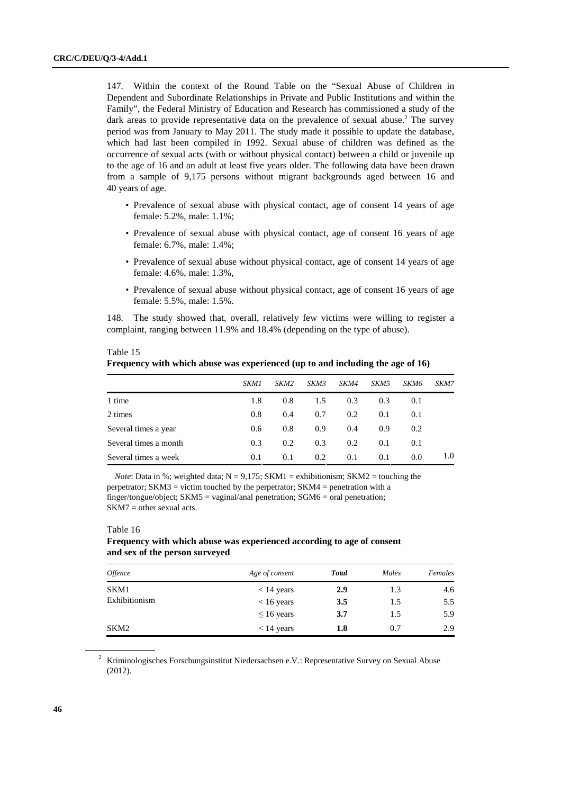147. Within the context of the Round Table on the "Sexual Abuse of Children in Dependent and Subordinate Relationships in Private and Public Institutions and within the Family", the Federal Ministry of Education and Research has commissioned a study of the dark areas to provide representative data on the prevalence of sexual abuse.<sup>2</sup> The survey period was from January to May 2011. The study made it possible to update the database, which had last been compiled in 1992. Sexual abuse of children was defined as the occurrence of sexual acts (with or without physical contact) between a child or juvenile up to the age of 16 and an adult at least five years older. The following data have been drawn from a sample of 9,175 persons without migrant backgrounds aged between 16 and 40 years of age.

- Prevalence of sexual abuse with physical contact, age of consent 14 years of age female: 5.2%, male: 1.1%;
- Prevalence of sexual abuse with physical contact, age of consent 16 years of age female: 6.7%, male: 1.4%;
- Prevalence of sexual abuse without physical contact, age of consent 14 years of age female: 4.6%, male: 1.3%,
- Prevalence of sexual abuse without physical contact, age of consent 16 years of age female: 5.5%, male: 1.5%.

148. The study showed that, overall, relatively few victims were willing to register a complaint, ranging between 11.9% and 18.4% (depending on the type of abuse).

| <b>Frequency with which abuse was experienced (up to and including the age of 16)</b> |             |                  |      |      |                  |             |      |
|---------------------------------------------------------------------------------------|-------------|------------------|------|------|------------------|-------------|------|
|                                                                                       | <i>SKM1</i> | SKM <sub>2</sub> | SKM3 | SKM4 | SKM <sub>5</sub> | <i>SKM6</i> | SKM7 |
| 1 time                                                                                | 1.8         | 0.8              | 1.5  | 0.3  | 0.3              | 0.1         |      |
| 2 times                                                                               | 0.8         | 0.4              | 0.7  | 0.2  | 0.1              | 0.1         |      |
| Several times a year                                                                  | 0.6         | 0.8              | 0.9  | 0.4  | 0.9              | 0.2         |      |
| Several times a month                                                                 | 0.3         | 0.2              | 0.3  | 0.2  | 0.1              | 0.1         |      |
| Several times a week                                                                  | 0.1         | 0.1              | 0.2  | 0.1  | 0.1              | 0.0         | 1.0  |

 Table 15  $\cdots$   $\cdots$   $\cdots$   $\cdots$  and  $\cdots$  abuse was experienced in the age of  $\cdots$ 

*Note*: Data in %; weighted data;  $N = 9.175$ ; SKM1 = exhibitionism; SKM2 = touching the perpetrator; SKM3 = victim touched by the perpetrator; SKM4 = penetration with a finger/tongue/object; SKM5 = vaginal/anal penetration; SGM6 = oral penetration;  $SKM7 = other sexual acts.$ 

## Table 16

## **Frequency with which abuse was experienced according to age of consent and sex of the person surveyed**

| <i><b>Offence</b></i> | Age of consent  | <b>Total</b> | Males | Females |
|-----------------------|-----------------|--------------|-------|---------|
| SKM1                  | $< 14$ years    | 2.9          | 1.3   | 4.6     |
| Exhibitionism         | $< 16$ years    | 3.5          | 1.5   | 5.5     |
|                       | $\leq 16$ years | 3.7          | 1.5   | 5.9     |
| SKM2                  | $< 14$ years    | 1.8          | 0.7   | 2.9     |

<sup>2</sup> Kriminologisches Forschungsinstitut Niedersachsen e.V.: Representative Survey on Sexual Abuse (2012).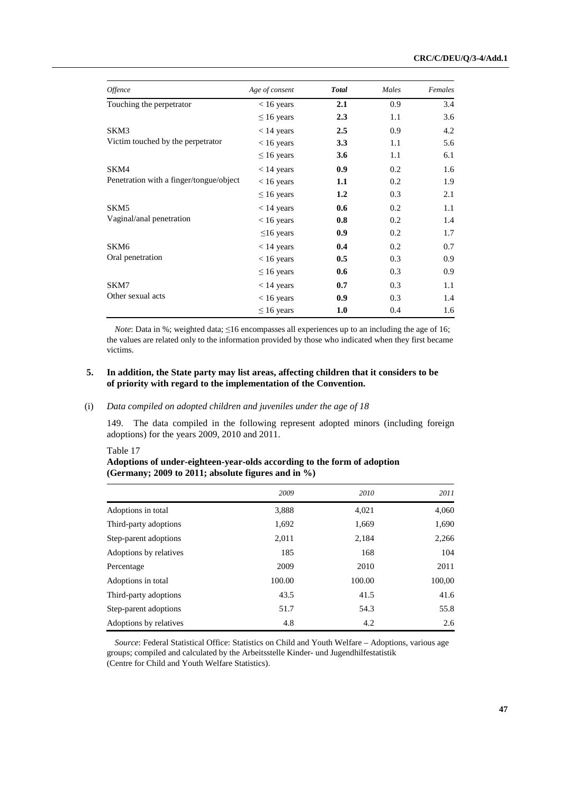| Offence                                 | Age of consent  | <b>Total</b> | Males | Females |
|-----------------------------------------|-----------------|--------------|-------|---------|
| Touching the perpetrator                | $< 16$ years    | 2.1          | 0.9   | 3.4     |
|                                         | $\leq 16$ years | 2.3          | 1.1   | 3.6     |
| SKM3                                    | $< 14$ years    | 2.5          | 0.9   | 4.2     |
| Victim touched by the perpetrator       | $< 16$ years    | 3.3          | 1.1   | 5.6     |
|                                         | $\leq 16$ years | 3.6          | 1.1   | 6.1     |
| SKM4                                    | $< 14$ years    | 0.9          | 0.2   | 1.6     |
| Penetration with a finger/tongue/object | $< 16$ years    | 1.1          | 0.2   | 1.9     |
|                                         | $\leq 16$ years | 1.2          | 0.3   | 2.1     |
| SKM5                                    | $< 14$ years    | 0.6          | 0.2   | 1.1     |
| Vaginal/anal penetration                | $< 16$ years    | 0.8          | 0.2   | 1.4     |
|                                         | $\leq$ 16 years | 0.9          | 0.2   | 1.7     |
| SKM6                                    | $< 14$ years    | 0.4          | 0.2   | 0.7     |
| Oral penetration                        | $< 16$ years    | 0.5          | 0.3   | 0.9     |
|                                         | $\leq 16$ years | 0.6          | 0.3   | 0.9     |
| SKM7                                    | $< 14$ years    | 0.7          | 0.3   | 1.1     |
| Other sexual acts                       | $< 16$ years    | 0.9          | 0.3   | 1.4     |
|                                         | $\leq 16$ years | 1.0          | 0.4   | 1.6     |

*Note*: Data in %; weighted data; ≤16 encompasses all experiences up to an including the age of 16; the values are related only to the information provided by those who indicated when they first became victims.

## **5. In addition, the State party may list areas, affecting children that it considers to be of priority with regard to the implementation of the Convention.**

## (i) *Data compiled on adopted children and juveniles under the age of 18*

149. The data compiled in the following represent adopted minors (including foreign adoptions) for the years 2009, 2010 and 2011.

Table 17

| Adoptions of under-eighteen-year-olds according to the form of adoption |  |
|-------------------------------------------------------------------------|--|
| (Germany; 2009 to 2011; absolute figures and in %)                      |  |

|                        | 2009   | 2010   | 2011   |
|------------------------|--------|--------|--------|
| Adoptions in total     | 3,888  | 4,021  | 4,060  |
| Third-party adoptions  | 1,692  | 1,669  | 1,690  |
| Step-parent adoptions  | 2,011  | 2,184  | 2,266  |
| Adoptions by relatives | 185    | 168    | 104    |
| Percentage             | 2009   | 2010   | 2011   |
| Adoptions in total     | 100.00 | 100.00 | 100,00 |
| Third-party adoptions  | 43.5   | 41.5   | 41.6   |
| Step-parent adoptions  | 51.7   | 54.3   | 55.8   |
| Adoptions by relatives | 4.8    | 4.2    | 2.6    |

*Source*: Federal Statistical Office: Statistics on Child and Youth Welfare – Adoptions, various age groups; compiled and calculated by the Arbeitsstelle Kinder- und Jugendhilfestatistik (Centre for Child and Youth Welfare Statistics).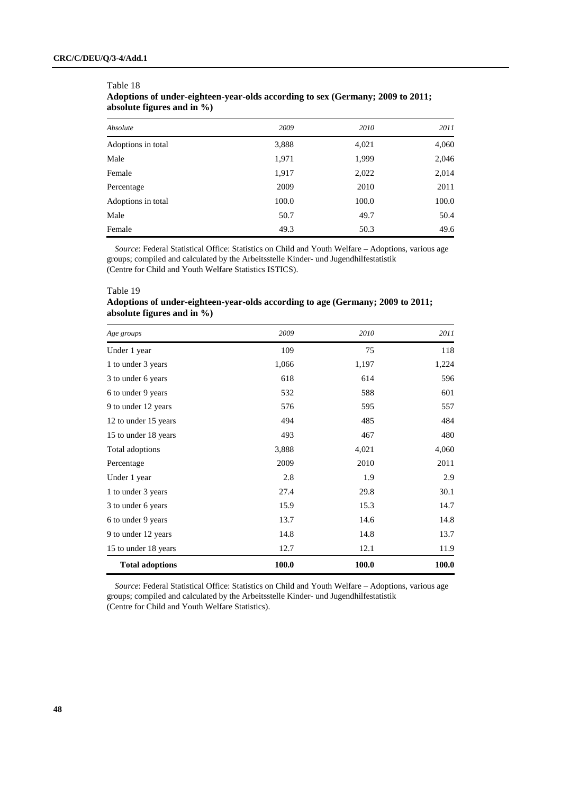| Absolute           | 2009  | 2010  | 2011  |
|--------------------|-------|-------|-------|
| Adoptions in total | 3,888 | 4,021 | 4,060 |
| Male               | 1,971 | 1,999 | 2,046 |
| Female             | 1,917 | 2,022 | 2,014 |
| Percentage         | 2009  | 2010  | 2011  |
| Adoptions in total | 100.0 | 100.0 | 100.0 |
| Male               | 50.7  | 49.7  | 50.4  |
| Female             | 49.3  | 50.3  | 49.6  |

| Table 18                                                                       |
|--------------------------------------------------------------------------------|
| Adoptions of under-eighteen-year-olds according to sex (Germany; 2009 to 2011; |
| absolute figures and in $\%$ )                                                 |

*Source*: Federal Statistical Office: Statistics on Child and Youth Welfare – Adoptions, various age groups; compiled and calculated by the Arbeitsstelle Kinder- und Jugendhilfestatistik (Centre for Child and Youth Welfare Statistics ISTICS).

#### Table 19

## **Adoptions of under-eighteen-year-olds according to age (Germany; 2009 to 2011; absolute figures and in %)**

| Age groups             | 2009  | 2010  | 2011  |
|------------------------|-------|-------|-------|
| Under 1 year           | 109   | 75    | 118   |
| 1 to under 3 years     | 1,066 | 1,197 | 1,224 |
| 3 to under 6 years     | 618   | 614   | 596   |
| 6 to under 9 years     | 532   | 588   | 601   |
| 9 to under 12 years    | 576   | 595   | 557   |
| 12 to under 15 years   | 494   | 485   | 484   |
| 15 to under 18 years   | 493   | 467   | 480   |
| Total adoptions        | 3,888 | 4,021 | 4,060 |
| Percentage             | 2009  | 2010  | 2011  |
| Under 1 year           | 2.8   | 1.9   | 2.9   |
| 1 to under 3 years     | 27.4  | 29.8  | 30.1  |
| 3 to under 6 years     | 15.9  | 15.3  | 14.7  |
| 6 to under 9 years     | 13.7  | 14.6  | 14.8  |
| 9 to under 12 years    | 14.8  | 14.8  | 13.7  |
| 15 to under 18 years   | 12.7  | 12.1  | 11.9  |
| <b>Total adoptions</b> | 100.0 | 100.0 | 100.0 |

*Source*: Federal Statistical Office: Statistics on Child and Youth Welfare – Adoptions, various age groups; compiled and calculated by the Arbeitsstelle Kinder- und Jugendhilfestatistik (Centre for Child and Youth Welfare Statistics).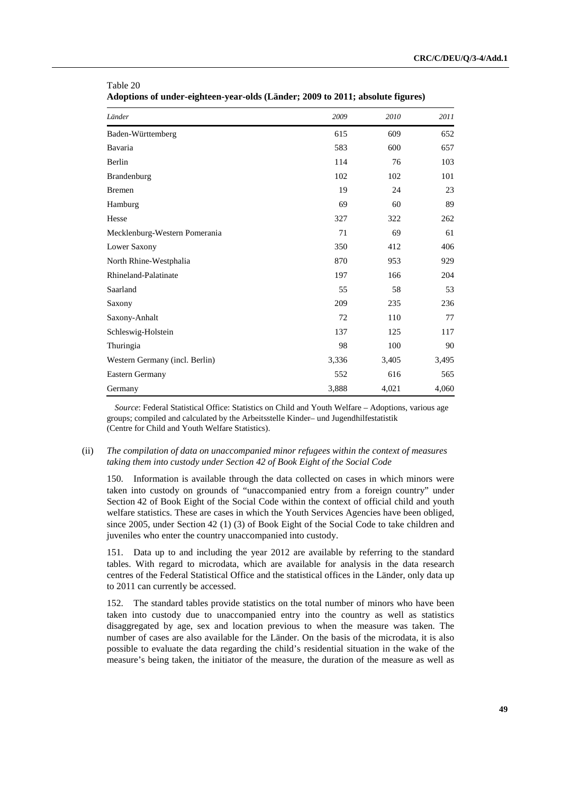| Länder                         | 2009  | 2010  | 2011  |
|--------------------------------|-------|-------|-------|
| Baden-Württemberg              | 615   | 609   | 652   |
| Bavaria                        | 583   | 600   | 657   |
| Berlin                         | 114   | 76    | 103   |
| Brandenburg                    | 102   | 102   | 101   |
| <b>Bremen</b>                  | 19    | 24    | 23    |
| Hamburg                        | 69    | 60    | 89    |
| Hesse                          | 327   | 322   | 262   |
| Mecklenburg-Western Pomerania  | 71    | 69    | 61    |
| Lower Saxony                   | 350   | 412   | 406   |
| North Rhine-Westphalia         | 870   | 953   | 929   |
| Rhineland-Palatinate           | 197   | 166   | 204   |
| Saarland                       | 55    | 58    | 53    |
| Saxony                         | 209   | 235   | 236   |
| Saxony-Anhalt                  | 72    | 110   | 77    |
| Schleswig-Holstein             | 137   | 125   | 117   |
| Thuringia                      | 98    | 100   | 90    |
| Western Germany (incl. Berlin) | 3,336 | 3,405 | 3,495 |
| Eastern Germany                | 552   | 616   | 565   |
| Germany                        | 3,888 | 4,021 | 4,060 |

| ---------                                                                      |  |
|--------------------------------------------------------------------------------|--|
| Adoptions of under-eighteen-year-olds (Länder; 2009 to 2011; absolute figures) |  |

Table 20

*Source*: Federal Statistical Office: Statistics on Child and Youth Welfare – Adoptions, various age groups; compiled and calculated by the Arbeitsstelle Kinder– und Jugendhilfestatistik (Centre for Child and Youth Welfare Statistics).

## (ii) *The compilation of data on unaccompanied minor refugees within the context of measures taking them into custody under Section 42 of Book Eight of the Social Code*

150. Information is available through the data collected on cases in which minors were taken into custody on grounds of "unaccompanied entry from a foreign country" under Section 42 of Book Eight of the Social Code within the context of official child and youth welfare statistics. These are cases in which the Youth Services Agencies have been obliged, since 2005, under Section 42 (1) (3) of Book Eight of the Social Code to take children and juveniles who enter the country unaccompanied into custody.

151. Data up to and including the year 2012 are available by referring to the standard tables. With regard to microdata, which are available for analysis in the data research centres of the Federal Statistical Office and the statistical offices in the Länder, only data up to 2011 can currently be accessed.

152. The standard tables provide statistics on the total number of minors who have been taken into custody due to unaccompanied entry into the country as well as statistics disaggregated by age, sex and location previous to when the measure was taken. The number of cases are also available for the Länder. On the basis of the microdata, it is also possible to evaluate the data regarding the child's residential situation in the wake of the measure's being taken, the initiator of the measure, the duration of the measure as well as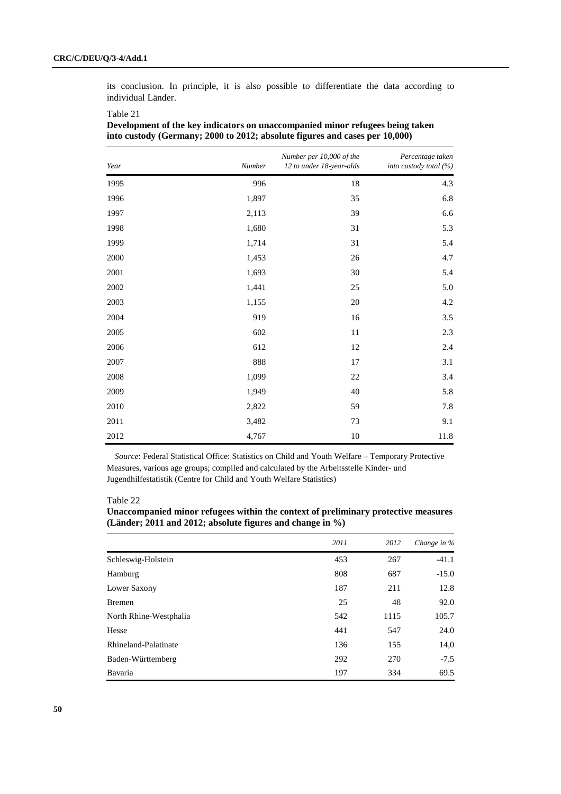its conclusion. In principle, it is also possible to differentiate the data according to individual Länder.

| Year | Number | Number per 10,000 of the<br>12 to under 18-year-olds | Percentage taken<br>into custody total (%) |
|------|--------|------------------------------------------------------|--------------------------------------------|
| 1995 | 996    | $18\,$                                               | 4.3                                        |
| 1996 | 1,897  | 35                                                   | 6.8                                        |
| 1997 | 2,113  | 39                                                   | 6.6                                        |
| 1998 | 1,680  | 31                                                   | 5.3                                        |
| 1999 | 1,714  | 31                                                   | 5.4                                        |
| 2000 | 1,453  | 26                                                   | 4.7                                        |
| 2001 | 1,693  | 30                                                   | 5.4                                        |
| 2002 | 1,441  | 25                                                   | 5.0                                        |
| 2003 | 1,155  | $20\,$                                               | 4.2                                        |
| 2004 | 919    | 16                                                   | 3.5                                        |
| 2005 | 602    | 11                                                   | 2.3                                        |
| 2006 | 612    | 12                                                   | 2.4                                        |
| 2007 | 888    | 17                                                   | 3.1                                        |
| 2008 | 1,099  | 22                                                   | 3.4                                        |
| 2009 | 1,949  | 40                                                   | 5.8                                        |
| 2010 | 2,822  | 59                                                   | 7.8                                        |
| 2011 | 3,482  | 73                                                   | 9.1                                        |
| 2012 | 4,767  | $10\,$                                               | 11.8                                       |

Table 21 **Development of the key indicators on unaccompanied minor refugees being taken into custody (Germany; 2000 to 2012; absolute figures and cases per 10,000)** 

*Source*: Federal Statistical Office: Statistics on Child and Youth Welfare – Temporary Protective Measures, various age groups; compiled and calculated by the Arbeitsstelle Kinder- und Jugendhilfestatistik (Centre for Child and Youth Welfare Statistics)

Table 22

| Unaccompanied minor refugees within the context of preliminary protective measures |  |
|------------------------------------------------------------------------------------|--|
| (Länder; 2011 and 2012; absolute figures and change in $\%$ )                      |  |

|                        | 2011 | 2012 | Change in $%$ |
|------------------------|------|------|---------------|
| Schleswig-Holstein     | 453  | 267  | $-41.1$       |
| Hamburg                | 808  | 687  | $-15.0$       |
| Lower Saxony           | 187  | 211  | 12.8          |
| <b>Bremen</b>          | 25   | 48   | 92.0          |
| North Rhine-Westphalia | 542  | 1115 | 105.7         |
| Hesse                  | 441  | 547  | 24.0          |
| Rhineland-Palatinate   | 136  | 155  | 14,0          |
| Baden-Württemberg      | 292  | 270  | $-7.5$        |
| Bavaria                | 197  | 334  | 69.5          |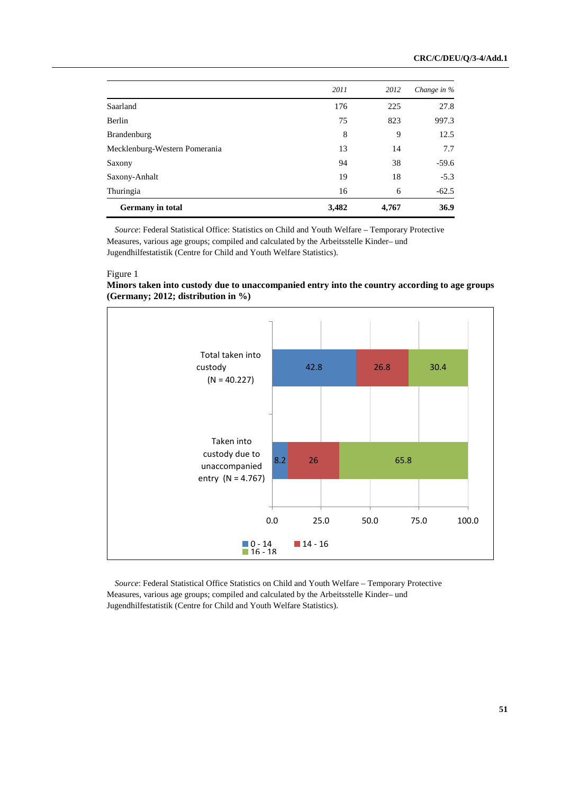|                               | 2011  | 2012  | Change in % |
|-------------------------------|-------|-------|-------------|
| Saarland                      | 176   | 225   | 27.8        |
| Berlin                        | 75    | 823   | 997.3       |
| <b>Brandenburg</b>            | 8     | 9     | 12.5        |
| Mecklenburg-Western Pomerania | 13    | 14    | 7.7         |
| Saxony                        | 94    | 38    | $-59.6$     |
| Saxony-Anhalt                 | 19    | 18    | $-5.3$      |
| Thuringia                     | 16    | 6     | $-62.5$     |
| <b>Germany</b> in total       | 3,482 | 4,767 | 36.9        |
|                               |       |       |             |

*Source*: Federal Statistical Office: Statistics on Child and Youth Welfare – Temporary Protective Measures, various age groups; compiled and calculated by the Arbeitsstelle Kinder– und Jugendhilfestatistik (Centre for Child and Youth Welfare Statistics).

#### Figure 1

## **Minors taken into custody due to unaccompanied entry into the country according to age groups (Germany; 2012; distribution in %)**



*Source*: Federal Statistical Office Statistics on Child and Youth Welfare – Temporary Protective Measures, various age groups; compiled and calculated by the Arbeitsstelle Kinder– und Jugendhilfestatistik (Centre for Child and Youth Welfare Statistics).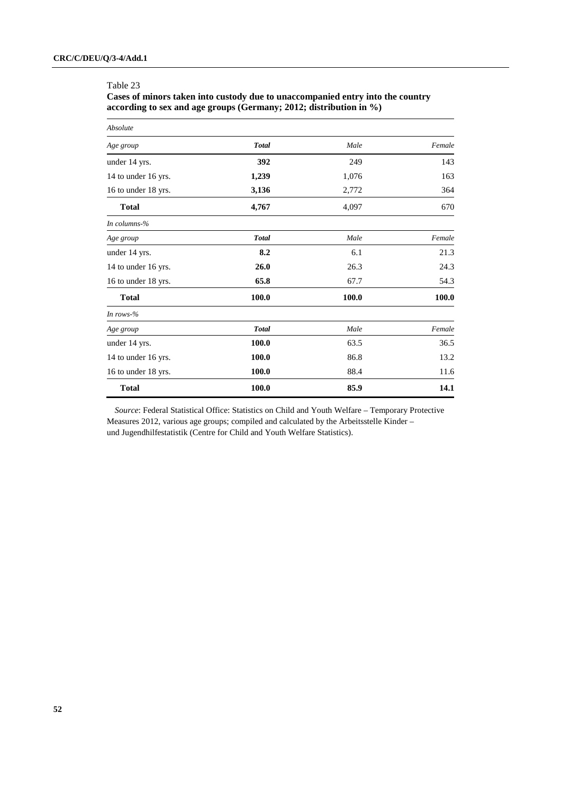#### Table 23

**Cases of minors taken into custody due to unaccompanied entry into the country according to sex and age groups (Germany; 2012; distribution in %)** 

| Absolute            |                |       |        |
|---------------------|----------------|-------|--------|
| Age group           | <b>Total</b>   | Male  | Female |
| under 14 yrs.       | 392            | 249   | 143    |
| 14 to under 16 yrs. | 1,239          | 1,076 | 163    |
| 16 to under 18 yrs. | 3,136<br>2,772 |       | 364    |
| <b>Total</b>        | 4,767<br>4,097 |       | 670    |
| In columns- $%$     |                |       |        |
| Age group           | <b>Total</b>   | Male  | Female |
| under 14 yrs.       | 8.2            | 6.1   | 21.3   |
| 14 to under 16 yrs. | 26.0           | 26.3  | 24.3   |
| 16 to under 18 yrs. | 65.8           | 67.7  | 54.3   |
| <b>Total</b>        | 100.0          | 100.0 | 100.0  |
| In rows- $%$        |                |       |        |
| Age group           | <b>Total</b>   | Male  | Female |
| under 14 yrs.       | 100.0          | 63.5  | 36.5   |
| 14 to under 16 yrs. | 100.0          | 86.8  | 13.2   |
| 16 to under 18 yrs. | 100.0          | 88.4  | 11.6   |
| <b>Total</b>        | 100.0          | 85.9  | 14.1   |

*Source*: Federal Statistical Office: Statistics on Child and Youth Welfare – Temporary Protective Measures 2012, various age groups; compiled and calculated by the Arbeitsstelle Kinder – und Jugendhilfestatistik (Centre for Child and Youth Welfare Statistics).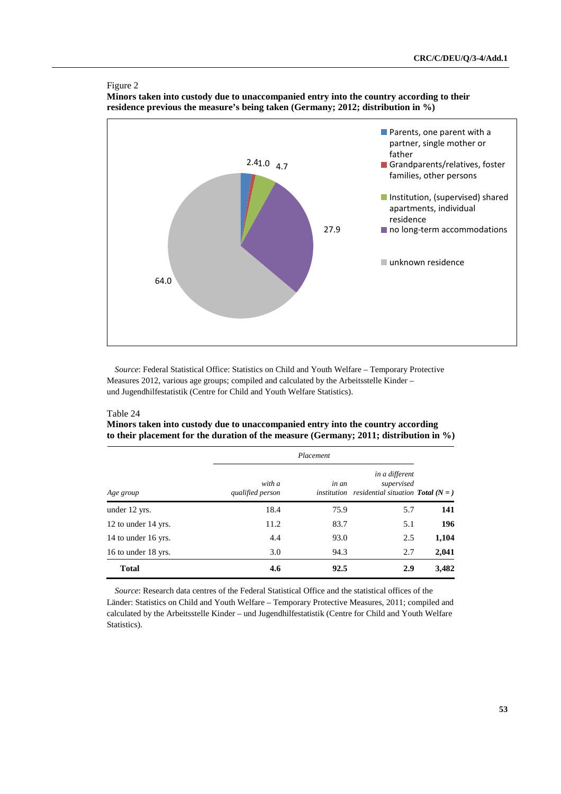



**Minors taken into custody due to unaccompanied entry into the country according to their residence previous the measure's being taken (Germany; 2012; distribution in %)** 

*Source*: Federal Statistical Office: Statistics on Child and Youth Welfare – Temporary Protective Measures 2012, various age groups; compiled and calculated by the Arbeitsstelle Kinder – und Jugendhilfestatistik (Centre for Child and Youth Welfare Statistics).

## Table 24

**Minors taken into custody due to unaccompanied entry into the country according to their placement for the duration of the measure (Germany; 2011; distribution in %)** 

|                     |                            | Placement            |                                                                              |       |
|---------------------|----------------------------|----------------------|------------------------------------------------------------------------------|-------|
| Age group           | with a<br>qualified person | in an<br>institution | in a different<br>supervised<br><i>residential situation Total</i> ( $N =$ ) |       |
| under 12 yrs.       | 18.4                       | 75.9                 | 5.7                                                                          | 141   |
| 12 to under 14 yrs. | 11.2                       | 83.7                 | 5.1                                                                          | 196   |
| 14 to under 16 yrs. | 4.4                        | 93.0                 | 2.5                                                                          | 1,104 |
| 16 to under 18 yrs. | 3.0                        | 94.3                 | 2.7                                                                          | 2,041 |
| <b>Total</b>        | 4.6                        | 92.5                 | 2.9                                                                          | 3,482 |

*Source*: Research data centres of the Federal Statistical Office and the statistical offices of the Länder: Statistics on Child and Youth Welfare – Temporary Protective Measures, 2011; compiled and calculated by the Arbeitsstelle Kinder – und Jugendhilfestatistik (Centre for Child and Youth Welfare Statistics).